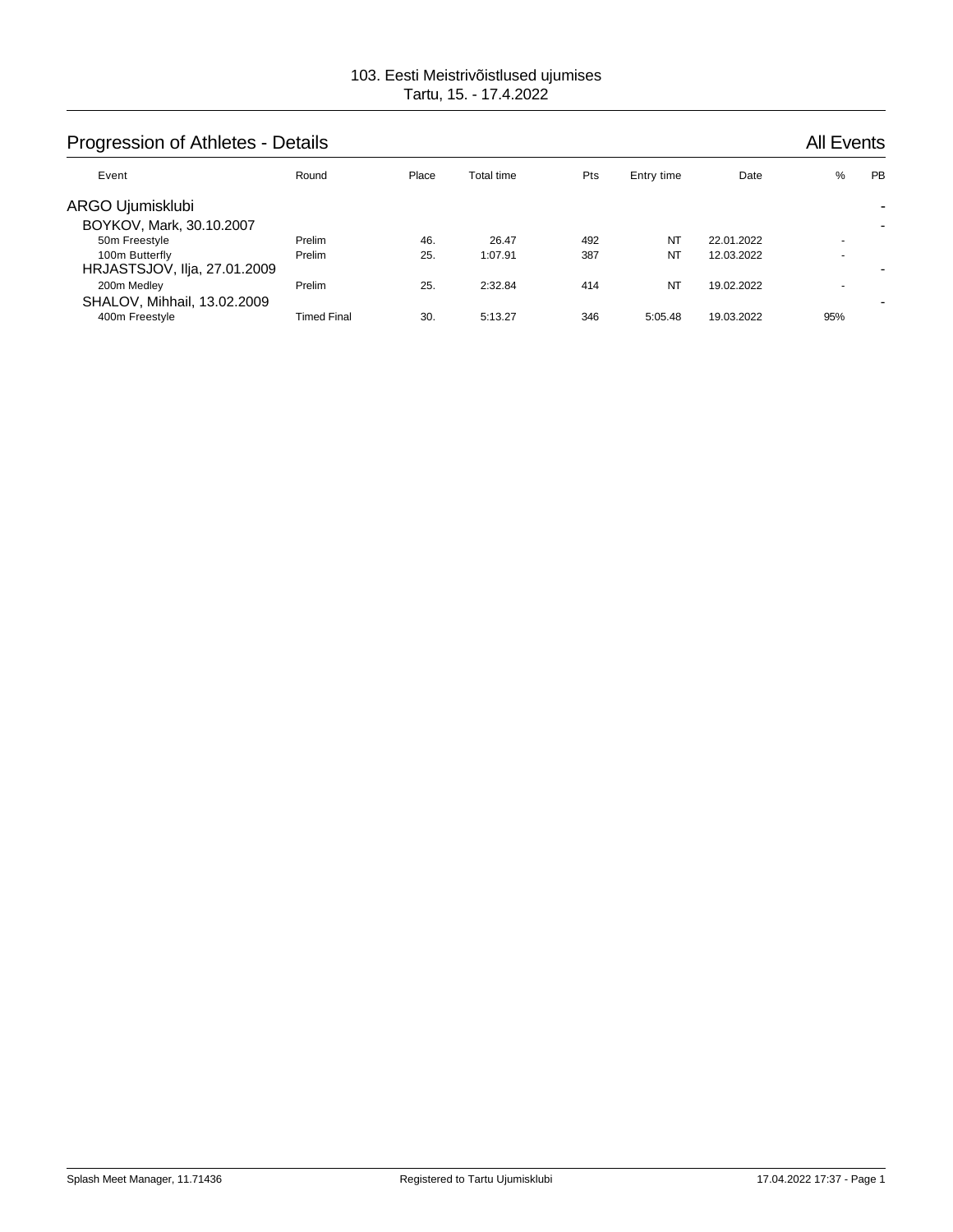# Progression of Athletes - Details **All Events** All Events

| Event                                                           | Round              | Place      | Total time       | Pts        | Entry time      | Date                     | %                                                    | <b>PB</b> |
|-----------------------------------------------------------------|--------------------|------------|------------------|------------|-----------------|--------------------------|------------------------------------------------------|-----------|
| ARGO Ujumisklubi<br>BOYKOV, Mark, 30.10.2007                    |                    |            |                  |            |                 |                          |                                                      |           |
| 50m Freestyle<br>100m Butterfly<br>HRJASTSJOV, IIja, 27.01.2009 | Prelim<br>Prelim   | 46.<br>25. | 26.47<br>1:07.91 | 492<br>387 | NT<br><b>NT</b> | 22.01.2022<br>12.03.2022 | $\overline{\phantom{a}}$<br>$\overline{\phantom{a}}$ |           |
| 200m Medley<br>SHALOV, Mihhail, 13.02.2009                      | Prelim             | 25.        | 2:32.84          | 414        | NT              | 19.02.2022               | $\overline{\phantom{a}}$                             |           |
| 400m Freestyle                                                  | <b>Timed Final</b> | 30.        | 5:13.27          | 346        | 5:05.48         | 19.03.2022               | 95%                                                  |           |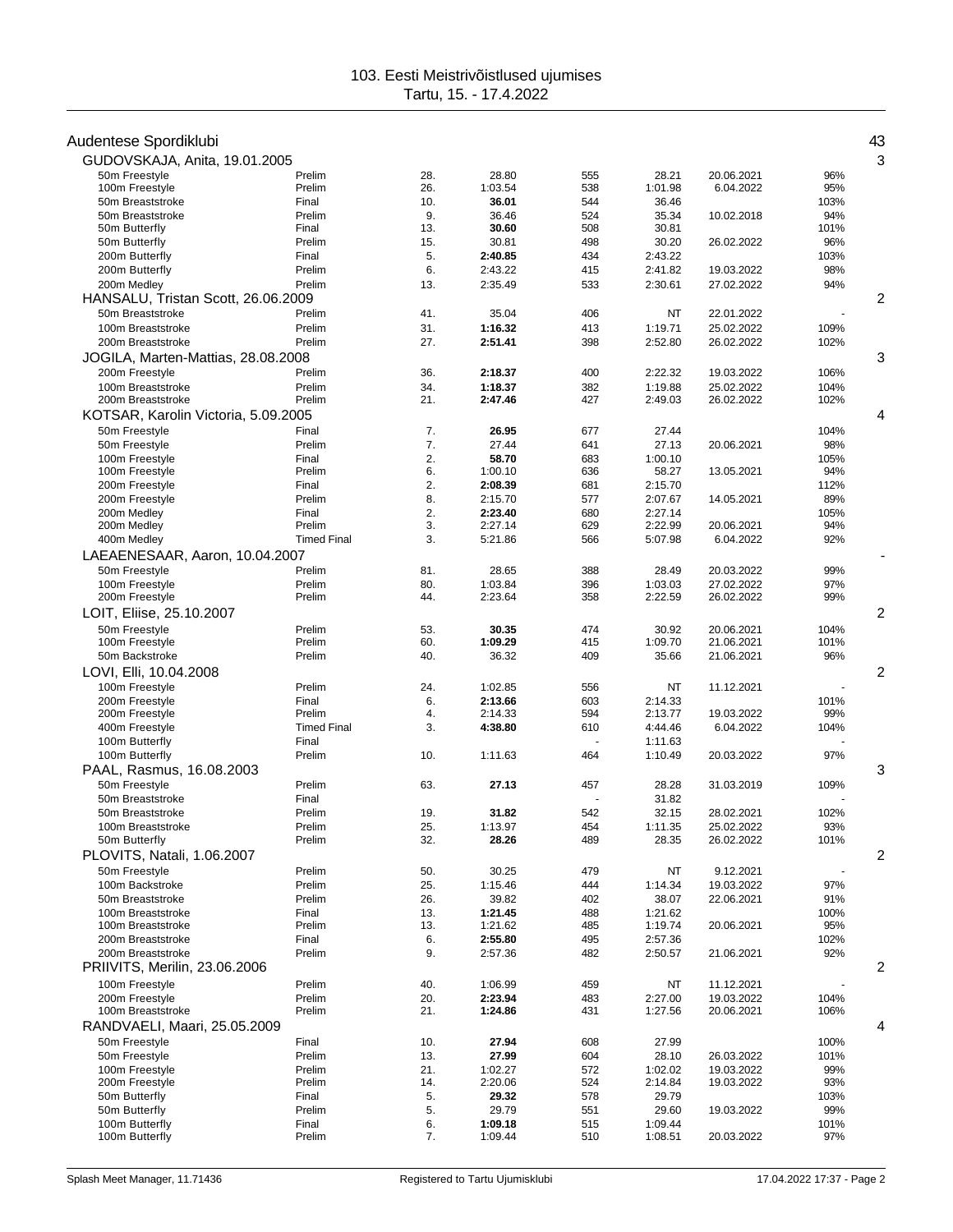| Audentese Spordiklubi               |                              |            |                    |            |                    |                          |            | 43             |
|-------------------------------------|------------------------------|------------|--------------------|------------|--------------------|--------------------------|------------|----------------|
| GUDOVSKAJA, Anita, 19.01.2005       |                              |            |                    |            |                    |                          |            | 3              |
| 50m Freestyle                       | Prelim                       | 28.        | 28.80              | 555        | 28.21              | 20.06.2021               | 96%        |                |
| 100m Freestyle                      | Prelim                       | 26.        | 1:03.54            | 538        | 1:01.98            | 6.04.2022                | 95%        |                |
| 50m Breaststroke                    | Final                        | 10.        | 36.01              | 544        | 36.46              |                          | 103%       |                |
| 50m Breaststroke                    | Prelim                       | 9.         | 36.46              | 524        | 35.34              | 10.02.2018               | 94%        |                |
| 50m Butterfly                       | Final                        | 13.        | 30.60              | 508        | 30.81              |                          | 101%       |                |
| 50m Butterfly                       | Prelim                       | 15.        | 30.81              | 498        | 30.20              | 26.02.2022               | 96%        |                |
| 200m Butterfly                      | Final                        | 5.         | 2:40.85            | 434        | 2:43.22            |                          | 103%       |                |
| 200m Butterfly                      | Prelim                       | 6.         | 2:43.22            | 415        | 2:41.82            | 19.03.2022               | 98%        |                |
| 200m Medley                         | Prelim                       | 13.        | 2:35.49            | 533        | 2:30.61            | 27.02.2022               | 94%        |                |
| HANSALU, Tristan Scott, 26.06.2009  |                              |            |                    |            |                    |                          |            | 2              |
| 50m Breaststroke                    | Prelim                       | 41.        | 35.04              | 406        | NT                 | 22.01.2022               |            |                |
| 100m Breaststroke                   | Prelim                       | 31.        | 1:16.32            | 413        | 1:19.71            | 25.02.2022               | 109%       |                |
| 200m Breaststroke                   | Prelim                       | 27.        | 2:51.41            | 398        | 2:52.80            | 26.02.2022               | 102%       |                |
| JOGILA, Marten-Mattias, 28.08.2008  |                              |            |                    |            |                    |                          |            | 3              |
| 200m Freestyle                      | Prelim                       | 36.        | 2:18.37            | 400        | 2:22.32            | 19.03.2022               | 106%       |                |
| 100m Breaststroke                   | Prelim                       | 34.        | 1:18.37            | 382        | 1:19.88            | 25.02.2022               | 104%       |                |
| 200m Breaststroke                   | Prelim                       | 21.        | 2:47.46            | 427        | 2:49.03            | 26.02.2022               | 102%       |                |
| KOTSAR, Karolin Victoria, 5.09.2005 |                              |            |                    |            |                    |                          |            | 4              |
| 50m Freestyle                       | Final                        | 7.         | 26.95              | 677        | 27.44              |                          | 104%       |                |
| 50m Freestyle                       | Prelim                       | 7.         | 27.44              | 641        | 27.13              | 20.06.2021               | 98%        |                |
| 100m Freestyle                      | Final                        | 2.         | 58.70              | 683        | 1:00.10            |                          | 105%       |                |
| 100m Freestyle                      | Prelim                       | 6.         | 1:00.10            | 636        | 58.27              | 13.05.2021               | 94%        |                |
| 200m Freestyle                      | Final                        | 2.         | 2:08.39            | 681        | 2:15.70            |                          | 112%       |                |
| 200m Freestyle                      | Prelim                       | 8.         | 2:15.70            | 577        | 2:07.67            | 14.05.2021               | 89%        |                |
| 200m Medley                         | Final                        | 2.<br>3.   | 2:23.40            | 680        | 2:27.14<br>2:22.99 |                          | 105%       |                |
| 200m Medley                         | Prelim<br><b>Timed Final</b> | 3.         | 2:27.14<br>5:21.86 | 629<br>566 | 5:07.98            | 20.06.2021<br>6.04.2022  | 94%        |                |
| 400m Medley                         |                              |            |                    |            |                    |                          | 92%        |                |
| LAEAENESAAR, Aaron, 10.04.2007      |                              |            |                    |            |                    |                          |            |                |
| 50m Freestyle                       | Prelim                       | 81.        | 28.65              | 388        | 28.49              | 20.03.2022               | 99%        |                |
| 100m Freestyle<br>200m Freestyle    | Prelim<br>Prelim             | 80.<br>44. | 1:03.84<br>2:23.64 | 396<br>358 | 1:03.03<br>2:22.59 | 27.02.2022<br>26.02.2022 | 97%<br>99% |                |
|                                     |                              |            |                    |            |                    |                          |            |                |
| LOIT, Eliise, 25.10.2007            |                              |            |                    |            |                    |                          |            | $\overline{c}$ |
| 50m Freestyle                       | Prelim                       | 53.        | 30.35              | 474        | 30.92              | 20.06.2021               | 104%       |                |
| 100m Freestyle                      | Prelim                       | 60.        | 1:09.29            | 415        | 1:09.70            | 21.06.2021               | 101%       |                |
| 50m Backstroke                      | Prelim                       | 40.        | 36.32              | 409        | 35.66              | 21.06.2021               | 96%        |                |
| LOVI, Elli, 10.04.2008              |                              |            |                    |            |                    |                          |            | 2              |
| 100m Freestyle                      | Prelim                       | 24.        | 1:02.85            | 556        | NT                 | 11.12.2021               |            |                |
| 200m Freestyle                      | Final                        | 6.         | 2:13.66            | 603        | 2:14.33            |                          | 101%       |                |
| 200m Freestyle                      | Prelim<br><b>Timed Final</b> | 4.         | 2:14.33            | 594        | 2:13.77            | 19.03.2022               | 99%        |                |
| 400m Freestyle                      |                              | 3.         | 4:38.80            | 610        | 4:44.46            | 6.04.2022                | 104%       |                |
| 100m Butterfly<br>100m Butterfly    | Final<br>Prelim              | 10.        | 1:11.63            | 464        | 1:11.63<br>1:10.49 | 20.03.2022               | 97%        |                |
| PAAL, Rasmus, 16.08.2003            |                              |            |                    |            |                    |                          |            | 3              |
|                                     |                              |            |                    |            |                    |                          |            |                |
| 50m Freestyle<br>50m Breaststroke   | Prelim                       | 63.        | 27.13              | 457        | 28.28<br>31.82     | 31.03.2019               | 109%       |                |
| 50m Breaststroke                    | Final<br>Prelim              | 19.        | 31.82              | 542        | 32.15              | 28.02.2021               | 102%       |                |
| 100m Breaststroke                   | Prelim                       | 25         | 1:13.97            | 454        | 1:11.35            | 25.02.2022               | 93%        |                |
| 50m Butterfly                       | Prelim                       | 32.        | 28.26              | 489        | 28.35              | 26.02.2022               | 101%       |                |
| PLOVITS, Natali, 1.06.2007          |                              |            |                    |            |                    |                          |            | 2              |
| 50m Freestyle                       | Prelim                       | 50.        | 30.25              | 479        | NT                 | 9.12.2021                |            |                |
| 100m Backstroke                     | Prelim                       | 25.        | 1:15.46            | 444        | 1:14.34            | 19.03.2022               | 97%        |                |
| 50m Breaststroke                    | Prelim                       | 26.        | 39.82              | 402        | 38.07              | 22.06.2021               | 91%        |                |
| 100m Breaststroke                   | Final                        | 13.        | 1:21.45            | 488        | 1:21.62            |                          | 100%       |                |
| 100m Breaststroke                   | Prelim                       | 13.        | 1:21.62            | 485        | 1:19.74            | 20.06.2021               | 95%        |                |
| 200m Breaststroke                   | Final                        | 6.         | 2:55.80            | 495        | 2:57.36            |                          | 102%       |                |
| 200m Breaststroke                   | Prelim                       | 9.         | 2:57.36            | 482        | 2:50.57            | 21.06.2021               | 92%        |                |
| PRIIVITS, Merilin, 23.06.2006       |                              |            |                    |            |                    |                          |            | $\overline{c}$ |
| 100m Freestyle                      | Prelim                       | 40.        | 1:06.99            | 459        | NT                 | 11.12.2021               |            |                |
| 200m Freestyle                      | Prelim                       | 20.        | 2:23.94            | 483        | 2:27.00            | 19.03.2022               | 104%       |                |
| 100m Breaststroke                   | Prelim                       | 21.        | 1:24.86            | 431        | 1:27.56            | 20.06.2021               | 106%       |                |
| RANDVAELI, Maari, 25.05.2009        |                              |            |                    |            |                    |                          |            | 4              |
| 50m Freestyle                       | Final                        | 10.        | 27.94              | 608        | 27.99              |                          | 100%       |                |
| 50m Freestyle                       | Prelim                       | 13.        | 27.99              | 604        | 28.10              | 26.03.2022               | 101%       |                |
| 100m Freestyle                      | Prelim                       | 21.        | 1:02.27            | 572        | 1:02.02            | 19.03.2022               | 99%        |                |
| 200m Freestyle                      | Prelim                       | 14.        | 2:20.06            | 524        | 2:14.84            | 19.03.2022               | 93%        |                |
| 50m Butterfly                       | Final                        | 5.         | 29.32              | 578        | 29.79              |                          | 103%       |                |
| 50m Butterfly                       | Prelim                       | 5.         | 29.79              | 551        | 29.60              | 19.03.2022               | 99%        |                |
| 100m Butterfly                      | Final                        | 6.         | 1:09.18            | 515        | 1:09.44            |                          | 101%       |                |
| 100m Butterfly                      | Prelim                       | 7.         | 1:09.44            | 510        | 1:08.51            | 20.03.2022               | 97%        |                |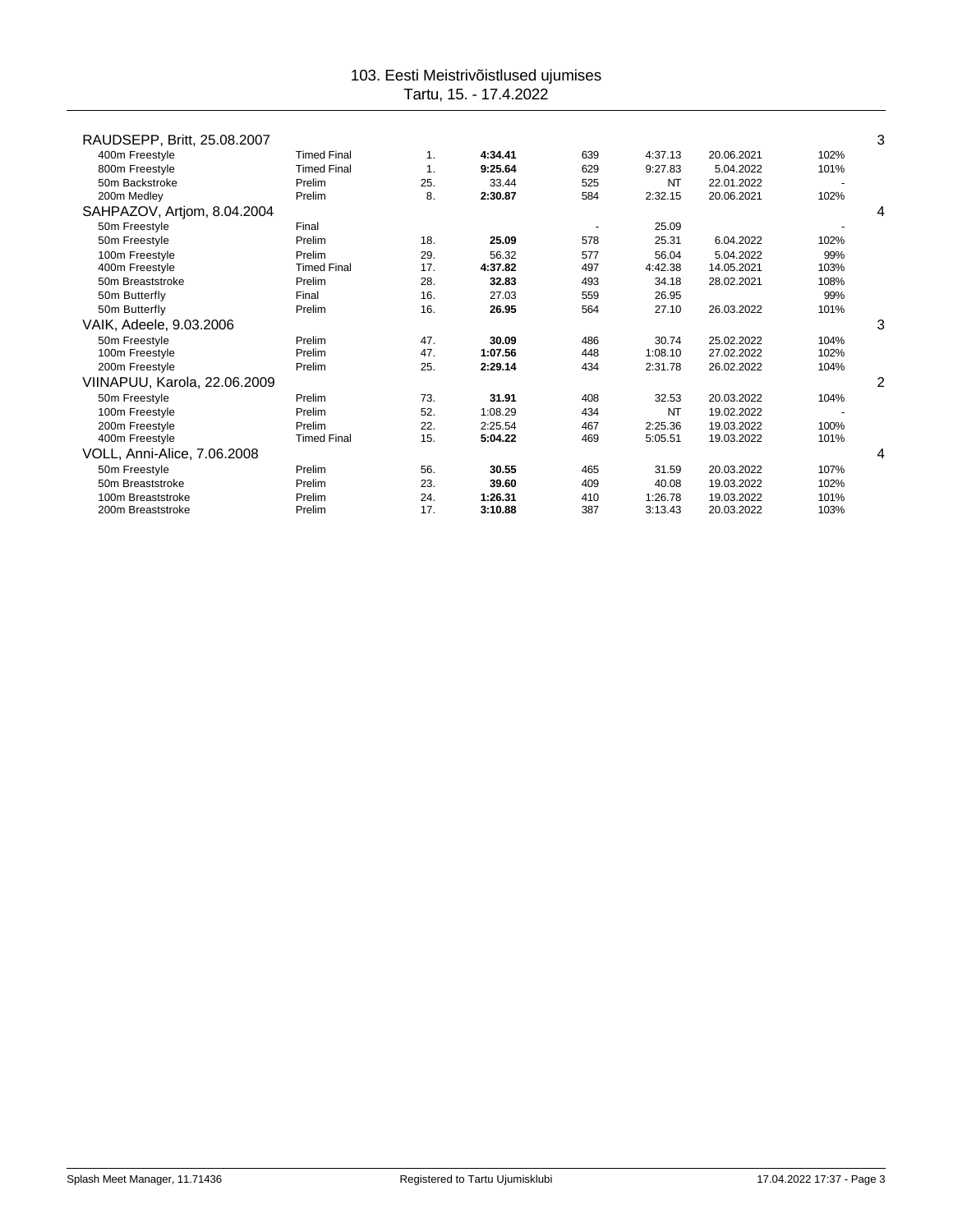| RAUDSEPP, Britt, 25.08.2007  |                    |     |         |     |           |            |      | 3 |
|------------------------------|--------------------|-----|---------|-----|-----------|------------|------|---|
| 400m Freestyle               | <b>Timed Final</b> | 1.  | 4:34.41 | 639 | 4:37.13   | 20.06.2021 | 102% |   |
| 800m Freestyle               | <b>Timed Final</b> | 1.  | 9:25.64 | 629 | 9:27.83   | 5.04.2022  | 101% |   |
| 50m Backstroke               | Prelim             | 25. | 33.44   | 525 | <b>NT</b> | 22.01.2022 |      |   |
| 200m Medley                  | Prelim             | 8.  | 2:30.87 | 584 | 2:32.15   | 20.06.2021 | 102% |   |
| SAHPAZOV, Artjom, 8.04.2004  |                    |     |         |     |           |            |      | 4 |
| 50m Freestyle                | Final              |     |         |     | 25.09     |            |      |   |
| 50m Freestyle                | Prelim             | 18. | 25.09   | 578 | 25.31     | 6.04.2022  | 102% |   |
| 100m Freestyle               | Prelim             | 29. | 56.32   | 577 | 56.04     | 5.04.2022  | 99%  |   |
| 400m Freestyle               | <b>Timed Final</b> | 17. | 4:37.82 | 497 | 4:42.38   | 14.05.2021 | 103% |   |
| 50m Breaststroke             | Prelim             | 28. | 32.83   | 493 | 34.18     | 28.02.2021 | 108% |   |
| 50m Butterfly                | Final              | 16. | 27.03   | 559 | 26.95     |            | 99%  |   |
| 50m Butterfly                | Prelim             | 16. | 26.95   | 564 | 27.10     | 26.03.2022 | 101% |   |
| VAIK, Adeele, 9.03.2006      |                    |     |         |     |           |            |      | 3 |
| 50m Freestyle                | Prelim             | 47. | 30.09   | 486 | 30.74     | 25.02.2022 | 104% |   |
| 100m Freestyle               | Prelim             | 47. | 1:07.56 | 448 | 1:08.10   | 27.02.2022 | 102% |   |
| 200m Freestyle               | Prelim             | 25. | 2:29.14 | 434 | 2:31.78   | 26.02.2022 | 104% |   |
| VIINAPUU, Karola, 22.06.2009 |                    |     |         |     |           |            |      | 2 |
| 50m Freestyle                | Prelim             | 73. | 31.91   | 408 | 32.53     | 20.03.2022 | 104% |   |
| 100m Freestyle               | Prelim             | 52. | 1:08.29 | 434 | <b>NT</b> | 19.02.2022 |      |   |
| 200m Freestyle               | Prelim             | 22. | 2:25.54 | 467 | 2:25.36   | 19.03.2022 | 100% |   |
| 400m Freestyle               | <b>Timed Final</b> | 15. | 5:04.22 | 469 | 5:05.51   | 19.03.2022 | 101% |   |
| VOLL, Anni-Alice, 7.06.2008  |                    |     |         |     |           |            |      | 4 |
| 50m Freestyle                | Prelim             | 56. | 30.55   | 465 | 31.59     | 20.03.2022 | 107% |   |
| 50m Breaststroke             | Prelim             | 23. | 39.60   | 409 | 40.08     | 19.03.2022 | 102% |   |
| 100m Breaststroke            | Prelim             | 24. | 1:26.31 | 410 | 1:26.78   | 19.03.2022 | 101% |   |
| 200m Breaststroke            | Prelim             | 17. | 3:10.88 | 387 | 3:13.43   | 20.03.2022 | 103% |   |
|                              |                    |     |         |     |           |            |      |   |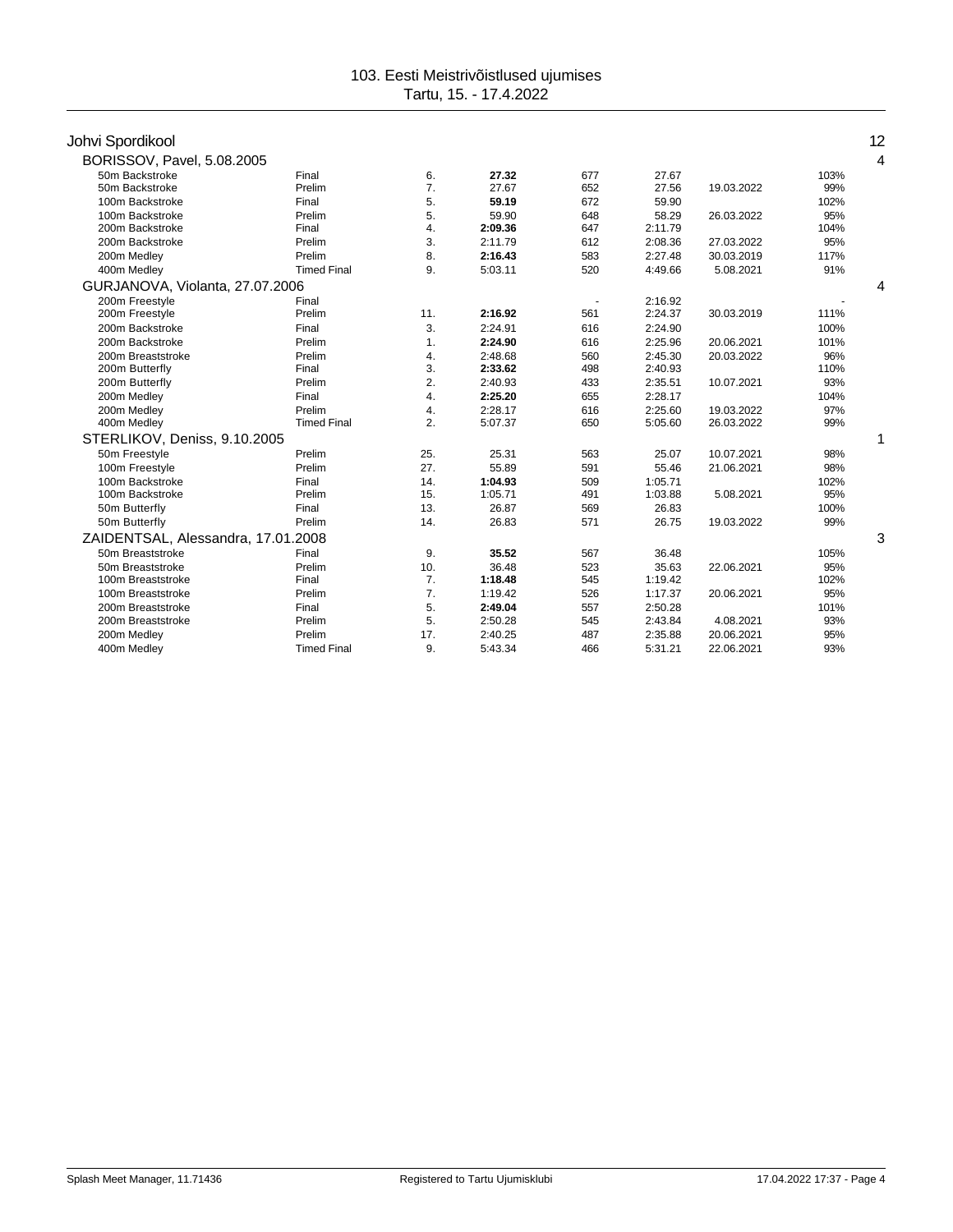# Johvi Spordikool 12

| ----------                         |                    |     |         |     |         |            |      |   |
|------------------------------------|--------------------|-----|---------|-----|---------|------------|------|---|
| BORISSOV, Pavel, 5.08.2005         |                    |     |         |     |         |            |      | 4 |
| 50m Backstroke                     | Final              | 6.  | 27.32   | 677 | 27.67   |            | 103% |   |
| 50m Backstroke                     | Prelim             | 7.  | 27.67   | 652 | 27.56   | 19.03.2022 | 99%  |   |
| 100m Backstroke                    | Final              | 5.  | 59.19   | 672 | 59.90   |            | 102% |   |
| 100m Backstroke                    | Prelim             | 5.  | 59.90   | 648 | 58.29   | 26.03.2022 | 95%  |   |
| 200m Backstroke                    | Final              | 4.  | 2:09.36 | 647 | 2:11.79 |            | 104% |   |
| 200m Backstroke                    | Prelim             | 3.  | 2:11.79 | 612 | 2:08.36 | 27.03.2022 | 95%  |   |
| 200m Medley                        | Prelim             | 8.  | 2:16.43 | 583 | 2:27.48 | 30.03.2019 | 117% |   |
| 400m Medley                        | <b>Timed Final</b> | 9.  | 5:03.11 | 520 | 4:49.66 | 5.08.2021  | 91%  |   |
| GURJANOVA, Violanta, 27.07.2006    |                    |     |         |     |         |            |      |   |
| 200m Freestyle                     | Final              |     |         |     | 2:16.92 |            |      |   |
| 200m Freestyle                     | Prelim             | 11. | 2:16.92 | 561 | 2:24.37 | 30.03.2019 | 111% |   |
| 200m Backstroke                    | Final              | 3.  | 2:24.91 | 616 | 2:24.90 |            | 100% |   |
| 200m Backstroke                    | Prelim             | 1.  | 2:24.90 | 616 | 2:25.96 | 20.06.2021 | 101% |   |
| 200m Breaststroke                  | Prelim             | 4.  | 2:48.68 | 560 | 2:45.30 | 20.03.2022 | 96%  |   |
| 200m Butterfly                     | Final              | 3.  | 2:33.62 | 498 | 2:40.93 |            | 110% |   |
| 200m Butterfly                     | Prelim             | 2.  | 2:40.93 | 433 | 2:35.51 | 10.07.2021 | 93%  |   |
| 200m Medley                        | Final              | 4.  | 2:25.20 | 655 | 2:28.17 |            | 104% |   |
| 200m Medlev                        | Prelim             | 4.  | 2:28.17 | 616 | 2:25.60 | 19.03.2022 | 97%  |   |
| 400m Medley                        | <b>Timed Final</b> | 2.  | 5:07.37 | 650 | 5:05.60 | 26.03.2022 | 99%  |   |
| STERLIKOV, Deniss, 9.10.2005       |                    |     |         |     |         |            |      |   |
| 50m Freestyle                      | Prelim             | 25. | 25.31   | 563 | 25.07   | 10.07.2021 | 98%  |   |
| 100m Freestyle                     | Prelim             | 27. | 55.89   | 591 | 55.46   | 21.06.2021 | 98%  |   |
| 100m Backstroke                    | Final              | 14. | 1:04.93 | 509 | 1:05.71 |            | 102% |   |
| 100m Backstroke                    | Prelim             | 15. | 1:05.71 | 491 | 1:03.88 | 5.08.2021  | 95%  |   |
| 50m Butterfly                      | Final              | 13. | 26.87   | 569 | 26.83   |            | 100% |   |
| 50m Butterfly                      | Prelim             | 14. | 26.83   | 571 | 26.75   | 19.03.2022 | 99%  |   |
| ZAIDENTSAL, Alessandra, 17.01.2008 |                    |     |         |     |         |            |      | 3 |
| 50m Breaststroke                   | Final              | 9.  | 35.52   | 567 | 36.48   |            | 105% |   |
| 50m Breaststroke                   | Prelim             | 10. | 36.48   | 523 | 35.63   | 22.06.2021 | 95%  |   |
| 100m Breaststroke                  | Final              | 7.  | 1:18.48 | 545 | 1:19.42 |            | 102% |   |
| 100m Breaststroke                  | Prelim             | 7.  | 1:19.42 | 526 | 1:17.37 | 20.06.2021 | 95%  |   |
| 200m Breaststroke                  | Final              | 5.  | 2:49.04 | 557 | 2:50.28 |            | 101% |   |
| 200m Breaststroke                  | Prelim             | 5.  | 2:50.28 | 545 | 2:43.84 | 4.08.2021  | 93%  |   |
| 200m Medley                        | Prelim             | 17. | 2:40.25 | 487 | 2:35.88 | 20.06.2021 | 95%  |   |
| 400m Medley                        | <b>Timed Final</b> | 9.  | 5:43.34 | 466 | 5:31.21 | 22.06.2021 | 93%  |   |
|                                    |                    |     |         |     |         |            |      |   |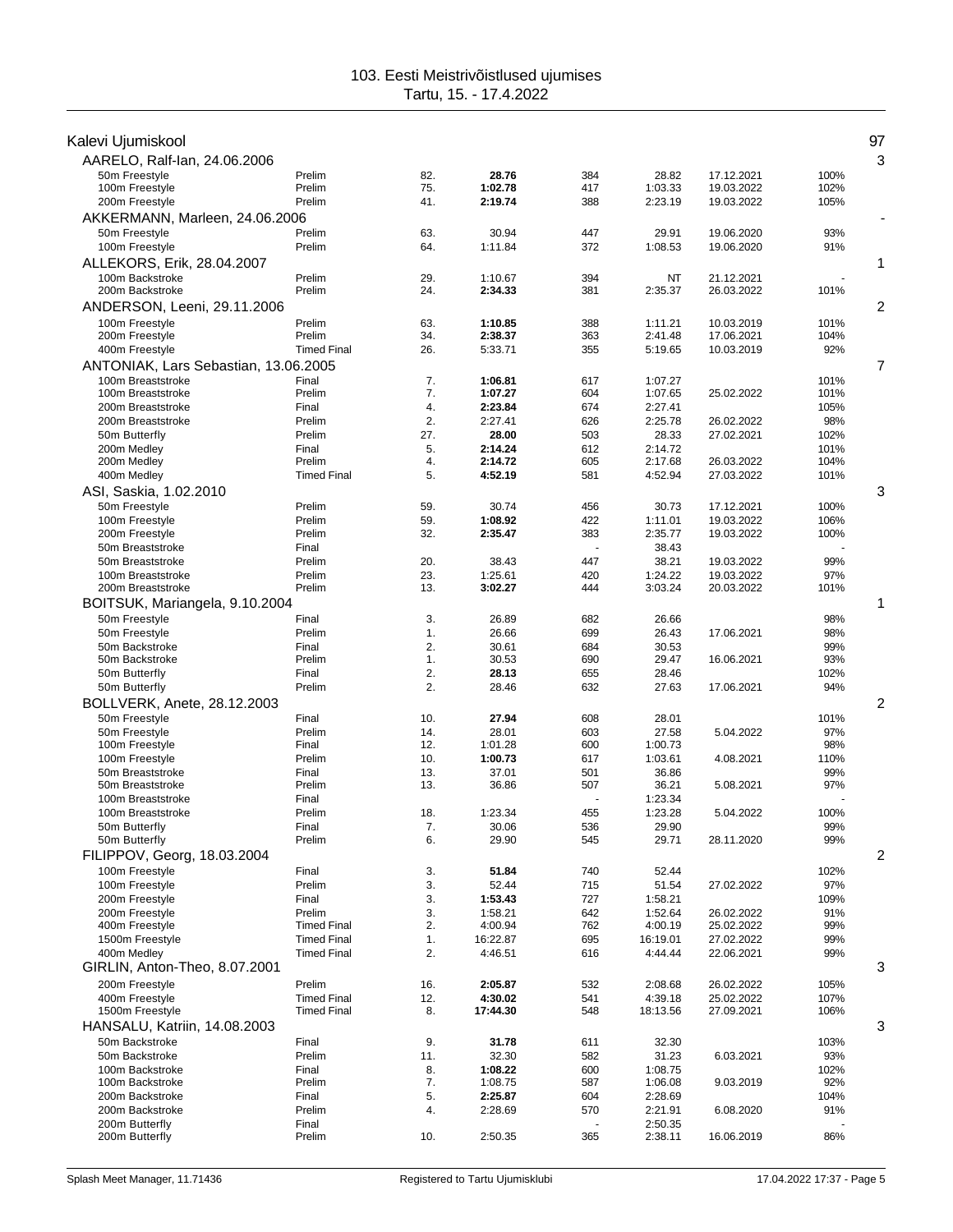| Kalevi Ujumiskool                      |                              |            |                    |            |                      |                          |              | 97             |
|----------------------------------------|------------------------------|------------|--------------------|------------|----------------------|--------------------------|--------------|----------------|
| AARELO, Ralf-Ian, 24.06.2006           |                              |            |                    |            |                      |                          |              | 3              |
| 50m Freestyle                          | Prelim                       | 82.        | 28.76              | 384        | 28.82                | 17.12.2021               | 100%         |                |
| 100m Freestyle                         | Prelim                       | 75.        | 1:02.78            | 417        | 1:03.33              | 19.03.2022               | 102%         |                |
| 200m Freestyle                         | Prelim                       | 41.        | 2:19.74            | 388        | 2:23.19              | 19.03.2022               | 105%         |                |
| AKKERMANN, Marleen, 24.06.2006         |                              |            |                    |            |                      |                          |              |                |
| 50m Freestyle                          | Prelim                       | 63.        | 30.94              | 447        | 29.91                | 19.06.2020               | 93%          |                |
| 100m Freestyle                         | Prelim                       | 64.        | 1:11.84            | 372        | 1:08.53              | 19.06.2020               | 91%          |                |
| ALLEKORS, Erik, 28.04.2007             |                              |            |                    |            |                      |                          |              | 1              |
| 100m Backstroke<br>200m Backstroke     | Prelim<br>Prelim             | 29.<br>24. | 1:10.67<br>2:34.33 | 394<br>381 | <b>NT</b><br>2:35.37 | 21.12.2021<br>26.03.2022 | 101%         |                |
|                                        |                              |            |                    |            |                      |                          |              | 2              |
| ANDERSON, Leeni, 29.11.2006            |                              |            |                    |            |                      |                          |              |                |
| 100m Freestyle<br>200m Freestyle       | Prelim<br>Prelim             | 63.<br>34. | 1:10.85<br>2:38.37 | 388<br>363 | 1:11.21<br>2:41.48   | 10.03.2019<br>17.06.2021 | 101%<br>104% |                |
| 400m Freestyle                         | <b>Timed Final</b>           | 26.        | 5:33.71            | 355        | 5:19.65              | 10.03.2019               | 92%          |                |
| ANTONIAK, Lars Sebastian, 13.06.2005   |                              |            |                    |            |                      |                          |              | 7              |
| 100m Breaststroke                      | Final                        | 7.         | 1:06.81            | 617        | 1:07.27              |                          | 101%         |                |
| 100m Breaststroke                      | Prelim                       | 7.         | 1:07.27            | 604        | 1:07.65              | 25.02.2022               | 101%         |                |
| 200m Breaststroke                      | Final                        | 4.         | 2:23.84            | 674        | 2:27.41              |                          | 105%         |                |
| 200m Breaststroke                      | Prelim                       | 2.         | 2:27.41            | 626        | 2:25.78              | 26.02.2022               | 98%          |                |
| 50m Butterfly                          | Prelim                       | 27.        | 28.00              | 503        | 28.33                | 27.02.2021               | 102%         |                |
| 200m Medlev<br>200m Medley             | Final<br>Prelim              | 5.<br>4.   | 2:14.24<br>2:14.72 | 612<br>605 | 2:14.72<br>2:17.68   | 26.03.2022               | 101%<br>104% |                |
| 400m Medley                            | <b>Timed Final</b>           | 5.         | 4:52.19            | 581        | 4:52.94              | 27.03.2022               | 101%         |                |
| ASI, Saskia, 1.02.2010                 |                              |            |                    |            |                      |                          |              | 3              |
| 50m Freestyle                          | Prelim                       | 59.        | 30.74              | 456        | 30.73                | 17.12.2021               | 100%         |                |
| 100m Freestyle                         | Prelim                       | 59.        | 1:08.92            | 422        | 1:11.01              | 19.03.2022               | 106%         |                |
| 200m Freestyle                         | Prelim                       | 32.        | 2:35.47            | 383        | 2:35.77              | 19.03.2022               | 100%         |                |
| 50m Breaststroke                       | Final                        |            |                    |            | 38.43                |                          |              |                |
| 50m Breaststroke                       | Prelim                       | 20.        | 38.43              | 447        | 38.21                | 19.03.2022               | 99%          |                |
| 100m Breaststroke<br>200m Breaststroke | Prelim<br>Prelim             | 23.<br>13. | 1:25.61<br>3:02.27 | 420<br>444 | 1:24.22<br>3:03.24   | 19.03.2022<br>20.03.2022 | 97%<br>101%  |                |
| BOITSUK, Mariangela, 9.10.2004         |                              |            |                    |            |                      |                          |              | 1              |
| 50m Freestyle                          | Final                        | 3.         | 26.89              | 682        | 26.66                |                          | 98%          |                |
| 50m Freestyle                          | Prelim                       | 1.         | 26.66              | 699        | 26.43                | 17.06.2021               | 98%          |                |
| 50m Backstroke                         | Final                        | 2.         | 30.61              | 684        | 30.53                |                          | 99%          |                |
| 50m Backstroke                         | Prelim                       | 1.         | 30.53              | 690        | 29.47                | 16.06.2021               | 93%          |                |
| 50m Butterfly                          | Final                        | 2.         | 28.13              | 655        | 28.46                |                          | 102%         |                |
| 50m Butterfly                          | Prelim                       | 2.         | 28.46              | 632        | 27.63                | 17.06.2021               | 94%          |                |
| BOLLVERK, Anete, 28.12.2003            |                              |            |                    |            |                      |                          |              | $\overline{2}$ |
| 50m Freestyle                          | Final                        | 10.        | 27.94              | 608        | 28.01                |                          | 101%         |                |
| 50m Freestyle<br>100m Freestyle        | Prelim<br>Final              | 14.<br>12. | 28.01<br>1:01.28   | 603<br>600 | 27.58<br>1:00.73     | 5.04.2022                | 97%<br>98%   |                |
| 100m Freestyle                         | Prelim                       | 10.        | 1:00.73            | 617        | 1:03.61              | 4.08.2021                | 110%         |                |
| 50m Breaststroke                       | Final                        | 13.        | 37.01              | 501        | 36.86                |                          | 99%          |                |
| 50m Breaststroke                       | Prelim                       | 13.        | 36.86              | 507        | 36.21                | 5.08.2021                | 97%          |                |
| 100m Breaststroke                      | Final                        |            |                    |            | 1:23.34              |                          |              |                |
| 100m Breaststroke                      | Prelim                       | 18.        | 1:23.34            | 455        | 1:23.28              | 5.04.2022                | 100%         |                |
| 50m Butterfly<br>50m Butterfly         | Final<br>Prelim              | 7.<br>6.   | 30.06<br>29.90     | 536<br>545 | 29.90<br>29.71       | 28.11.2020               | 99%<br>99%   |                |
| FILIPPOV, Georg, 18.03.2004            |                              |            |                    |            |                      |                          |              | 2              |
| 100m Freestyle                         | Final                        | 3.         | 51.84              | 740        | 52.44                |                          | 102%         |                |
| 100m Freestyle                         | Prelim                       | 3.         | 52.44              | 715        | 51.54                | 27.02.2022               | 97%          |                |
| 200m Freestyle                         | Final                        | 3.         | 1:53.43            | 727        | 1:58.21              |                          | 109%         |                |
| 200m Freestvle                         | Prelim                       | 3.         | 1:58.21            | 642        | 1:52.64              | 26.02.2022               | 91%          |                |
| 400m Freestyle                         | <b>Timed Final</b>           | 2.         | 4:00.94            | 762        | 4:00.19              | 25.02.2022               | 99%          |                |
| 1500m Freestyle                        | <b>Timed Final</b>           | 1.         | 16:22.87           | 695        | 16:19.01             | 27.02.2022               | 99%          |                |
| 400m Medley                            | <b>Timed Final</b>           | 2.         | 4:46.51            | 616        | 4:44.44              | 22.06.2021               | 99%          |                |
| GIRLIN, Anton-Theo, 8.07.2001          |                              |            |                    |            |                      |                          |              | 3              |
| 200m Freestyle<br>400m Freestyle       | Prelim<br><b>Timed Final</b> | 16.<br>12. | 2:05.87<br>4:30.02 | 532        | 2:08.68<br>4:39.18   | 26.02.2022<br>25.02.2022 | 105%<br>107% |                |
| 1500m Freestyle                        | <b>Timed Final</b>           | 8.         | 17:44.30           | 541<br>548 | 18:13.56             | 27.09.2021               | 106%         |                |
| HANSALU, Katriin, 14.08.2003           |                              |            |                    |            |                      |                          |              | 3              |
| 50m Backstroke                         | Final                        | 9.         | 31.78              | 611        | 32.30                |                          | 103%         |                |
| 50m Backstroke                         | Prelim                       | 11.        | 32.30              | 582        | 31.23                | 6.03.2021                | 93%          |                |
| 100m Backstroke                        | Final                        | 8.         | 1:08.22            | 600        | 1:08.75              |                          | 102%         |                |
| 100m Backstroke                        | Prelim                       | 7.         | 1:08.75            | 587        | 1:06.08              | 9.03.2019                | 92%          |                |
| 200m Backstroke                        | Final                        | 5.         | 2:25.87            | 604        | 2:28.69              |                          | 104%         |                |
| 200m Backstroke                        | Prelim                       | 4.         | 2:28.69            | 570        | 2:21.91              | 6.08.2020                | 91%          |                |
| 200m Butterfly<br>200m Butterfly       | Final<br>Prelim              | 10.        | 2:50.35            | 365        | 2:50.35<br>2:38.11   | 16.06.2019               | 86%          |                |
|                                        |                              |            |                    |            |                      |                          |              |                |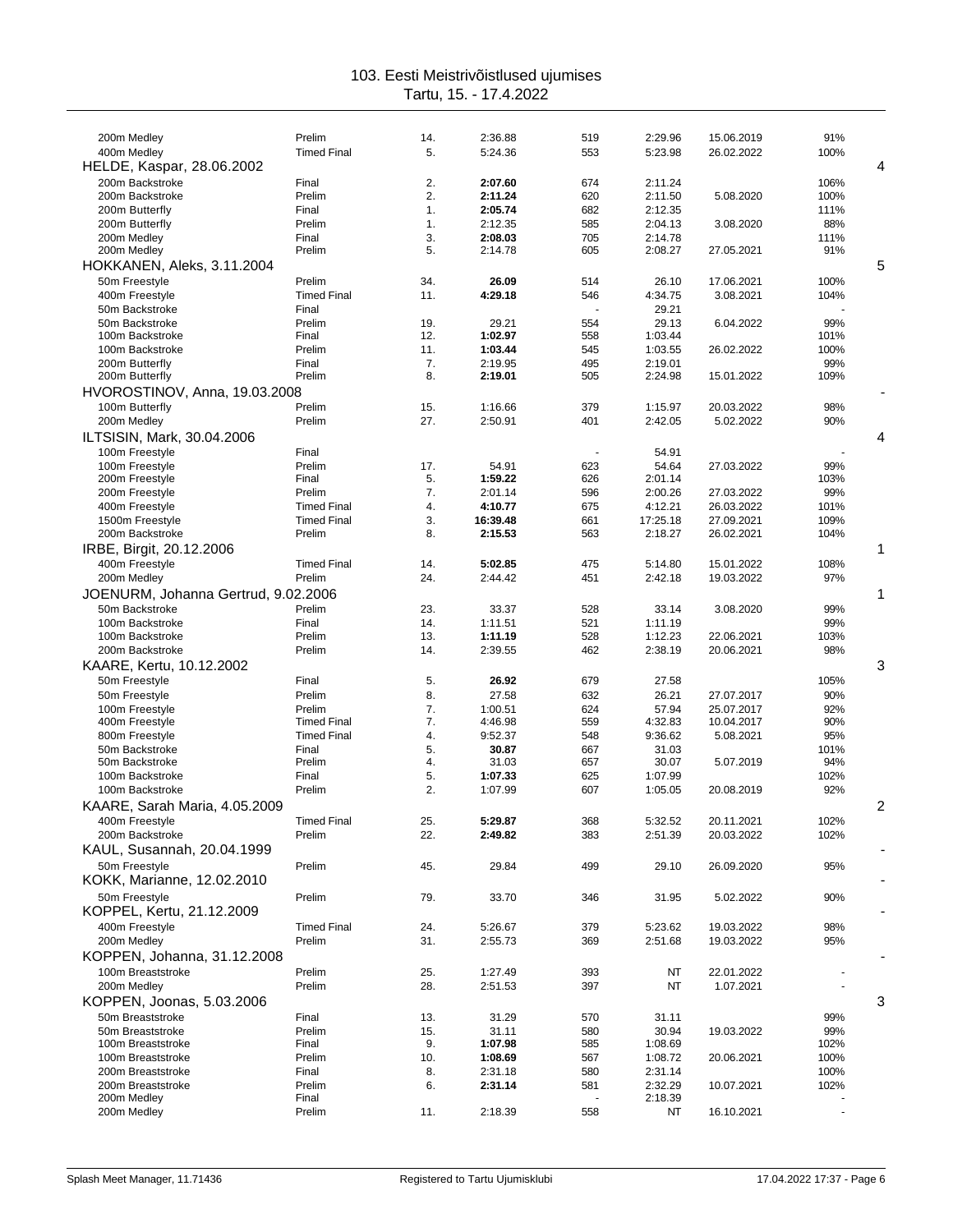| 200m Medley                         | Prelim             | 14. | 2:36.88  | 519 | 2:29.96  | 15.06.2019 | 91%            |                |
|-------------------------------------|--------------------|-----|----------|-----|----------|------------|----------------|----------------|
| 400m Medley                         | <b>Timed Final</b> | 5.  | 5:24.36  | 553 | 5:23.98  | 26.02.2022 | 100%           |                |
| HELDE, Kaspar, 28.06.2002           |                    |     |          |     |          |            |                | 4              |
| 200m Backstroke                     | Final              | 2.  | 2:07.60  | 674 | 2:11.24  |            | 106%           |                |
| 200m Backstroke                     | Prelim             | 2.  | 2:11.24  | 620 | 2:11.50  | 5.08.2020  | 100%           |                |
| 200m Butterfly                      | Final              | 1.  | 2:05.74  | 682 | 2:12.35  |            | 111%           |                |
| 200m Butterfly                      | Prelim             | 1.  | 2:12.35  | 585 | 2:04.13  | 3.08.2020  | 88%            |                |
| 200m Medley                         | Final              | 3.  | 2:08.03  | 705 | 2:14.78  |            | 111%           |                |
| 200m Medley                         | Prelim             | 5.  | 2:14.78  | 605 | 2:08.27  | 27.05.2021 | 91%            |                |
|                                     |                    |     |          |     |          |            |                |                |
| HOKKANEN, Aleks, 3.11.2004          |                    |     |          |     |          |            |                | 5              |
| 50m Freestyle                       | Prelim             | 34. | 26.09    | 514 | 26.10    | 17.06.2021 | 100%           |                |
| 400m Freestyle                      | <b>Timed Final</b> | 11. | 4:29.18  | 546 | 4:34.75  | 3.08.2021  | 104%           |                |
| 50m Backstroke                      | Final              |     |          |     | 29.21    |            |                |                |
| 50m Backstroke                      | Prelim             | 19. | 29.21    | 554 | 29.13    | 6.04.2022  | 99%            |                |
| 100m Backstroke                     | Final              | 12. | 1:02.97  | 558 | 1:03.44  |            | 101%           |                |
| 100m Backstroke                     | Prelim             | 11. | 1:03.44  | 545 | 1:03.55  | 26.02.2022 | 100%           |                |
| 200m Butterfly                      | Final              | 7.  | 2:19.95  | 495 | 2:19.01  |            | 99%            |                |
| 200m Butterfly                      | Prelim             | 8.  | 2:19.01  | 505 | 2:24.98  | 15.01.2022 | 109%           |                |
| HVOROSTINOV, Anna, 19.03.2008       |                    |     |          |     |          |            |                |                |
| 100m Butterfly                      | Prelim             | 15. | 1:16.66  | 379 | 1:15.97  | 20.03.2022 | 98%            |                |
| 200m Medley                         | Prelim             | 27. | 2:50.91  | 401 | 2:42.05  | 5.02.2022  | 90%            |                |
| ILTSISIN, Mark, 30.04.2006          |                    |     |          |     |          |            |                | 4              |
|                                     |                    |     |          |     |          |            |                |                |
| 100m Freestyle                      | Final              |     |          |     | 54.91    |            |                |                |
| 100m Freestyle                      | Prelim             | 17. | 54.91    | 623 | 54.64    | 27.03.2022 | 99%            |                |
| 200m Freestyle                      | Final              | 5.  | 1:59.22  | 626 | 2:01.14  |            | 103%           |                |
| 200m Freestyle                      | Prelim             | 7.  | 2:01.14  | 596 | 2:00.26  | 27.03.2022 | 99%            |                |
| 400m Freestyle                      | <b>Timed Final</b> | 4.  | 4:10.77  | 675 | 4:12.21  | 26.03.2022 | 101%           |                |
| 1500m Freestyle                     | <b>Timed Final</b> | 3.  | 16:39.48 | 661 | 17:25.18 | 27.09.2021 | 109%           |                |
| 200m Backstroke                     | Prelim             | 8.  | 2:15.53  | 563 | 2:18.27  | 26.02.2021 | 104%           |                |
| IRBE, Birgit, 20.12.2006            |                    |     |          |     |          |            |                | 1              |
| 400m Freestyle                      | <b>Timed Final</b> | 14. | 5:02.85  | 475 | 5:14.80  | 15.01.2022 | 108%           |                |
| 200m Medley                         | Prelim             | 24. | 2:44.42  | 451 | 2:42.18  | 19.03.2022 | 97%            |                |
| JOENURM, Johanna Gertrud, 9.02.2006 |                    |     |          |     |          |            |                | 1              |
| 50m Backstroke                      | Prelim             | 23. | 33.37    | 528 | 33.14    | 3.08.2020  | 99%            |                |
| 100m Backstroke                     | Final              | 14. | 1:11.51  | 521 | 1:11.19  |            | 99%            |                |
| 100m Backstroke                     | Prelim             | 13. | 1:11.19  | 528 | 1:12.23  | 22.06.2021 | 103%           |                |
| 200m Backstroke                     | Prelim             | 14. | 2:39.55  | 462 | 2:38.19  | 20.06.2021 | 98%            |                |
| KAARE, Kertu, 10.12.2002            |                    |     |          |     |          |            |                | 3              |
|                                     |                    |     |          |     |          |            |                |                |
| 50m Freestyle                       | Final              | 5.  | 26.92    | 679 | 27.58    |            | 105%           |                |
| 50m Freestyle                       | Prelim             | 8.  | 27.58    | 632 | 26.21    | 27.07.2017 | 90%            |                |
| 100m Freestyle                      | Prelim             | 7.  | 1:00.51  | 624 | 57.94    | 25.07.2017 | 92%            |                |
| 400m Freestyle                      | <b>Timed Final</b> | 7.  | 4:46.98  | 559 | 4:32.83  | 10.04.2017 | 90%            |                |
| 800m Freestyle                      | <b>Timed Final</b> | 4.  | 9:52.37  | 548 | 9:36.62  | 5.08.2021  | 95%            |                |
| 50m Backstroke                      | Final              | 5.  | 30.87    | 667 | 31.03    |            | 101%           |                |
| 50m Backstroke                      | Prelim             | 4.  | 31.03    | 657 | 30.07    | 5.07.2019  | 94%            |                |
| 100m Backstroke                     | Final              | 5.  | 1:07.33  | 625 | 1:07.99  |            | 102%           |                |
| 100m Backstroke                     | Prelim             | 2.  | 1:07.99  | 607 | 1:05.05  | 20.08.2019 | 92%            |                |
| KAARE, Sarah Maria, 4.05.2009       |                    |     |          |     |          |            |                | $\overline{c}$ |
| 400m Freestyle                      | <b>Timed Final</b> | 25. | 5:29.87  | 368 | 5:32.52  | 20.11.2021 | 102%           |                |
| 200m Backstroke                     | Prelim             | 22. | 2:49.82  | 383 | 2:51.39  | 20.03.2022 | 102%           |                |
| KAUL, Susannah, 20.04.1999          |                    |     |          |     |          |            |                |                |
| 50m Freestyle                       | Prelim             | 45. | 29.84    | 499 | 29.10    | 26.09.2020 | 95%            |                |
| KOKK, Marianne, 12.02.2010          |                    |     |          |     |          |            |                |                |
|                                     |                    |     |          |     |          |            |                |                |
| 50m Freestyle                       | Prelim             | 79. | 33.70    | 346 | 31.95    | 5.02.2022  | 90%            |                |
| KOPPEL, Kertu, 21.12.2009           |                    |     |          |     |          |            |                |                |
| 400m Freestyle                      | <b>Timed Final</b> | 24. | 5:26.67  | 379 | 5:23.62  | 19.03.2022 | 98%            |                |
| 200m Medley                         | Prelim             | 31. | 2:55.73  | 369 | 2:51.68  | 19.03.2022 | 95%            |                |
| KOPPEN, Johanna, 31.12.2008         |                    |     |          |     |          |            |                |                |
| 100m Breaststroke                   | Prelim             | 25. | 1:27.49  | 393 | NT       | 22.01.2022 |                |                |
| 200m Medley                         | Prelim             | 28. | 2:51.53  | 397 | NT       | 1.07.2021  |                |                |
| KOPPEN, Joonas, 5.03.2006           |                    |     |          |     |          |            |                | 3              |
|                                     |                    |     |          |     |          |            |                |                |
| 50m Breaststroke                    | Final              | 13. | 31.29    | 570 | 31.11    |            | 99%            |                |
| 50m Breaststroke                    | Prelim             | 15. | 31.11    | 580 | 30.94    | 19.03.2022 | 99%            |                |
| 100m Breaststroke                   | Final              | 9.  | 1:07.98  | 585 | 1:08.69  |            | 102%           |                |
| 100m Breaststroke                   | Prelim             | 10. | 1:08.69  | 567 | 1:08.72  | 20.06.2021 | 100%           |                |
| 200m Breaststroke                   | Final              | 8.  | 2:31.18  | 580 | 2:31.14  |            | 100%           |                |
| 200m Breaststroke                   | Prelim             | 6.  | 2:31.14  | 581 | 2:32.29  | 10.07.2021 | 102%           |                |
| 200m Medley                         | Final              |     |          |     | 2:18.39  |            |                |                |
| 200m Medley                         | Prelim             | 11. | 2:18.39  | 558 | NT       | 16.10.2021 | $\blacksquare$ |                |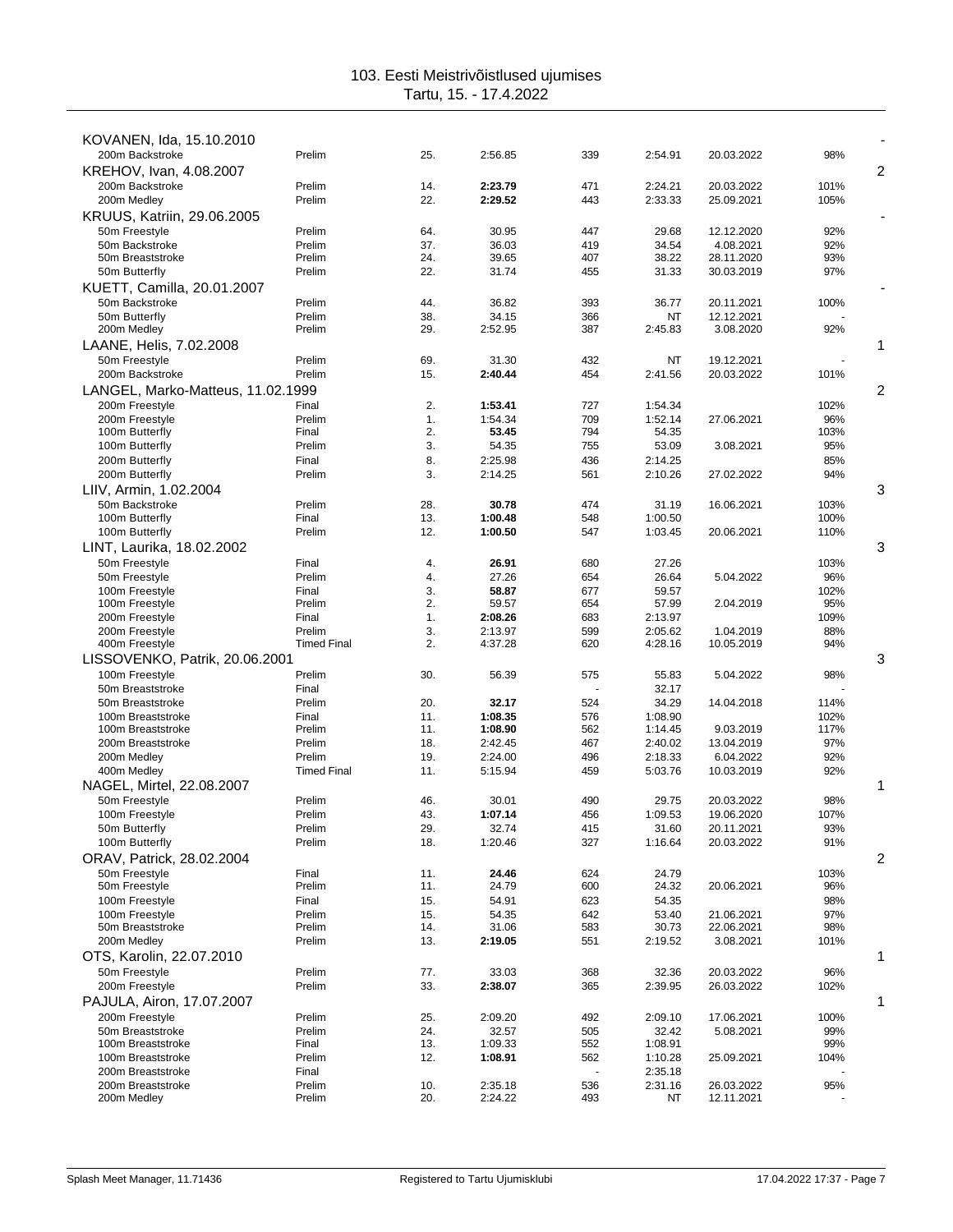| KOVANEN, Ida, 15.10.2010<br>200m Backstroke | Prelim             | 25.        | 2:56.85          | 339        | 2:54.91            | 20.03.2022               | 98%         |                |
|---------------------------------------------|--------------------|------------|------------------|------------|--------------------|--------------------------|-------------|----------------|
| KREHOV, Ivan, 4.08.2007                     |                    |            |                  |            |                    |                          |             | $\overline{2}$ |
| 200m Backstroke                             | Prelim             | 14.        | 2:23.79          | 471        | 2:24.21            | 20.03.2022               | 101%        |                |
| 200m Medley                                 | Prelim             | 22.        | 2:29.52          | 443        | 2:33.33            | 25.09.2021               | 105%        |                |
| KRUUS, Katriin, 29.06.2005                  |                    |            |                  |            |                    |                          |             |                |
| 50m Freestyle                               | Prelim             | 64.        | 30.95            | 447        | 29.68              | 12.12.2020               | 92%         |                |
| 50m Backstroke                              | Prelim             | 37.        | 36.03            | 419        | 34.54              | 4.08.2021                | 92%         |                |
| 50m Breaststroke                            | Prelim<br>Prelim   | 24.<br>22. | 39.65<br>31.74   | 407<br>455 | 38.22<br>31.33     | 28.11.2020<br>30.03.2019 | 93%<br>97%  |                |
| 50m Butterfly<br>KUETT, Camilla, 20.01.2007 |                    |            |                  |            |                    |                          |             |                |
| 50m Backstroke                              | Prelim             | 44.        | 36.82            | 393        | 36.77              | 20.11.2021               | 100%        |                |
| 50m Butterfly                               | Prelim             | 38.        | 34.15            | 366        | NT                 | 12.12.2021               |             |                |
| 200m Medley                                 | Prelim             | 29.        | 2:52.95          | 387        | 2:45.83            | 3.08.2020                | 92%         |                |
| LAANE, Helis, 7.02.2008                     |                    |            |                  |            |                    |                          |             | 1              |
| 50m Freestyle                               | Prelim             | 69.        | 31.30            | 432        | NT                 | 19.12.2021               |             |                |
| 200m Backstroke                             | Prelim             | 15.        | 2:40.44          | 454        | 2:41.56            | 20.03.2022               | 101%        |                |
| LANGEL, Marko-Matteus, 11.02.1999           |                    |            |                  |            |                    |                          |             | 2              |
| 200m Freestyle                              | Final              | 2.         | 1:53.41          | 727        | 1:54.34            |                          | 102%        |                |
| 200m Freestyle<br>100m Butterfly            | Prelim             | 1.         | 1:54.34<br>53.45 | 709<br>794 | 1:52.14            | 27.06.2021               | 96%<br>103% |                |
| 100m Butterfly                              | Final<br>Prelim    | 2.<br>3.   | 54.35            | 755        | 54.35<br>53.09     | 3.08.2021                | 95%         |                |
| 200m Butterfly                              | Final              | 8.         | 2:25.98          | 436        | 2:14.25            |                          | 85%         |                |
| 200m Butterfly                              | Prelim             | 3.         | 2:14.25          | 561        | 2:10.26            | 27.02.2022               | 94%         |                |
| LIIV, Armin, 1.02.2004                      |                    |            |                  |            |                    |                          |             | 3              |
| 50m Backstroke                              | Prelim             | 28.        | 30.78            | 474        | 31.19              | 16.06.2021               | 103%        |                |
| 100m Butterfly                              | Final              | 13.        | 1:00.48          | 548        | 1:00.50            |                          | 100%        |                |
| 100m Butterfly                              | Prelim             | 12.        | 1:00.50          | 547        | 1:03.45            | 20.06.2021               | 110%        |                |
| LINT, Laurika, 18.02.2002                   |                    |            |                  |            |                    |                          |             | 3              |
| 50m Freestyle                               | Final              | 4.         | 26.91            | 680        | 27.26              |                          | 103%        |                |
| 50m Freestyle<br>100m Freestyle             | Prelim<br>Final    | 4.<br>3.   | 27.26<br>58.87   | 654<br>677 | 26.64<br>59.57     | 5.04.2022                | 96%<br>102% |                |
| 100m Freestyle                              | Prelim             | 2.         | 59.57            | 654        | 57.99              | 2.04.2019                | 95%         |                |
| 200m Freestyle                              | Final              | 1.         | 2:08.26          | 683        | 2:13.97            |                          | 109%        |                |
| 200m Freestyle                              | Prelim             | 3.         | 2:13.97          | 599        | 2:05.62            | 1.04.2019                | 88%         |                |
| 400m Freestyle                              | <b>Timed Final</b> | 2.         | 4:37.28          | 620        | 4:28.16            | 10.05.2019               | 94%         |                |
| LISSOVENKO, Patrik, 20.06.2001              |                    |            |                  |            |                    |                          |             | 3              |
| 100m Freestyle                              | Prelim             | 30.        | 56.39            | 575        | 55.83              | 5.04.2022                | 98%         |                |
| 50m Breaststroke<br>50m Breaststroke        | Final<br>Prelim    | 20.        | 32.17            | 524        | 32.17<br>34.29     | 14.04.2018               | 114%        |                |
| 100m Breaststroke                           | Final              | 11.        | 1:08.35          | 576        | 1:08.90            |                          | 102%        |                |
| 100m Breaststroke                           | Prelim             | 11.        | 1:08.90          | 562        | 1:14.45            | 9.03.2019                | 117%        |                |
| 200m Breaststroke                           | Prelim             | 18.        | 2:42.45          | 467        | 2:40.02            | 13.04.2019               | 97%         |                |
| 200m Medley                                 | Prelim             | 19.        | 2:24.00          | 496        | 2:18.33            | 6.04.2022                | 92%         |                |
| 400m Medley                                 | <b>Timed Final</b> | 11.        | 5:15.94          | 459        | 5:03.76            | 10.03.2019               | 92%         |                |
| NAGEL, Mirtel, 22.08.2007<br>50m Freestyle  | Prelim             | 46.        | 30.01            | 490        | 29.75              | 20.03.2022               | 98%         | 1              |
| 100m Freestyle                              | Prelim             | 43.        | 1:07.14          | 456        | 1:09.53            | 19.06.2020               | 107%        |                |
| 50m Butterfly                               | Prelim             | 29.        | 32.74            | 415        | 31.60              | 20.11.2021               | 93%         |                |
| 100m Butterfly                              | Prelim             | 18.        | 1:20.46          | 327        | 1:16.64            | 20.03.2022               | 91%         |                |
| ORAV, Patrick, 28.02.2004                   |                    |            |                  |            |                    |                          |             | 2              |
| 50m Freestvle                               | Final              | 11.        | 24.46            | 624        | 24.79              |                          | 103%        |                |
| 50m Freestyle                               | Prelim             | 11.        | 24.79            | 600        | 24.32              | 20.06.2021               | 96%         |                |
| 100m Freestyle                              | Final              | 15.        | 54.91            | 623        | 54.35              |                          | 98%         |                |
| 100m Freestyle<br>50m Breaststroke          | Prelim<br>Prelim   | 15.<br>14. | 54.35<br>31.06   | 642<br>583 | 53.40<br>30.73     | 21.06.2021<br>22.06.2021 | 97%<br>98%  |                |
| 200m Medley                                 | Prelim             | 13.        | 2:19.05          | 551        | 2:19.52            | 3.08.2021                | 101%        |                |
| OTS, Karolin, 22.07.2010                    |                    |            |                  |            |                    |                          |             | 1              |
| 50m Freestyle                               | Prelim             | 77.        | 33.03            | 368        | 32.36              | 20.03.2022               | 96%         |                |
| 200m Freestyle                              | Prelim             | 33.        | 2:38.07          | 365        | 2:39.95            | 26.03.2022               | 102%        |                |
| PAJULA, Airon, 17.07.2007                   |                    |            |                  |            |                    |                          |             | 1              |
| 200m Freestyle                              | Prelim             | 25.        | 2:09.20          | 492        | 2:09.10            | 17.06.2021               | 100%        |                |
| 50m Breaststroke                            | Prelim             | 24.        | 32.57            | 505        | 32.42              | 5.08.2021                | 99%         |                |
| 100m Breaststroke                           | Final              | 13.        | 1:09.33          | 552        | 1:08.91            |                          | 99%         |                |
| 100m Breaststroke<br>200m Breaststroke      | Prelim<br>Final    | 12.        | 1:08.91          | 562        | 1:10.28<br>2:35.18 | 25.09.2021               | 104%        |                |
| 200m Breaststroke                           | Prelim             | 10.        | 2:35.18          | 536        | 2:31.16            | 26.03.2022               | 95%         |                |
| 200m Medley                                 | Prelim             | 20.        | 2:24.22          | 493        | ΝT                 | 12.11.2021               |             |                |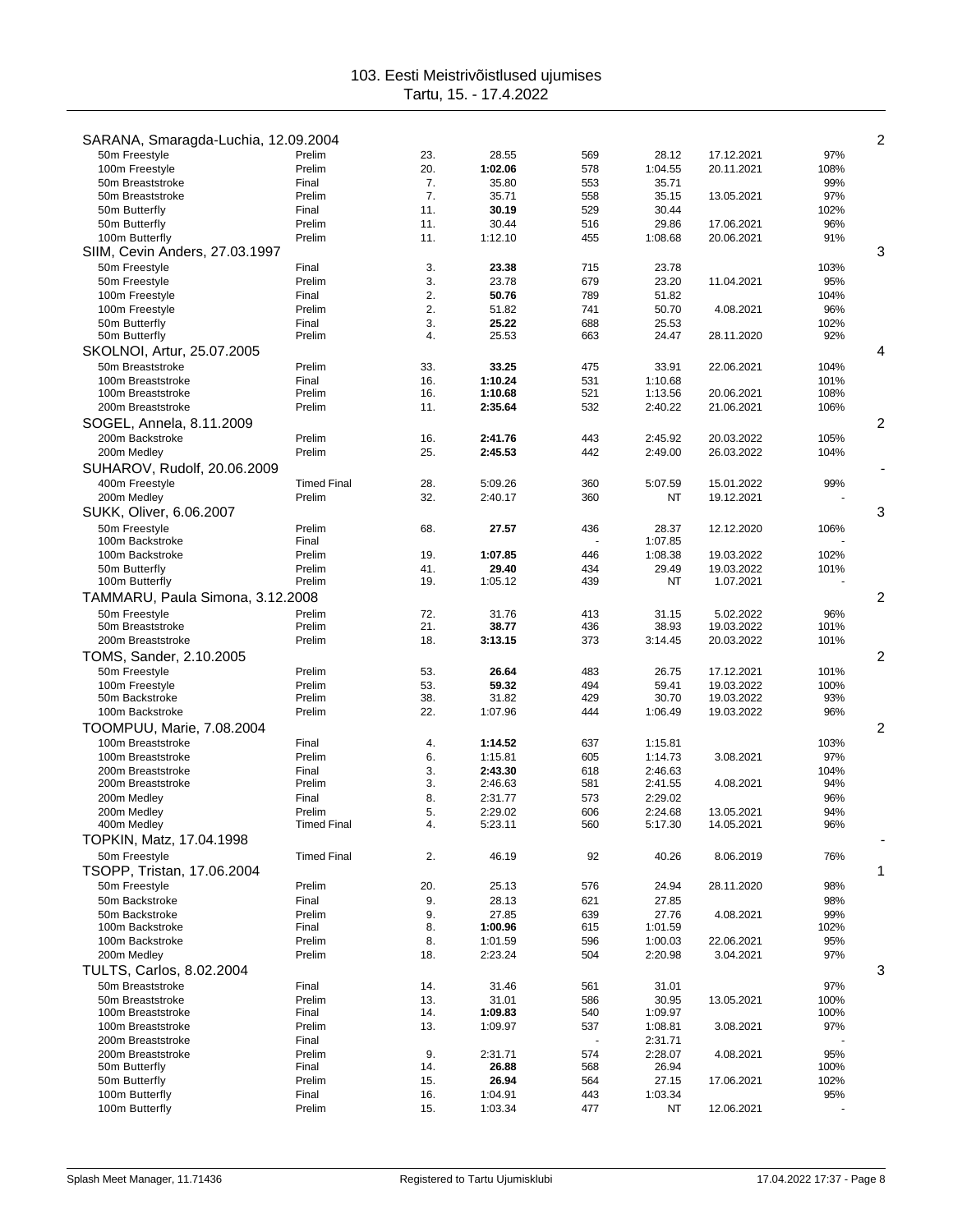|                                        |                    |            |                    |            |                    |                          |              | $\overline{c}$ |
|----------------------------------------|--------------------|------------|--------------------|------------|--------------------|--------------------------|--------------|----------------|
| SARANA, Smaragda-Luchia, 12.09.2004    |                    |            |                    |            |                    |                          |              |                |
| 50m Freestyle<br>100m Freestyle        | Prelim<br>Prelim   | 23.<br>20. | 28.55<br>1:02.06   | 569<br>578 | 28.12<br>1:04.55   | 17.12.2021<br>20.11.2021 | 97%<br>108%  |                |
| 50m Breaststroke                       | Final              | 7.         | 35.80              | 553        | 35.71              |                          | 99%          |                |
| 50m Breaststroke                       | Prelim             | 7.         | 35.71              | 558        | 35.15              | 13.05.2021               | 97%          |                |
| 50m Butterfly                          | Final              | 11.        | 30.19              | 529        | 30.44              |                          | 102%         |                |
| 50m Butterfly                          | Prelim             | 11.        | 30.44              | 516        | 29.86              | 17.06.2021               | 96%          |                |
| 100m Butterfly                         | Prelim             | 11.        | 1:12.10            | 455        | 1:08.68            | 20.06.2021               | 91%          |                |
| SIIM, Cevin Anders, 27.03.1997         |                    |            |                    |            |                    |                          |              | 3              |
| 50m Freestyle                          | Final              | 3.         | 23.38              | 715        | 23.78              |                          | 103%         |                |
| 50m Freestyle                          | Prelim             | 3.         | 23.78              | 679        | 23.20              | 11.04.2021               | 95%          |                |
| 100m Freestyle                         | Final              | 2.         | 50.76              | 789        | 51.82              |                          | 104%         |                |
| 100m Freestyle                         | Prelim             | 2.         | 51.82              | 741        | 50.70              | 4.08.2021                | 96%          |                |
| 50m Butterfly                          | Final              | 3.         | 25.22              | 688        | 25.53              |                          | 102%         |                |
| 50m Butterfly                          | Prelim             | 4.         | 25.53              | 663        | 24.47              | 28.11.2020               | 92%          |                |
| SKOLNOI, Artur, 25.07.2005             |                    |            |                    |            |                    |                          |              | 4              |
| 50m Breaststroke<br>100m Breaststroke  | Prelim<br>Final    | 33.<br>16. | 33.25<br>1:10.24   | 475<br>531 | 33.91<br>1:10.68   | 22.06.2021               | 104%         |                |
| 100m Breaststroke                      | Prelim             | 16.        | 1:10.68            | 521        | 1:13.56            | 20.06.2021               | 101%<br>108% |                |
| 200m Breaststroke                      | Prelim             | 11.        | 2:35.64            | 532        | 2:40.22            | 21.06.2021               | 106%         |                |
| SOGEL, Annela, 8.11.2009               |                    |            |                    |            |                    |                          |              | 2              |
| 200m Backstroke                        | Prelim             | 16.        | 2:41.76            | 443        | 2:45.92            | 20.03.2022               | 105%         |                |
| 200m Medlev                            | Prelim             | 25.        | 2:45.53            | 442        | 2:49.00            | 26.03.2022               | 104%         |                |
| SUHAROV, Rudolf, 20.06.2009            |                    |            |                    |            |                    |                          |              |                |
| 400m Freestyle                         | <b>Timed Final</b> | 28.        | 5:09.26            | 360        | 5:07.59            | 15.01.2022               | 99%          |                |
| 200m Medley                            | Prelim             | 32.        | 2:40.17            | 360        | NT                 | 19.12.2021               |              |                |
| SUKK, Oliver, 6.06.2007                |                    |            |                    |            |                    |                          |              | 3              |
| 50m Freestyle                          | Prelim             | 68.        | 27.57              | 436        | 28.37              | 12.12.2020               | 106%         |                |
| 100m Backstroke                        | Final              |            |                    |            | 1:07.85            |                          |              |                |
| 100m Backstroke                        | Prelim             | 19.        | 1:07.85            | 446        | 1:08.38            | 19.03.2022               | 102%         |                |
| 50m Butterfly                          | Prelim             | 41.        | 29.40              | 434        | 29.49              | 19.03.2022               | 101%         |                |
| 100m Butterfly                         | Prelim             | 19.        | 1:05.12            | 439        | NT                 | 1.07.2021                |              |                |
| TAMMARU, Paula Simona, 3.12.2008       |                    |            |                    |            |                    |                          |              | 2              |
| 50m Freestyle                          | Prelim             | 72.        | 31.76              | 413        | 31.15              | 5.02.2022                | 96%          |                |
| 50m Breaststroke                       | Prelim             | 21.        | 38.77              | 436        | 38.93              | 19.03.2022               | 101%         |                |
| 200m Breaststroke                      | Prelim             | 18.        | 3:13.15            | 373        | 3:14.45            | 20.03.2022               | 101%         |                |
| TOMS, Sander, 2.10.2005                |                    |            |                    |            |                    |                          |              | 2              |
| 50m Freestyle                          | Prelim             | 53.        | 26.64              | 483        | 26.75              | 17.12.2021               | 101%         |                |
| 100m Freestyle                         | Prelim             | 53.        | 59.32              | 494        | 59.41              | 19.03.2022               | 100%         |                |
| 50m Backstroke                         | Prelim             | 38.        | 31.82              | 429        | 30.70              | 19.03.2022               | 93%          |                |
| 100m Backstroke                        | Prelim             | 22.        | 1:07.96            | 444        | 1:06.49            | 19.03.2022               | 96%          |                |
| TOOMPUU, Marie, 7.08.2004              |                    |            |                    |            |                    |                          |              | 2              |
| 100m Breaststroke                      | Final              | 4.         | 1:14.52            | 637        | 1:15.81            |                          | 103%         |                |
| 100m Breaststroke                      | Prelim             | 6.         | 1:15.81            | 605        | 1:14.73            | 3.08.2021                | 97%          |                |
| 200m Breaststroke<br>200m Breaststroke | Final<br>Prelim    | 3.<br>3.   | 2:43.30<br>2:46.63 | 618<br>581 | 2:46.63<br>2:41.55 | 4.08.2021                | 104%<br>94%  |                |
| 200m Medley                            | Final              | 8.         | 2:31.77            | 573        | 2:29.02            |                          | 96%          |                |
| 200m Medley                            | Prelim             | 5.         | 2:29.02            | 606        | 2:24.68            | 13.05.2021               | 94%          |                |
| 400m Medley                            | <b>Timed Final</b> | 4.         | 5:23.11            | 560        | 5:17.30            | 14.05.2021               | 96%          |                |
| TOPKIN, Matz, 17.04.1998               |                    |            |                    |            |                    |                          |              |                |
| 50m Freestyle                          | <b>Timed Final</b> | 2.         | 46.19              | 92         | 40.26              | 8.06.2019                | 76%          |                |
| TSOPP, Tristan, 17.06.2004             |                    |            |                    |            |                    |                          |              | 1              |
| 50m Freestyle                          | Prelim             | 20.        | 25.13              | 576        | 24.94              | 28.11.2020               | 98%          |                |
| 50m Backstroke                         | Final              | 9.         | 28.13              | 621        | 27.85              |                          | 98%          |                |
| 50m Backstroke                         | Prelim             | 9.         | 27.85              | 639        | 27.76              | 4.08.2021                | 99%          |                |
| 100m Backstroke                        | Final              | 8.         | 1:00.96            | 615        | 1:01.59            |                          | 102%         |                |
| 100m Backstroke                        | Prelim             | 8.         | 1:01.59            | 596        | 1:00.03            | 22.06.2021               | 95%          |                |
| 200m Medley                            | Prelim             | 18.        | 2:23.24            | 504        | 2:20.98            | 3.04.2021                | 97%          |                |
| <b>TULTS, Carlos, 8.02.2004</b>        |                    |            |                    |            |                    |                          |              | 3              |
| 50m Breaststroke                       | Final              | 14.        | 31.46              | 561        | 31.01              |                          | 97%          |                |
| 50m Breaststroke                       | Prelim             | 13.        | 31.01              | 586        | 30.95              | 13.05.2021               | 100%         |                |
| 100m Breaststroke                      | Final              | 14.        | 1:09.83            | 540        | 1:09.97            |                          | 100%         |                |
| 100m Breaststroke                      | Prelim             | 13.        | 1:09.97            | 537        | 1:08.81            | 3.08.2021                | 97%          |                |
| 200m Breaststroke<br>200m Breaststroke | Final<br>Prelim    | 9.         |                    | 574        | 2:31.71            |                          | 95%          |                |
| 50m Butterfly                          | Final              | 14.        | 2:31.71<br>26.88   | 568        | 2:28.07<br>26.94   | 4.08.2021                | 100%         |                |
| 50m Butterfly                          | Prelim             | 15.        | 26.94              | 564        | 27.15              | 17.06.2021               | 102%         |                |
| 100m Butterfly                         | Final              | 16.        | 1:04.91            | 443        | 1:03.34            |                          | 95%          |                |
| 100m Butterfly                         | Prelim             | 15.        | 1:03.34            | 477        | NT                 | 12.06.2021               |              |                |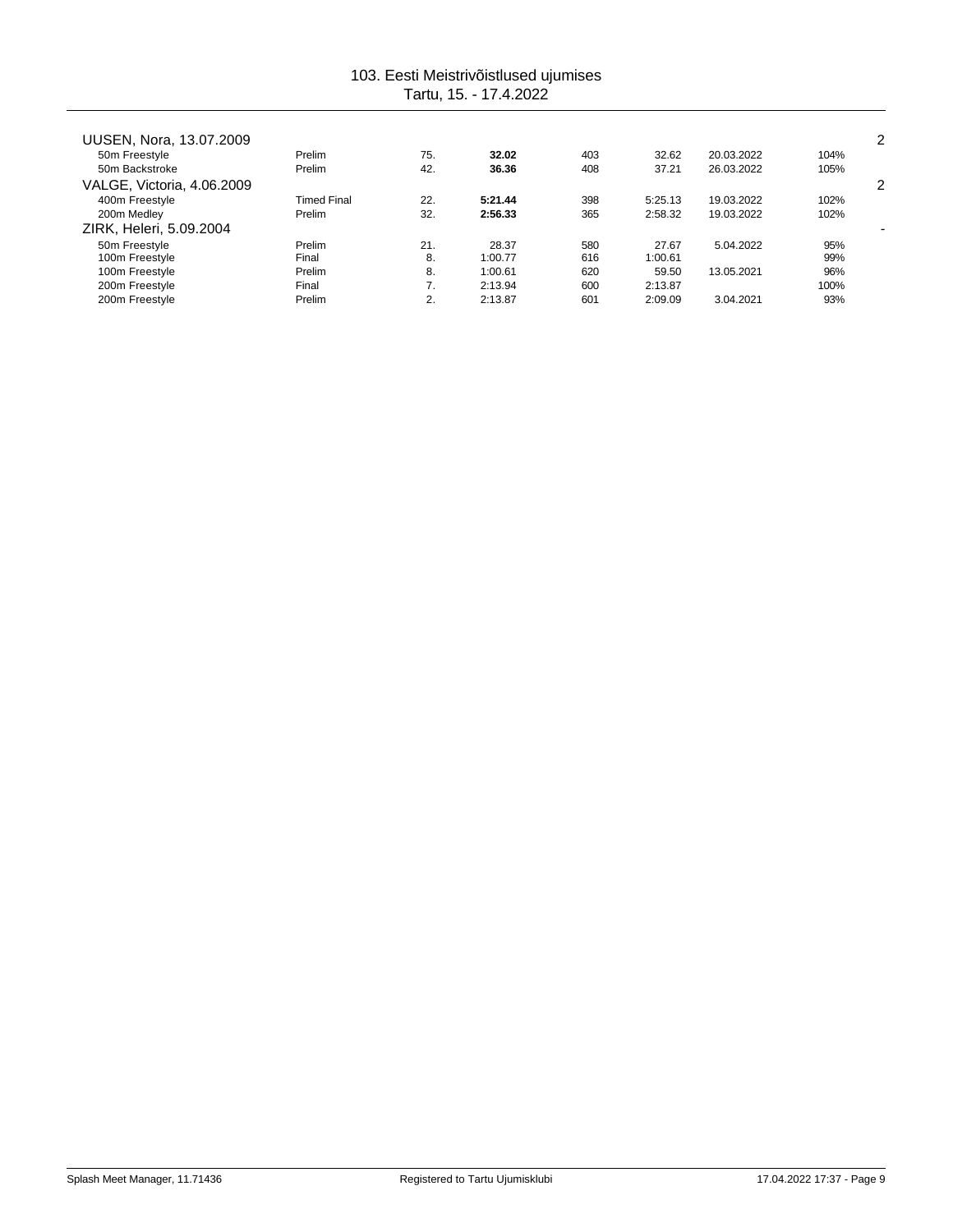| UUSEN, Nora, 13.07.2009    |                    |     |         |     |         |            |      | 2 |
|----------------------------|--------------------|-----|---------|-----|---------|------------|------|---|
| 50m Freestyle              | Prelim             | 75. | 32.02   | 403 | 32.62   | 20.03.2022 | 104% |   |
| 50m Backstroke             | Prelim             | 42. | 36.36   | 408 | 37.21   | 26.03.2022 | 105% |   |
| VALGE, Victoria, 4.06.2009 |                    |     |         |     |         |            |      | 2 |
| 400m Freestyle             | <b>Timed Final</b> | 22. | 5:21.44 | 398 | 5:25.13 | 19.03.2022 | 102% |   |
| 200m Medley                | Prelim             | 32. | 2:56.33 | 365 | 2:58.32 | 19.03.2022 | 102% |   |
| ZIRK, Heleri, 5.09.2004    |                    |     |         |     |         |            |      |   |
| 50m Freestyle              | Prelim             | 21. | 28.37   | 580 | 27.67   | 5.04.2022  | 95%  |   |
| 100m Freestyle             | Final              | 8.  | 1:00.77 | 616 | 1:00.61 |            | 99%  |   |
| 100m Freestyle             | Prelim             | 8.  | 1:00.61 | 620 | 59.50   | 13.05.2021 | 96%  |   |
| 200m Freestyle             | Final              | 7.  | 2:13.94 | 600 | 2:13.87 |            | 100% |   |
| 200m Freestyle             | Prelim             | 2.  | 2:13.87 | 601 | 2:09.09 | 3.04.2021  | 93%  |   |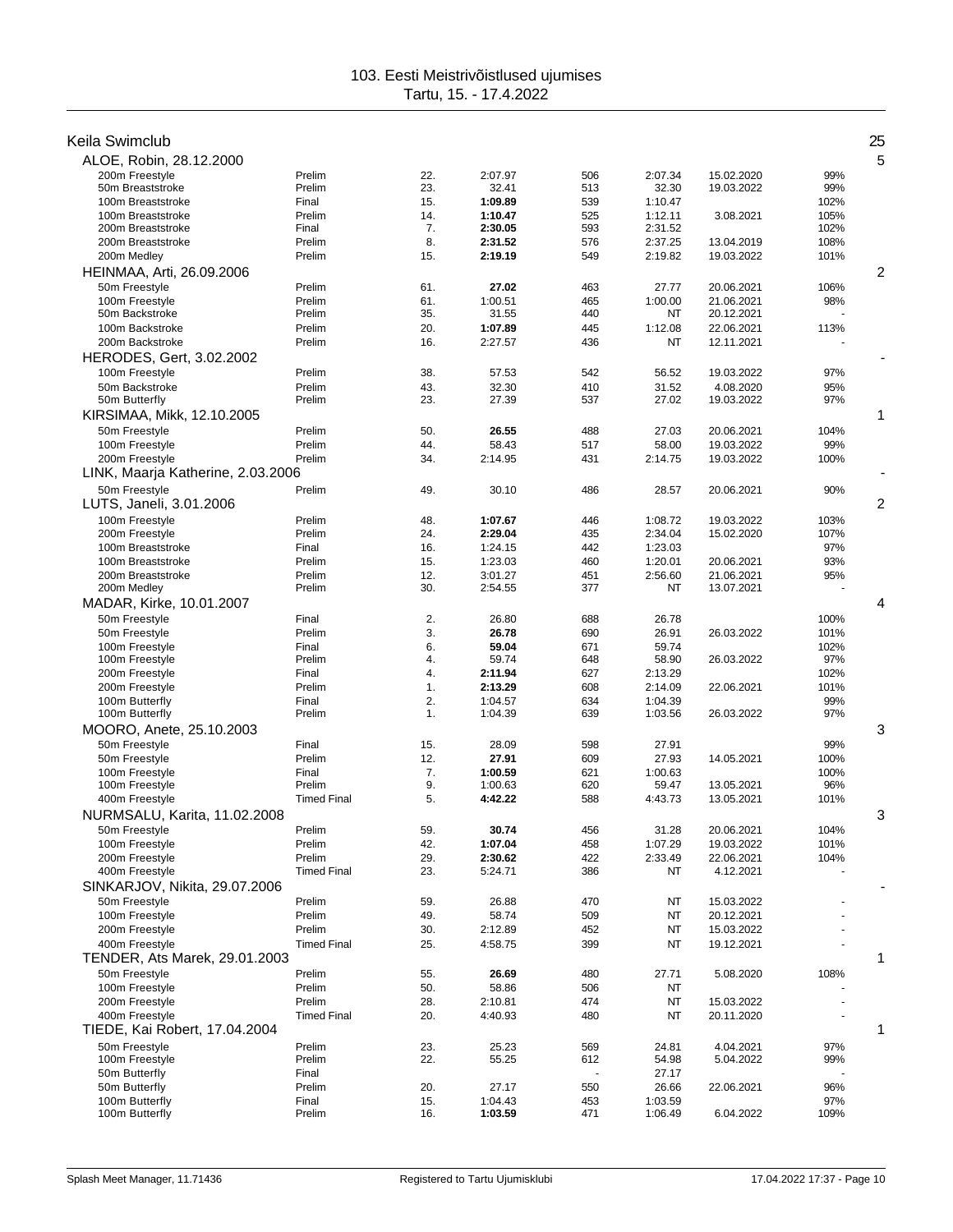| Keila Swimclub                     |                    |            |                    |            |                      |                          |              | 25 |
|------------------------------------|--------------------|------------|--------------------|------------|----------------------|--------------------------|--------------|----|
| ALOE, Robin, 28.12.2000            |                    |            |                    |            |                      |                          |              | 5  |
| 200m Freestyle                     | Prelim             | 22.        | 2:07.97            | 506        | 2:07.34              | 15.02.2020               | 99%          |    |
| 50m Breaststroke                   | Prelim             | 23.        | 32.41              | 513        | 32.30                | 19.03.2022               | 99%          |    |
| 100m Breaststroke                  | Final              | 15.        | 1:09.89            | 539        | 1:10.47              |                          | 102%         |    |
| 100m Breaststroke                  | Prelim             | 14.        | 1:10.47            | 525        | 1:12.11              | 3.08.2021                | 105%         |    |
| 200m Breaststroke                  | Final              | 7.         | 2:30.05            | 593        | 2:31.52              |                          | 102%         |    |
| 200m Breaststroke                  | Prelim             | 8.         | 2:31.52            | 576        | 2:37.25              | 13.04.2019               | 108%         |    |
| 200m Medley                        | Prelim             | 15.        | 2:19.19            | 549        | 2:19.82              | 19.03.2022               | 101%         |    |
| HEINMAA, Arti, 26.09.2006          |                    |            |                    |            |                      |                          |              | 2  |
| 50m Freestvle                      | Prelim             | 61.        | 27.02              | 463        | 27.77                | 20.06.2021               | 106%         |    |
| 100m Freestyle                     | Prelim             | 61.        | 1:00.51            | 465        | 1:00.00              | 21.06.2021               | 98%          |    |
| 50m Backstroke                     | Prelim<br>Prelim   | 35.        | 31.55              | 440        | NT                   | 20.12.2021               |              |    |
| 100m Backstroke<br>200m Backstroke | Prelim             | 20.<br>16. | 1:07.89<br>2:27.57 | 445<br>436 | 1:12.08<br><b>NT</b> | 22.06.2021<br>12.11.2021 | 113%         |    |
|                                    |                    |            |                    |            |                      |                          |              |    |
| HERODES, Gert, 3.02.2002           |                    |            |                    |            |                      |                          |              |    |
| 100m Freestyle<br>50m Backstroke   | Prelim<br>Prelim   | 38.<br>43. | 57.53<br>32.30     | 542<br>410 | 56.52<br>31.52       | 19.03.2022<br>4.08.2020  | 97%<br>95%   |    |
| 50m Butterfly                      | Prelim             | 23.        | 27.39              | 537        | 27.02                | 19.03.2022               | 97%          |    |
| KIRSIMAA, Mikk, 12.10.2005         |                    |            |                    |            |                      |                          |              | 1  |
| 50m Freestyle                      | Prelim             | 50.        | 26.55              | 488        | 27.03                | 20.06.2021               | 104%         |    |
| 100m Freestyle                     | Prelim             | 44.        | 58.43              | 517        | 58.00                | 19.03.2022               | 99%          |    |
| 200m Freestyle                     | Prelim             | 34.        | 2:14.95            | 431        | 2:14.75              | 19.03.2022               | 100%         |    |
| LINK, Maarja Katherine, 2.03.2006  |                    |            |                    |            |                      |                          |              |    |
| 50m Freestyle                      | Prelim             | 49.        | 30.10              | 486        | 28.57                | 20.06.2021               | 90%          |    |
| LUTS, Janeli, 3.01.2006            |                    |            |                    |            |                      |                          |              | 2  |
|                                    |                    |            |                    |            |                      |                          |              |    |
| 100m Freestyle<br>200m Freestyle   | Prelim<br>Prelim   | 48.<br>24. | 1:07.67<br>2:29.04 | 446<br>435 | 1:08.72<br>2:34.04   | 19.03.2022<br>15.02.2020 | 103%<br>107% |    |
| 100m Breaststroke                  | Final              | 16.        | 1:24.15            | 442        | 1:23.03              |                          | 97%          |    |
| 100m Breaststroke                  | Prelim             | 15.        | 1:23.03            | 460        | 1:20.01              | 20.06.2021               | 93%          |    |
| 200m Breaststroke                  | Prelim             | 12.        | 3:01.27            | 451        | 2:56.60              | 21.06.2021               | 95%          |    |
| 200m Medley                        | Prelim             | 30.        | 2:54.55            | 377        | NT                   | 13.07.2021               |              |    |
| MADAR, Kirke, 10.01.2007           |                    |            |                    |            |                      |                          |              | 4  |
| 50m Freestyle                      | Final              | 2.         | 26.80              | 688        | 26.78                |                          | 100%         |    |
| 50m Freestyle                      | Prelim             | 3.         | 26.78              | 690        | 26.91                | 26.03.2022               | 101%         |    |
| 100m Freestyle                     | Final              | 6.         | 59.04              | 671        | 59.74                |                          | 102%         |    |
| 100m Freestyle                     | Prelim             | 4.         | 59.74              | 648        | 58.90                | 26.03.2022               | 97%          |    |
| 200m Freestyle                     | Final              | 4.         | 2:11.94            | 627        | 2:13.29              |                          | 102%         |    |
| 200m Freestyle                     | Prelim             | 1.         | 2:13.29            | 608        | 2:14.09              | 22.06.2021               | 101%         |    |
| 100m Butterfly                     | Final              | 2.         | 1:04.57            | 634        | 1:04.39              |                          | 99%          |    |
| 100m Butterfly                     | Prelim             | 1.         | 1:04.39            | 639        | 1:03.56              | 26.03.2022               | 97%          |    |
| MOORO, Anete, 25.10.2003           |                    |            |                    |            |                      |                          |              | 3  |
| 50m Freestyle                      | Final              | 15.        | 28.09              | 598        | 27.91                |                          | 99%          |    |
| 50m Freestyle                      | Prelim             | 12.        | 27.91              | 609        | 27.93                | 14.05.2021               | 100%         |    |
| 100m Freestyle<br>100m Freestyle   | Final<br>Prelim    | 7.<br>9.   | 1:00.59<br>1:00.63 | 621<br>620 | 1:00.63<br>59.47     | 13.05.2021               | 100%<br>96%  |    |
| 400m Freestyle                     | <b>Timed Final</b> | 5.         | 4:42.22            | 588        | 4:43.73              | 13.05.2021               | 101%         |    |
| NURMSALU, Karita, 11.02.2008       |                    |            |                    |            |                      |                          |              | 3  |
|                                    |                    |            | 30.74              |            |                      | 20.06.2021               |              |    |
| 50m Freestyle<br>100m Freestyle    | Prelim<br>Prelim   | 59.<br>42. | 1:07.04            | 456<br>458 | 31.28<br>1:07.29     | 19.03.2022               | 104%<br>101% |    |
| 200m Freestyle                     | Prelim             | 29.        | 2:30.62            | 422        | 2:33.49              | 22.06.2021               | 104%         |    |
| 400m Freestyle                     | <b>Timed Final</b> | 23.        | 5:24.71            | 386        | NT                   | 4.12.2021                |              |    |
| SINKARJOV, Nikita, 29.07.2006      |                    |            |                    |            |                      |                          |              |    |
| 50m Freestyle                      | Prelim             | 59.        | 26.88              | 470        | NT                   | 15.03.2022               |              |    |
| 100m Freestyle                     | Prelim             | 49.        | 58.74              | 509        | NT                   | 20.12.2021               |              |    |
| 200m Freestyle                     | Prelim             | 30.        | 2:12.89            | 452        | NT                   | 15.03.2022               |              |    |
| 400m Freestyle                     | <b>Timed Final</b> | 25.        | 4:58.75            | 399        | NT                   | 19.12.2021               |              |    |
| TENDER, Ats Marek, 29.01.2003      |                    |            |                    |            |                      |                          |              | 1  |
| 50m Freestyle                      | Prelim             | 55.        | 26.69              | 480        | 27.71                | 5.08.2020                | 108%         |    |
| 100m Freestyle                     | Prelim             | 50.        | 58.86              | 506        | NT                   |                          |              |    |
| 200m Freestyle                     | Prelim             | 28.        | 2:10.81            | 474        | NT                   | 15.03.2022               |              |    |
| 400m Freestyle                     | <b>Timed Final</b> | 20.        | 4:40.93            | 480        | NT                   | 20.11.2020               |              |    |
| TIEDE, Kai Robert, 17.04.2004      |                    |            |                    |            |                      |                          |              | 1  |
| 50m Freestyle                      | Prelim             | 23.        | 25.23              | 569        | 24.81                | 4.04.2021                | 97%          |    |
| 100m Freestyle                     | Prelim             | 22.        | 55.25              | 612        | 54.98                | 5.04.2022                | 99%          |    |
| 50m Butterfly                      | Final              |            |                    |            | 27.17                |                          |              |    |
| 50m Butterfly                      | Prelim             | 20.        | 27.17              | 550        | 26.66                | 22.06.2021               | 96%          |    |
| 100m Butterfly                     | Final              | 15.        | 1:04.43            | 453        | 1:03.59              |                          | 97%          |    |
| 100m Butterfly                     | Prelim             | 16.        | 1:03.59            | 471        | 1:06.49              | 6.04.2022                | 109%         |    |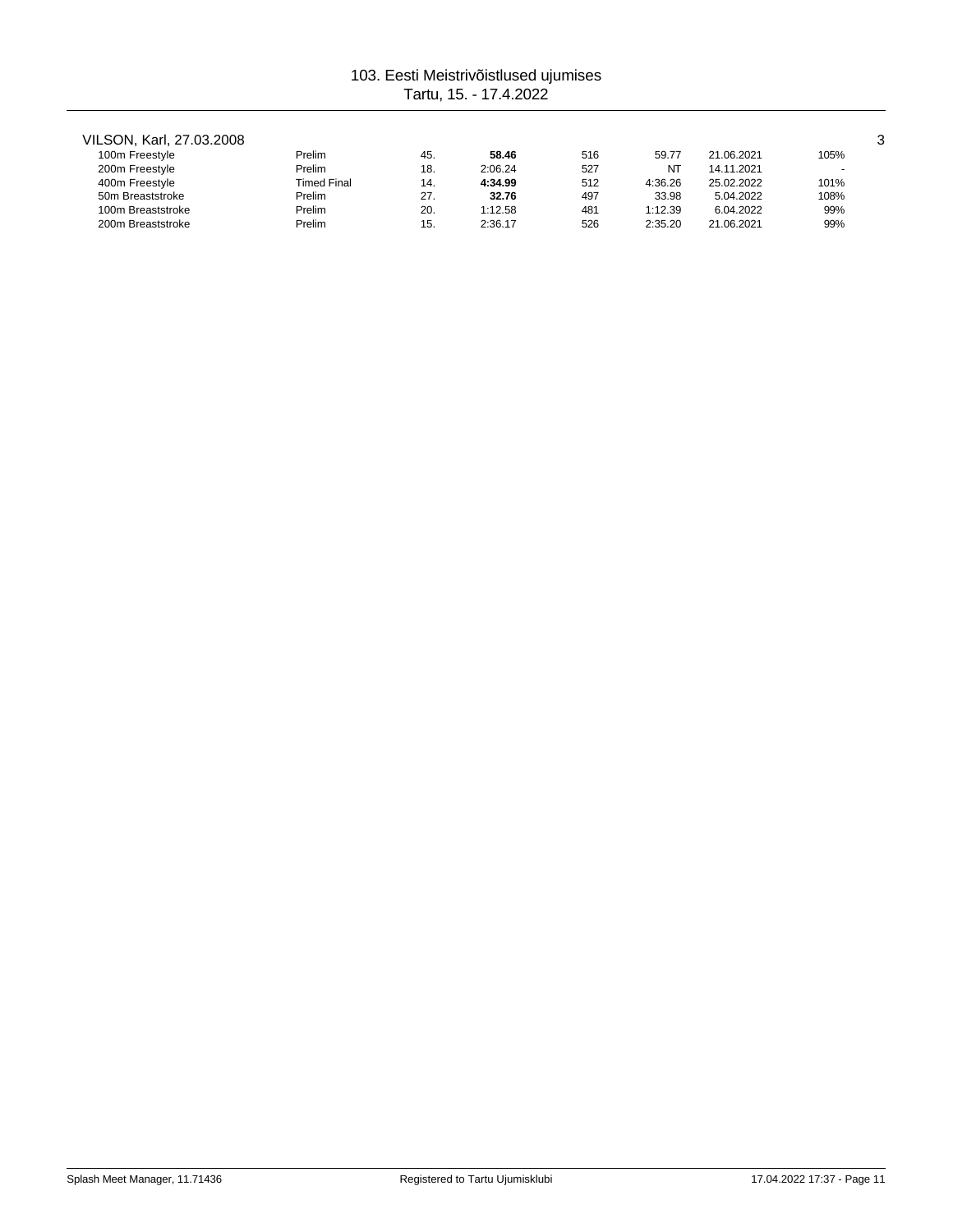# VILSON, Karl, 27.03.2008 3

| 100m Freestyle    | Prelim      | 45. | 58.46   | 516 | 59.77   | 21.06.2021 | 105%   |
|-------------------|-------------|-----|---------|-----|---------|------------|--------|
| 200m Freestyle    | Prelim      | 18. | 2:06.24 | 527 | NT      | 14.11.2021 | $\sim$ |
| 400m Freestyle    | Timed Final | 14. | 4:34.99 | 512 | 4:36.26 | 25.02.2022 | 101%   |
| 50m Breaststroke  | Prelim      | 27. | 32.76   | 497 | 33.98   | 5.04.2022  | 108%   |
| 100m Breaststroke | Prelim      | 20. | 1:12.58 | 481 | 1:12.39 | 6.04.2022  | 99%    |
| 200m Breaststroke | Prelim      | 15. | 2:36.17 | 526 | 2:35.20 | 21.06.2021 | 99%    |
|                   |             |     |         |     |         |            |        |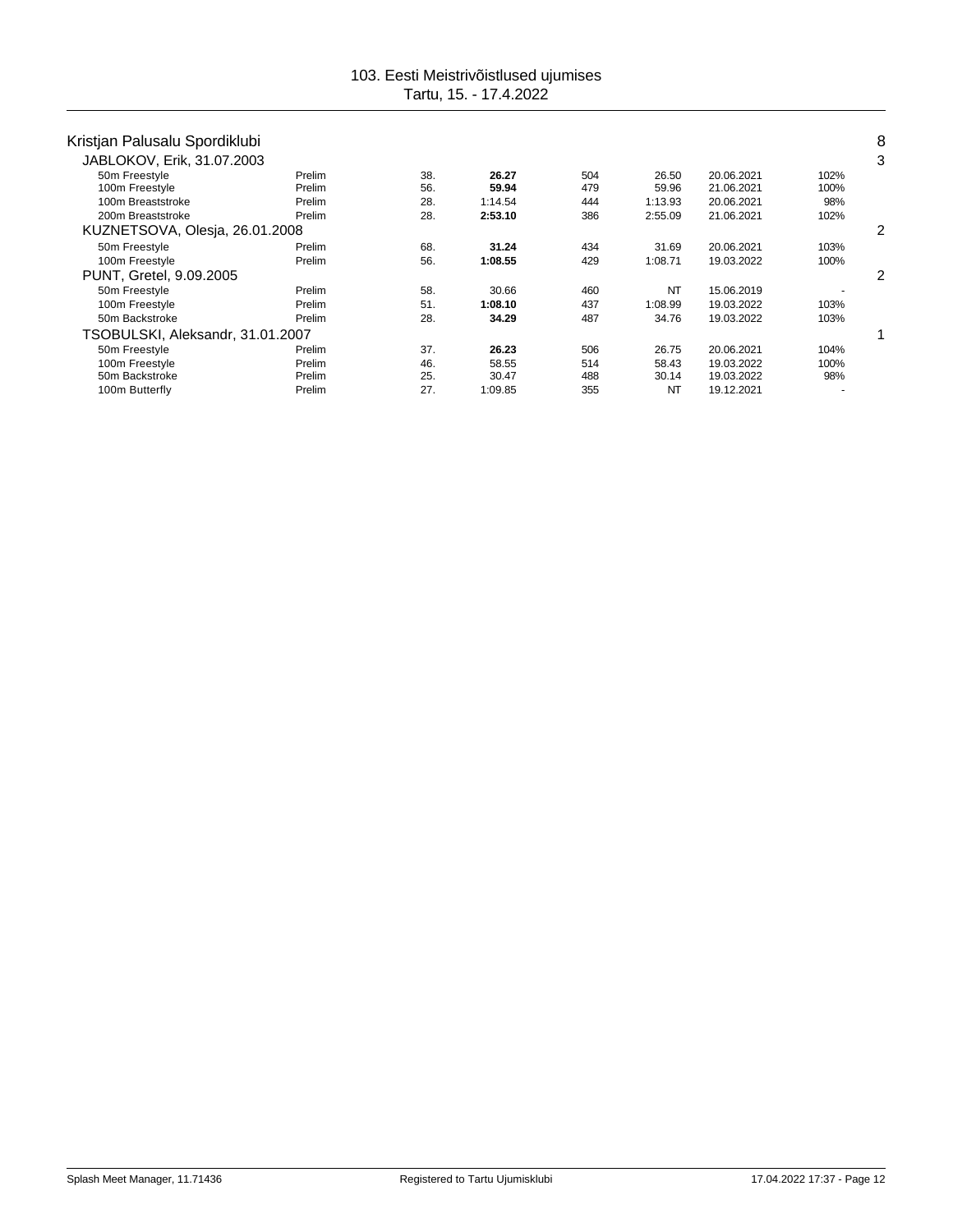| Kristjan Palusalu Spordiklubi    |        |     |         |     |           |            |      | 8 |
|----------------------------------|--------|-----|---------|-----|-----------|------------|------|---|
| JABLOKOV, Erik, 31.07.2003       |        |     |         |     |           |            |      | 3 |
| 50m Freestyle                    | Prelim | 38. | 26.27   | 504 | 26.50     | 20.06.2021 | 102% |   |
| 100m Freestyle                   | Prelim | 56. | 59.94   | 479 | 59.96     | 21.06.2021 | 100% |   |
| 100m Breaststroke                | Prelim | 28. | 1:14.54 | 444 | 1:13.93   | 20.06.2021 | 98%  |   |
| 200m Breaststroke                | Prelim | 28. | 2:53.10 | 386 | 2:55.09   | 21.06.2021 | 102% |   |
| KUZNETSOVA, Olesia, 26.01.2008   |        |     |         |     |           |            |      | 2 |
| 50m Freestyle                    | Prelim | 68. | 31.24   | 434 | 31.69     | 20.06.2021 | 103% |   |
| 100m Freestyle                   | Prelim | 56. | 1:08.55 | 429 | 1:08.71   | 19.03.2022 | 100% |   |
| PUNT, Gretel, 9.09.2005          |        |     |         |     |           |            |      |   |
| 50m Freestyle                    | Prelim | 58. | 30.66   | 460 | NT        | 15.06.2019 |      |   |
| 100m Freestyle                   | Prelim | 51. | 1:08.10 | 437 | 1:08.99   | 19.03.2022 | 103% |   |
| 50m Backstroke                   | Prelim | 28. | 34.29   | 487 | 34.76     | 19.03.2022 | 103% |   |
| TSOBULSKI, Aleksandr, 31.01.2007 |        |     |         |     |           |            |      |   |
| 50m Freestyle                    | Prelim | 37. | 26.23   | 506 | 26.75     | 20.06.2021 | 104% |   |
| 100m Freestyle                   | Prelim | 46. | 58.55   | 514 | 58.43     | 19.03.2022 | 100% |   |
| 50m Backstroke                   | Prelim | 25. | 30.47   | 488 | 30.14     | 19.03.2022 | 98%  |   |
| 100m Butterfly                   | Prelim | 27. | 1:09.85 | 355 | <b>NT</b> | 19.12.2021 |      |   |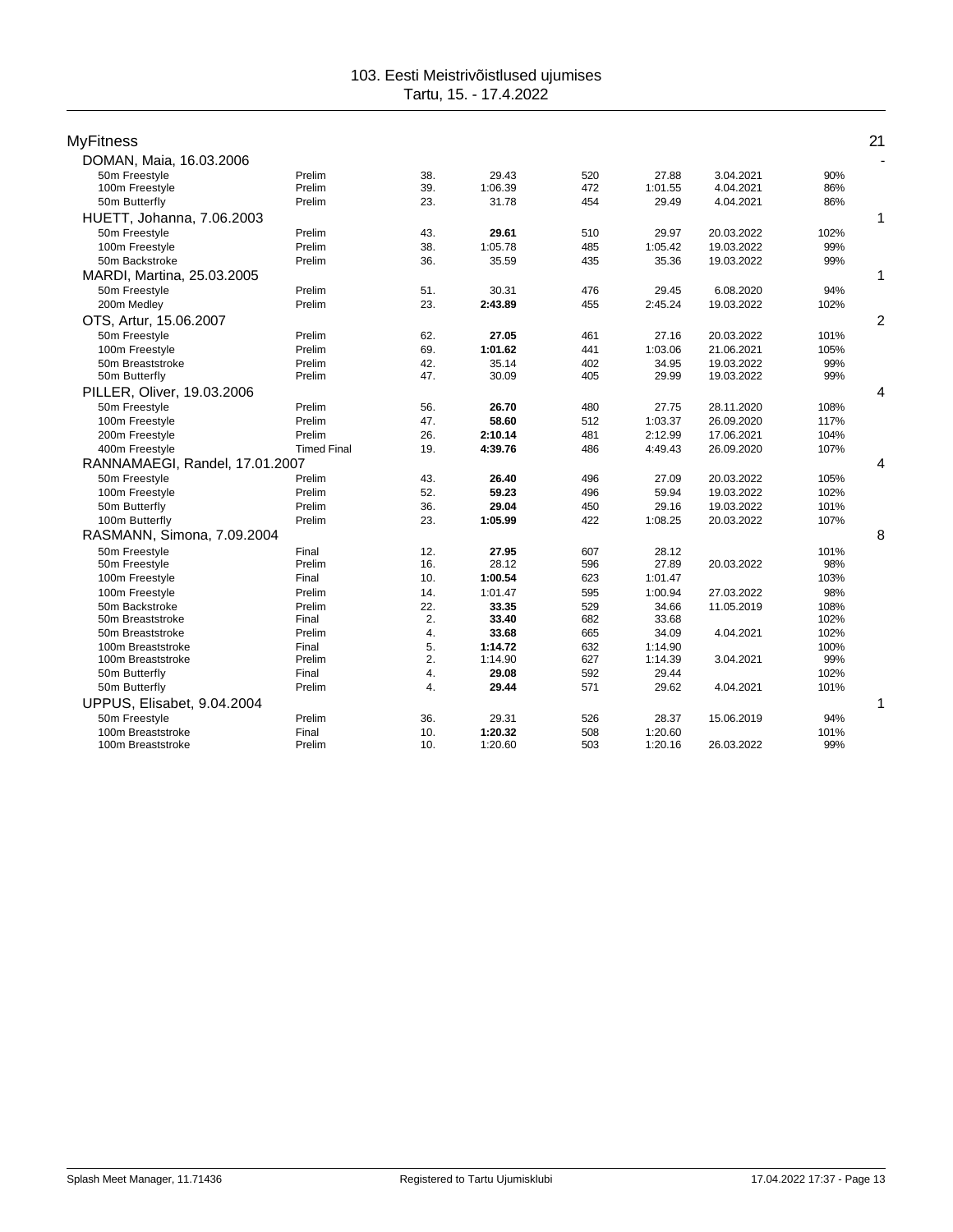| <b>MyFitness</b>               |                    |     |         |     |         |            |      | 21             |
|--------------------------------|--------------------|-----|---------|-----|---------|------------|------|----------------|
| DOMAN, Maia, 16.03.2006        |                    |     |         |     |         |            |      | ÷              |
| 50m Freestyle                  | Prelim             | 38. | 29.43   | 520 | 27.88   | 3.04.2021  | 90%  |                |
| 100m Freestyle                 | Prelim             | 39. | 1:06.39 | 472 | 1:01.55 | 4.04.2021  | 86%  |                |
| 50m Butterfly                  | Prelim             | 23. | 31.78   | 454 | 29.49   | 4.04.2021  | 86%  |                |
| HUETT, Johanna, 7.06.2003      |                    |     |         |     |         |            |      | 1              |
| 50m Freestyle                  | Prelim             | 43. | 29.61   | 510 | 29.97   | 20.03.2022 | 102% |                |
| 100m Freestyle                 | Prelim             | 38. | 1:05.78 | 485 | 1:05.42 | 19.03.2022 | 99%  |                |
| 50m Backstroke                 | Prelim             | 36. | 35.59   | 435 | 35.36   | 19.03.2022 | 99%  |                |
| MARDI, Martina, 25.03.2005     |                    |     |         |     |         |            |      | 1              |
| 50m Freestyle                  | Prelim             | 51. | 30.31   | 476 | 29.45   | 6.08.2020  | 94%  |                |
| 200m Medley                    | Prelim             | 23. | 2:43.89 | 455 | 2:45.24 | 19.03.2022 | 102% |                |
| OTS, Artur, 15.06.2007         |                    |     |         |     |         |            |      | $\overline{2}$ |
| 50m Freestyle                  | Prelim             | 62. | 27.05   | 461 | 27.16   | 20.03.2022 | 101% |                |
| 100m Freestyle                 | Prelim             | 69. | 1:01.62 | 441 | 1:03.06 | 21.06.2021 | 105% |                |
| 50m Breaststroke               | Prelim             | 42. | 35.14   | 402 | 34.95   | 19.03.2022 | 99%  |                |
| 50m Butterfly                  | Prelim             | 47. | 30.09   | 405 | 29.99   | 19.03.2022 | 99%  |                |
| PILLER, Oliver, 19.03.2006     |                    |     |         |     |         |            |      | 4              |
| 50m Freestyle                  | Prelim             | 56. | 26.70   | 480 | 27.75   | 28.11.2020 | 108% |                |
| 100m Freestyle                 | Prelim             | 47. | 58.60   | 512 | 1:03.37 | 26.09.2020 | 117% |                |
| 200m Freestyle                 | Prelim             | 26. | 2:10.14 | 481 | 2:12.99 | 17.06.2021 | 104% |                |
| 400m Freestyle                 | <b>Timed Final</b> | 19. | 4:39.76 | 486 | 4:49.43 | 26.09.2020 | 107% |                |
| RANNAMAEGI, Randel, 17.01.2007 |                    |     |         |     |         |            |      | 4              |
| 50m Freestyle                  | Prelim             | 43. | 26.40   | 496 | 27.09   | 20.03.2022 | 105% |                |
| 100m Freestyle                 | Prelim             | 52. | 59.23   | 496 | 59.94   | 19.03.2022 | 102% |                |
| 50m Butterfly                  | Prelim             | 36. | 29.04   | 450 | 29.16   | 19.03.2022 | 101% |                |
| 100m Butterfly                 | Prelim             | 23. | 1:05.99 | 422 | 1:08.25 | 20.03.2022 | 107% |                |
| RASMANN, Simona, 7.09.2004     |                    |     |         |     |         |            |      | 8              |
| 50m Freestyle                  | Final              | 12. | 27.95   | 607 | 28.12   |            | 101% |                |
| 50m Freestyle                  | Prelim             | 16. | 28.12   | 596 | 27.89   | 20.03.2022 | 98%  |                |
| 100m Freestyle                 | Final              | 10. | 1:00.54 | 623 | 1:01.47 |            | 103% |                |
| 100m Freestyle                 | Prelim             | 14. | 1:01.47 | 595 | 1:00.94 | 27.03.2022 | 98%  |                |
| 50m Backstroke                 | Prelim             | 22. | 33.35   | 529 | 34.66   | 11.05.2019 | 108% |                |
| 50m Breaststroke               | Final              | 2.  | 33.40   | 682 | 33.68   |            | 102% |                |
| 50m Breaststroke               | Prelim             | 4.  | 33.68   | 665 | 34.09   | 4.04.2021  | 102% |                |
| 100m Breaststroke              | Final              | 5.  | 1:14.72 | 632 | 1:14.90 |            | 100% |                |
| 100m Breaststroke              | Prelim             | 2.  | 1:14.90 | 627 | 1:14.39 | 3.04.2021  | 99%  |                |
| 50m Butterfly                  | Final              | 4.  | 29.08   | 592 | 29.44   |            | 102% |                |
| 50m Butterfly                  | Prelim             | 4.  | 29.44   | 571 | 29.62   | 4.04.2021  | 101% |                |
| UPPUS, Elisabet, 9.04.2004     |                    |     |         |     |         |            |      | 1              |
| 50m Freestyle                  | Prelim             | 36. | 29.31   | 526 | 28.37   | 15.06.2019 | 94%  |                |
| 100m Breaststroke              | Final              | 10. | 1:20.32 | 508 | 1:20.60 |            | 101% |                |
| 100m Breaststroke              | Prelim             | 10. | 1:20.60 | 503 | 1:20.16 | 26.03.2022 | 99%  |                |
|                                |                    |     |         |     |         |            |      |                |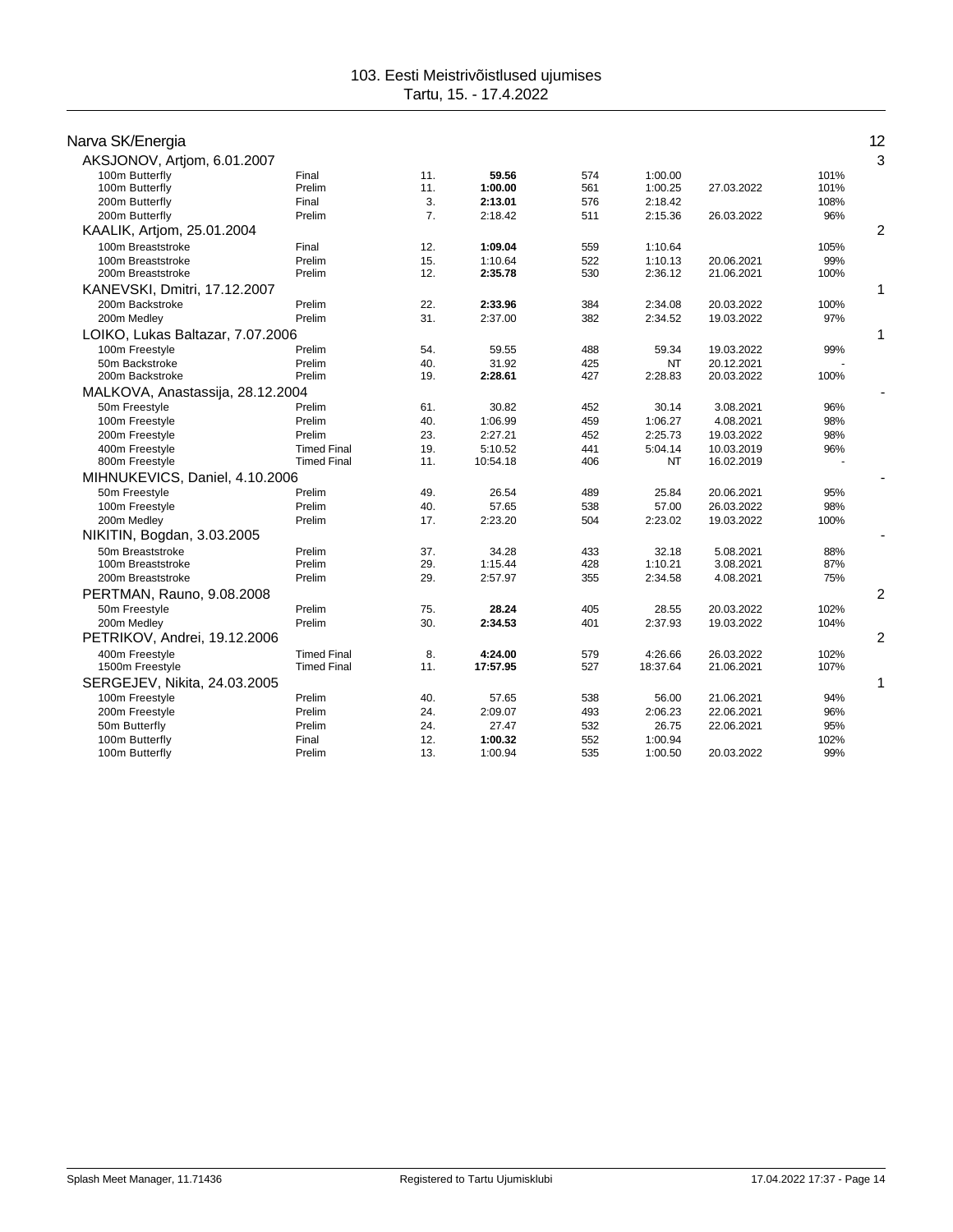| Narva SK/Energia                 |                    |     |          |     |           |            |      | 12             |
|----------------------------------|--------------------|-----|----------|-----|-----------|------------|------|----------------|
| AKSJONOV, Artjom, 6.01.2007      |                    |     |          |     |           |            |      | 3              |
| 100m Butterfly                   | Final              | 11. | 59.56    | 574 | 1:00.00   |            | 101% |                |
| 100m Butterfly                   | Prelim             | 11. | 1:00.00  | 561 | 1:00.25   | 27.03.2022 | 101% |                |
| 200m Butterfly                   | Final              | 3.  | 2:13.01  | 576 | 2:18.42   |            | 108% |                |
| 200m Butterfly                   | Prelim             | 7.  | 2:18.42  | 511 | 2:15.36   | 26.03.2022 | 96%  |                |
| KAALIK, Artjom, 25.01.2004       |                    |     |          |     |           |            |      | $\overline{c}$ |
| 100m Breaststroke                | Final              | 12. | 1:09.04  | 559 | 1:10.64   |            | 105% |                |
| 100m Breaststroke                | Prelim             | 15. | 1:10.64  | 522 | 1:10.13   | 20.06.2021 | 99%  |                |
| 200m Breaststroke                | Prelim             | 12. | 2:35.78  | 530 | 2:36.12   | 21.06.2021 | 100% |                |
| KANEVSKI, Dmitri, 17.12.2007     |                    |     |          |     |           |            |      |                |
| 200m Backstroke                  | Prelim             | 22. | 2:33.96  | 384 | 2:34.08   | 20.03.2022 | 100% |                |
| 200m Medley                      | Prelim             | 31. | 2:37.00  | 382 | 2:34.52   | 19.03.2022 | 97%  |                |
| LOIKO, Lukas Baltazar, 7.07.2006 |                    |     |          |     |           |            |      | 1              |
| 100m Freestyle                   | Prelim             | 54. | 59.55    | 488 | 59.34     | 19.03.2022 | 99%  |                |
| 50m Backstroke                   | Prelim             | 40. | 31.92    | 425 | <b>NT</b> | 20.12.2021 |      |                |
| 200m Backstroke                  | Prelim             | 19. | 2:28.61  | 427 | 2:28.83   | 20.03.2022 | 100% |                |
| MALKOVA, Anastassija, 28.12.2004 |                    |     |          |     |           |            |      |                |
| 50m Freestyle                    | Prelim             | 61. | 30.82    | 452 | 30.14     | 3.08.2021  | 96%  |                |
| 100m Freestyle                   | Prelim             | 40. | 1:06.99  | 459 | 1:06.27   | 4.08.2021  | 98%  |                |
| 200m Freestyle                   | Prelim             | 23. | 2:27.21  | 452 | 2:25.73   | 19.03.2022 | 98%  |                |
| 400m Freestyle                   | <b>Timed Final</b> | 19. | 5:10.52  | 441 | 5:04.14   | 10.03.2019 | 96%  |                |
| 800m Freestyle                   | <b>Timed Final</b> | 11. | 10:54.18 | 406 | NT        | 16.02.2019 |      |                |
| MIHNUKEVICS, Daniel, 4.10.2006   |                    |     |          |     |           |            |      |                |
| 50m Freestyle                    | Prelim             | 49. | 26.54    | 489 | 25.84     | 20.06.2021 | 95%  |                |
| 100m Freestyle                   | Prelim             | 40. | 57.65    | 538 | 57.00     | 26.03.2022 | 98%  |                |
| 200m Medley                      | Prelim             | 17. | 2:23.20  | 504 | 2:23.02   | 19.03.2022 | 100% |                |
| NIKITIN, Bogdan, 3.03.2005       |                    |     |          |     |           |            |      |                |
| 50m Breaststroke                 | Prelim             | 37. | 34.28    | 433 | 32.18     | 5.08.2021  | 88%  |                |
| 100m Breaststroke                | Prelim             | 29. | 1:15.44  | 428 | 1:10.21   | 3.08.2021  | 87%  |                |
| 200m Breaststroke                | Prelim             | 29. | 2:57.97  | 355 | 2:34.58   | 4.08.2021  | 75%  |                |
| PERTMAN, Rauno, 9.08.2008        |                    |     |          |     |           |            |      | $\overline{c}$ |
| 50m Freestyle                    | Prelim             | 75. | 28.24    | 405 | 28.55     | 20.03.2022 | 102% |                |
| 200m Medley                      | Prelim             | 30. | 2:34.53  | 401 | 2:37.93   | 19.03.2022 | 104% |                |
| PETRIKOV, Andrei, 19.12.2006     |                    |     |          |     |           |            |      | 2              |
| 400m Freestyle                   | <b>Timed Final</b> | 8.  | 4:24.00  | 579 | 4:26.66   | 26.03.2022 | 102% |                |
| 1500m Freestyle                  | <b>Timed Final</b> | 11. | 17:57.95 | 527 | 18:37.64  | 21.06.2021 | 107% |                |
| SERGEJEV, Nikita, 24.03.2005     |                    |     |          |     |           |            |      | 1              |
| 100m Freestyle                   | Prelim             | 40. | 57.65    | 538 | 56.00     | 21.06.2021 | 94%  |                |
| 200m Freestyle                   | Prelim             | 24. | 2:09.07  | 493 | 2:06.23   | 22.06.2021 | 96%  |                |
| 50m Butterfly                    | Prelim             | 24. | 27.47    | 532 | 26.75     | 22.06.2021 | 95%  |                |
| 100m Butterfly                   | Final              | 12. | 1:00.32  | 552 | 1:00.94   |            | 102% |                |
| 100m Butterfly                   | Prelim             | 13. | 1:00.94  | 535 | 1:00.50   | 20.03.2022 | 99%  |                |
|                                  |                    |     |          |     |           |            |      |                |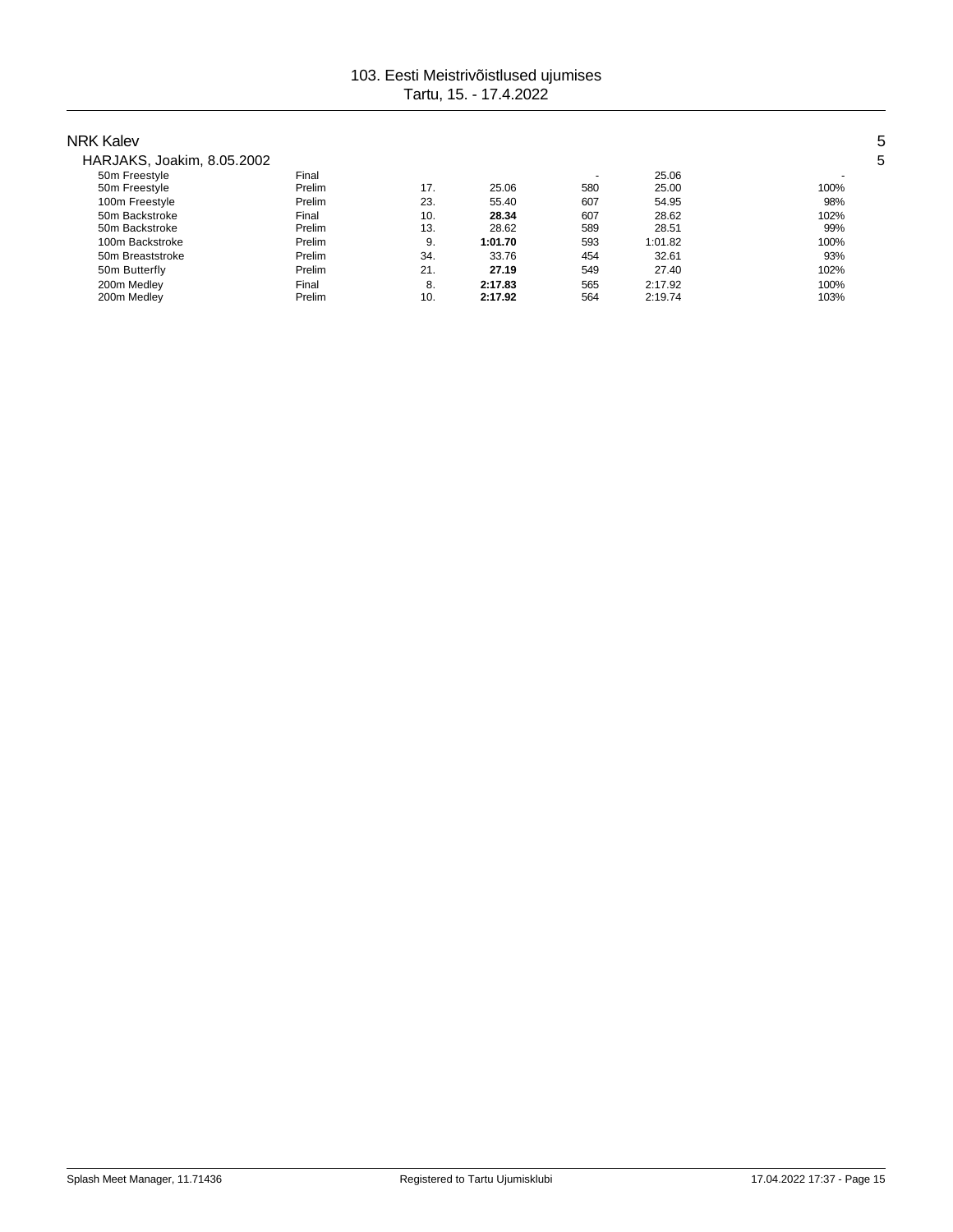| NRK Kalev                  |        |     |         |        |         |      |
|----------------------------|--------|-----|---------|--------|---------|------|
| HARJAKS, Joakim, 8.05.2002 |        |     |         |        |         |      |
| 50m Freestyle              | Final  |     |         | $\sim$ | 25.06   |      |
| 50m Freestyle              | Prelim | 17. | 25.06   | 580    | 25.00   | 100% |
| 100m Freestyle             | Prelim | 23. | 55.40   | 607    | 54.95   | 98%  |
| 50m Backstroke             | Final  | 10. | 28.34   | 607    | 28.62   | 102% |
| 50m Backstroke             | Prelim | 13. | 28.62   | 589    | 28.51   | 99%  |
| 100m Backstroke            | Prelim | 9.  | 1:01.70 | 593    | 1:01.82 | 100% |
| 50m Breaststroke           | Prelim | 34. | 33.76   | 454    | 32.61   | 93%  |
| 50m Butterfly              | Prelim | 21. | 27.19   | 549    | 27.40   | 102% |
| 200m Medley                | Final  | 8.  | 2:17.83 | 565    | 2:17.92 | 100% |
| 200m Medley                | Prelim | 10. | 2:17.92 | 564    | 2:19.74 | 103% |
|                            |        |     |         |        |         |      |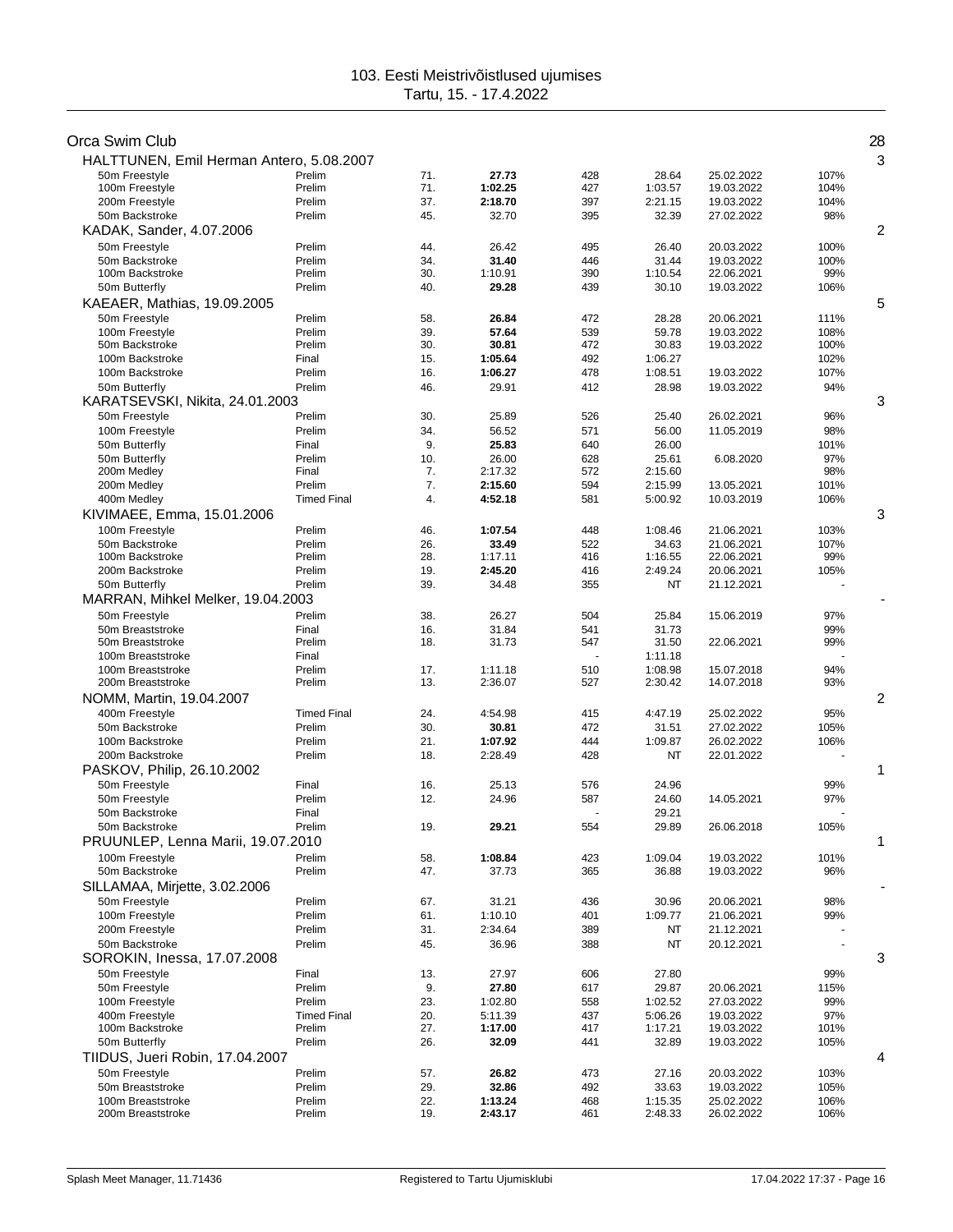| Orca Swim Club                           |                    |            |                    |                |                    |                          |             | 28 |
|------------------------------------------|--------------------|------------|--------------------|----------------|--------------------|--------------------------|-------------|----|
| HALTTUNEN, Emil Herman Antero, 5.08.2007 |                    |            |                    |                |                    |                          |             | 3  |
| 50m Freestyle                            | Prelim             | 71.        | 27.73              | 428            | 28.64              | 25.02.2022               | 107%        |    |
| 100m Freestyle                           | Prelim             | 71.        | 1:02.25            | 427            | 1:03.57            | 19.03.2022               | 104%        |    |
| 200m Freestyle                           | Prelim             | 37.        | 2:18.70            | 397            | 2:21.15            | 19.03.2022               | 104%        |    |
| 50m Backstroke                           | Prelim             | 45.        | 32.70              | 395            | 32.39              | 27.02.2022               | 98%         | 2  |
| KADAK, Sander, 4.07.2006                 |                    |            |                    |                |                    |                          |             |    |
| 50m Freestyle                            | Prelim             | 44.        | 26.42              | 495            | 26.40              | 20.03.2022               | 100%        |    |
| 50m Backstroke<br>100m Backstroke        | Prelim<br>Prelim   | 34.<br>30. | 31.40<br>1:10.91   | 446<br>390     | 31.44<br>1:10.54   | 19.03.2022<br>22.06.2021 | 100%<br>99% |    |
| 50m Butterfly                            | Prelim             | 40.        | 29.28              | 439            | 30.10              | 19.03.2022               | 106%        |    |
| KAEAER, Mathias, 19.09.2005              |                    |            |                    |                |                    |                          |             | 5  |
| 50m Freestyle                            | Prelim             | 58.        | 26.84              | 472            | 28.28              | 20.06.2021               | 111%        |    |
| 100m Freestyle                           | Prelim             | 39.        | 57.64              | 539            | 59.78              | 19.03.2022               | 108%        |    |
| 50m Backstroke                           | Prelim             | 30.        | 30.81              | 472            | 30.83              | 19.03.2022               | 100%        |    |
| 100m Backstroke                          | Final              | 15.        | 1:05.64            | 492            | 1:06.27            |                          | 102%        |    |
| 100m Backstroke                          | Prelim             | 16.        | 1:06.27            | 478            | 1:08.51            | 19.03.2022               | 107%        |    |
| 50m Butterfly                            | Prelim             | 46.        | 29.91              | 412            | 28.98              | 19.03.2022               | 94%         |    |
| KARATSEVSKI, Nikita, 24.01.2003          |                    |            |                    |                |                    |                          |             | 3  |
| 50m Freestyle                            | Prelim             | 30.        | 25.89              | 526            | 25.40              | 26.02.2021               | 96%         |    |
| 100m Freestyle                           | Prelim             | 34.        | 56.52              | 571            | 56.00              | 11.05.2019               | 98%         |    |
| 50m Butterfly                            | Final              | 9.         | 25.83              | 640            | 26.00              |                          | 101%        |    |
| 50m Butterfly                            | Prelim             | 10.        | 26.00              | 628            | 25.61              | 6.08.2020                | 97%         |    |
| 200m Medley                              | Final              | 7.         | 2:17.32            | 572            | 2:15.60            |                          | 98%         |    |
| 200m Medley                              | Prelim             | 7.         | 2:15.60            | 594            | 2:15.99            | 13.05.2021               | 101%        |    |
| 400m Medley                              | <b>Timed Final</b> | 4.         | 4:52.18            | 581            | 5:00.92            | 10.03.2019               | 106%        |    |
| KIVIMAEE, Emma, 15.01.2006               |                    |            |                    |                |                    |                          |             | 3  |
| 100m Freestyle                           | Prelim             | 46.        | 1:07.54            | 448            | 1:08.46            | 21.06.2021               | 103%        |    |
| 50m Backstroke                           | Prelim             | 26.<br>28. | 33.49              | 522            | 34.63              | 21.06.2021               | 107%        |    |
| 100m Backstroke<br>200m Backstroke       | Prelim<br>Prelim   | 19.        | 1:17.11<br>2:45.20 | 416<br>416     | 1:16.55<br>2:49.24 | 22.06.2021<br>20.06.2021 | 99%<br>105% |    |
| 50m Butterfly                            | Prelim             | 39.        | 34.48              | 355            | NT                 | 21.12.2021               |             |    |
| MARRAN, Mihkel Melker, 19.04.2003        |                    |            |                    |                |                    |                          |             |    |
| 50m Freestyle                            | Prelim             | 38.        | 26.27              | 504            | 25.84              | 15.06.2019               | 97%         |    |
| 50m Breaststroke                         | Final              | 16.        | 31.84              | 541            | 31.73              |                          | 99%         |    |
| 50m Breaststroke                         | Prelim             | 18.        | 31.73              | 547            | 31.50              | 22.06.2021               | 99%         |    |
| 100m Breaststroke                        | Final              |            |                    | $\overline{a}$ | 1:11.18            |                          |             |    |
| 100m Breaststroke                        | Prelim             | 17.        | 1:11.18            | 510            | 1:08.98            | 15.07.2018               | 94%         |    |
| 200m Breaststroke                        | Prelim             | 13.        | 2:36.07            | 527            | 2:30.42            | 14.07.2018               | 93%         |    |
| NOMM, Martin, 19.04.2007                 |                    |            |                    |                |                    |                          |             | 2  |
| 400m Freestyle                           | <b>Timed Final</b> | 24.        | 4:54.98            | 415            | 4:47.19            | 25.02.2022               | 95%         |    |
| 50m Backstroke                           | Prelim             | 30.        | 30.81              | 472            | 31.51              | 27.02.2022               | 105%        |    |
| 100m Backstroke                          | Prelim             | 21.        | 1:07.92            | 444            | 1:09.87            | 26.02.2022               | 106%        |    |
| 200m Backstroke                          | Prelim             | 18.        | 2:28.49            | 428            | NT                 | 22.01.2022               |             |    |
| PASKOV, Philip, 26.10.2002               |                    |            |                    |                |                    |                          |             | 1  |
| 50m Freestyle                            | Final              | 16.        | 25.13              | 576            | 24.96              |                          | 99%         |    |
| 50m Freestyle                            | Prelim             | 12.        | 24.96              | 587            | 24.60              | 14.05.2021               | 97%         |    |
| 50m Backstroke                           | Final              |            |                    |                | 29.21              |                          |             |    |
| 50m Backstroke                           | Prelim             | 19.        | 29.21              | 554            | 29.89              | 26.06.2018               | 105%        | 1  |
| PRUUNLEP, Lenna Marii, 19.07.2010        |                    |            |                    |                |                    |                          |             |    |
| 100m Freestyle<br>50m Backstroke         | Prelim             | 58.        | 1:08.84            | 423            | 1:09.04            | 19.03.2022               | 101%        |    |
|                                          | Prelim             | 47.        | 37.73              | 365            | 36.88              | 19.03.2022               | 96%         |    |
| SILLAMAA, Mirjette, 3.02.2006            |                    |            |                    |                |                    |                          |             |    |
| 50m Freestyle                            | Prelim             | 67.        | 31.21              | 436            | 30.96              | 20.06.2021               | 98%         |    |
| 100m Freestyle                           | Prelim<br>Prelim   | 61.<br>31. | 1:10.10            | 401<br>389     | 1:09.77            | 21.06.2021               | 99%         |    |
| 200m Freestyle<br>50m Backstroke         | Prelim             | 45.        | 2:34.64<br>36.96   | 388            | NT<br>NT           | 21.12.2021<br>20.12.2021 |             |    |
| SOROKIN, Inessa, 17.07.2008              |                    |            |                    |                |                    |                          |             | 3  |
| 50m Freestvle                            | Final              | 13.        | 27.97              | 606            | 27.80              |                          | 99%         |    |
| 50m Freestyle                            | Prelim             | 9.         | 27.80              | 617            | 29.87              | 20.06.2021               | 115%        |    |
| 100m Freestyle                           | Prelim             | 23.        | 1:02.80            | 558            | 1:02.52            | 27.03.2022               | 99%         |    |
| 400m Freestyle                           | <b>Timed Final</b> | 20.        | 5:11.39            | 437            | 5:06.26            | 19.03.2022               | 97%         |    |
| 100m Backstroke                          | Prelim             | 27.        | 1:17.00            | 417            | 1:17.21            | 19.03.2022               | 101%        |    |
| 50m Butterfly                            | Prelim             | 26.        | 32.09              | 441            | 32.89              | 19.03.2022               | 105%        |    |
| TIIDUS, Jueri Robin, 17.04.2007          |                    |            |                    |                |                    |                          |             | 4  |
| 50m Freestyle                            | Prelim             | 57.        | 26.82              | 473            | 27.16              | 20.03.2022               | 103%        |    |
| 50m Breaststroke                         | Prelim             | 29.        | 32.86              | 492            | 33.63              | 19.03.2022               | 105%        |    |
| 100m Breaststroke                        | Prelim             | 22.        | 1:13.24            | 468            | 1:15.35            | 25.02.2022               | 106%        |    |
| 200m Breaststroke                        | Prelim             | 19.        | 2:43.17            | 461            | 2:48.33            | 26.02.2022               | 106%        |    |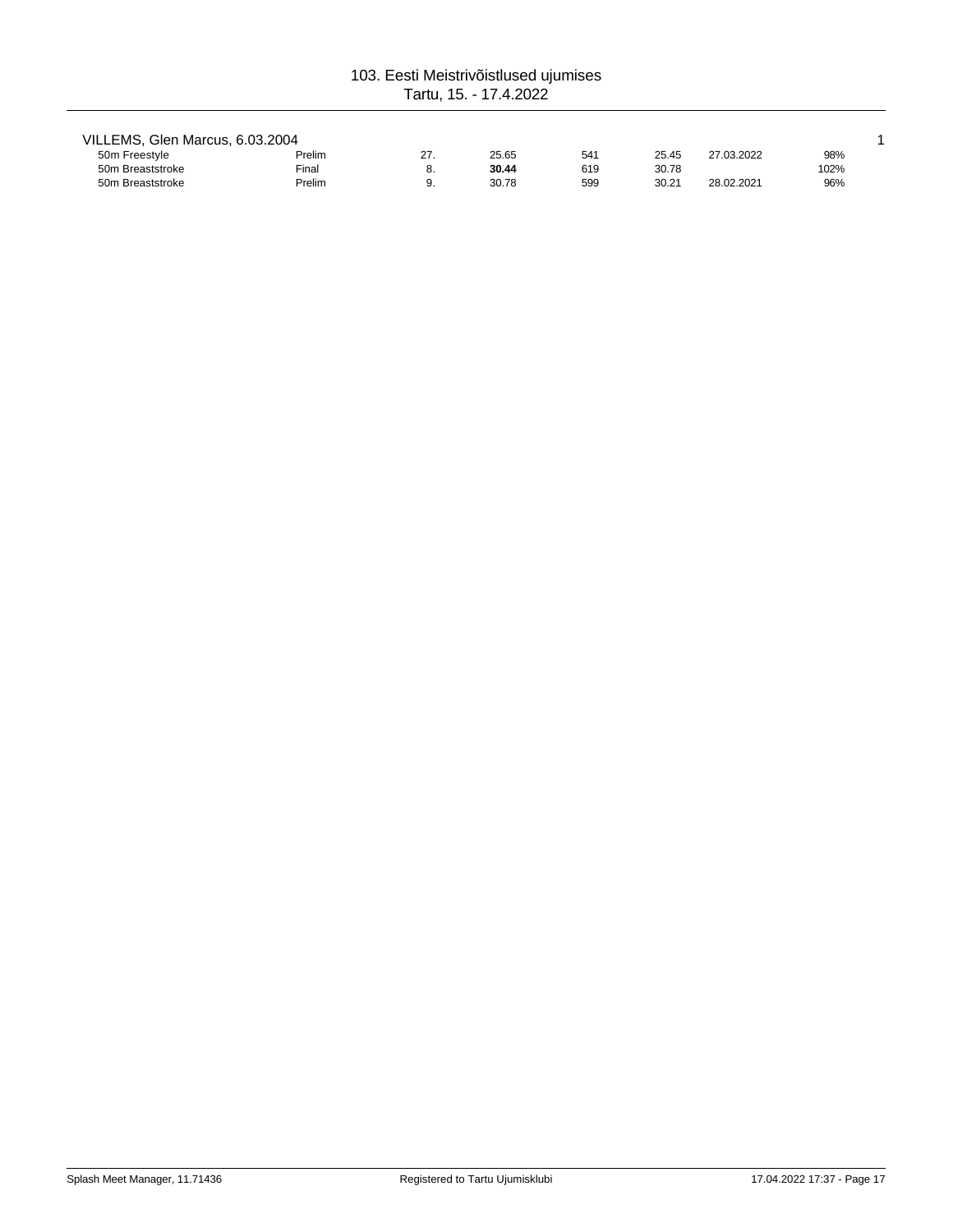| VILLEMS, Glen Marcus, 6.03.2004 |        |    |       |     |       |            |      |
|---------------------------------|--------|----|-------|-----|-------|------------|------|
| 50m Freestyle                   | Prelim | 27 | 25.65 | 541 | 25.45 | 27.03.2022 | 98%  |
| 50m Breaststroke                | Final  |    | 30.44 | 619 | 30.78 |            | 102% |
| 50m Breaststroke                | Prelim |    | 30.78 | 599 | 30.21 | 28.02.2021 | 96%  |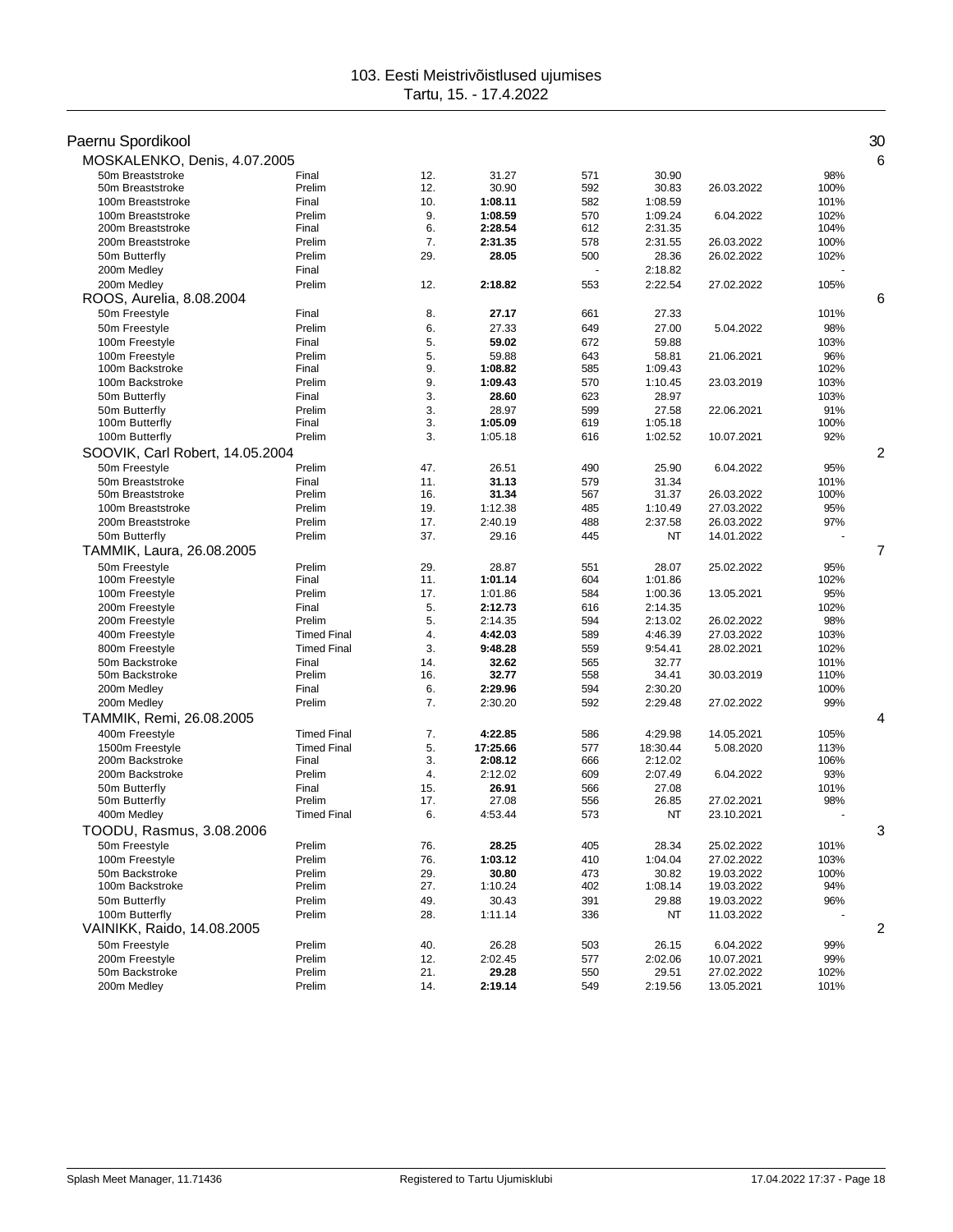| Paernu Spordikool                      |                    |            |                  |            |                  |                          |              | 30 |
|----------------------------------------|--------------------|------------|------------------|------------|------------------|--------------------------|--------------|----|
| MOSKALENKO, Denis, 4.07.2005           |                    |            |                  |            |                  |                          |              | 6  |
| 50m Breaststroke                       | Final              | 12.        | 31.27            | 571        | 30.90            |                          | 98%          |    |
| 50m Breaststroke<br>100m Breaststroke  | Prelim<br>Final    | 12.<br>10. | 30.90<br>1:08.11 | 592<br>582 | 30.83<br>1:08.59 | 26.03.2022               | 100%<br>101% |    |
| 100m Breaststroke                      | Prelim             | 9.         | 1:08.59          | 570        | 1:09.24          | 6.04.2022                | 102%         |    |
| 200m Breaststroke                      | Final              | 6.         | 2:28.54          | 612        | 2:31.35          |                          | 104%         |    |
| 200m Breaststroke                      | Prelim             | 7.         | 2:31.35          | 578        | 2:31.55          | 26.03.2022               | 100%         |    |
| 50m Butterfly                          | Prelim             | 29.        | 28.05            | 500        | 28.36            | 26.02.2022               | 102%         |    |
| 200m Medley                            | Final              |            |                  |            | 2:18.82          |                          |              |    |
| 200m Medley                            | Prelim             | 12.        | 2:18.82          | 553        | 2:22.54          | 27.02.2022               | 105%         |    |
| ROOS, Aurelia, 8.08.2004               |                    |            |                  |            |                  |                          |              | 6  |
| 50m Freestyle                          | Final              | 8.         | 27.17            | 661        | 27.33            |                          | 101%         |    |
| 50m Freestyle                          | Prelim             | 6.         | 27.33            | 649        | 27.00            | 5.04.2022                | 98%          |    |
| 100m Freestyle                         | Final              | 5.         | 59.02            | 672        | 59.88            |                          | 103%         |    |
| 100m Freestyle                         | Prelim             | 5.         | 59.88            | 643        | 58.81            | 21.06.2021               | 96%          |    |
| 100m Backstroke                        | Final              | 9.         | 1:08.82          | 585        | 1:09.43          |                          | 102%         |    |
| 100m Backstroke                        | Prelim             | 9.         | 1:09.43          | 570        | 1:10.45          | 23.03.2019               | 103%         |    |
| 50m Butterfly                          | Final              | 3.         | 28.60            | 623        | 28.97            |                          | 103%         |    |
| 50m Butterfly                          | Prelim             | 3.         | 28.97            | 599        | 27.58            | 22.06.2021               | 91%          |    |
| 100m Butterfly                         | Final              | 3.         | 1:05.09          | 619        | 1:05.18          |                          | 100%         |    |
| 100m Butterfly                         | Prelim             | 3.         | 1:05.18          | 616        | 1:02.52          | 10.07.2021               | 92%          |    |
| SOOVIK, Carl Robert, 14.05.2004        |                    |            |                  |            |                  |                          |              | 2  |
| 50m Freestyle                          | Prelim             | 47.        | 26.51            | 490        | 25.90            | 6.04.2022                | 95%          |    |
| 50m Breaststroke                       | Final              | 11.        | 31.13            | 579        | 31.34            |                          | 101%         |    |
| 50m Breaststroke                       | Prelim<br>Prelim   | 16.<br>19. | 31.34<br>1:12.38 | 567        | 31.37<br>1:10.49 | 26.03.2022<br>27.03.2022 | 100%<br>95%  |    |
| 100m Breaststroke<br>200m Breaststroke | Prelim             | 17.        | 2:40.19          | 485<br>488 | 2:37.58          | 26.03.2022               | 97%          |    |
| 50m Butterfly                          | Prelim             | 37.        | 29.16            | 445        | NT               | 14.01.2022               |              |    |
| TAMMIK, Laura, 26.08.2005              |                    |            |                  |            |                  |                          |              | 7  |
|                                        |                    |            |                  |            |                  |                          |              |    |
| 50m Freestyle<br>100m Freestyle        | Prelim<br>Final    | 29.<br>11. | 28.87<br>1:01.14 | 551<br>604 | 28.07<br>1:01.86 | 25.02.2022               | 95%<br>102%  |    |
| 100m Freestyle                         | Prelim             | 17.        | 1:01.86          | 584        | 1:00.36          | 13.05.2021               | 95%          |    |
| 200m Freestyle                         | Final              | 5.         | 2:12.73          | 616        | 2:14.35          |                          | 102%         |    |
| 200m Freestyle                         | Prelim             | 5.         | 2:14.35          | 594        | 2:13.02          | 26.02.2022               | 98%          |    |
| 400m Freestyle                         | <b>Timed Final</b> | 4.         | 4:42.03          | 589        | 4:46.39          | 27.03.2022               | 103%         |    |
| 800m Freestyle                         | <b>Timed Final</b> | 3.         | 9:48.28          | 559        | 9:54.41          | 28.02.2021               | 102%         |    |
| 50m Backstroke                         | Final              | 14.        | 32.62            | 565        | 32.77            |                          | 101%         |    |
| 50m Backstroke                         | Prelim             | 16.        | 32.77            | 558        | 34.41            | 30.03.2019               | 110%         |    |
| 200m Medley                            | Final              | 6.         | 2:29.96          | 594        | 2:30.20          |                          | 100%         |    |
| 200m Medley                            | Prelim             | 7.         | 2:30.20          | 592        | 2:29.48          | 27.02.2022               | 99%          |    |
| TAMMIK, Remi, 26.08.2005               |                    |            |                  |            |                  |                          |              | 4  |
| 400m Freestyle                         | <b>Timed Final</b> | 7.         | 4:22.85          | 586        | 4:29.98          | 14.05.2021               | 105%         |    |
| 1500m Freestyle                        | <b>Timed Final</b> | 5.         | 17:25.66         | 577        | 18:30.44         | 5.08.2020                | 113%         |    |
| 200m Backstroke                        | Final              | 3.         | 2:08.12          | 666        | 2:12.02          |                          | 106%         |    |
| 200m Backstroke                        | Prelim             | 4.         | 2:12.02          | 609        | 2:07.49          | 6.04.2022                | 93%          |    |
| 50m Butterfly                          | Final              | 15.        | 26.91            | 566        | 27.08            |                          | 101%         |    |
| 50m Butterfly                          | Prelim             | 17.        | 27.08            | 556        | 26.85            | 27.02.2021               | 98%          |    |
| 400m Medley                            | <b>Timed Final</b> | 6.         | 4:53.44          | 573        | NT               | 23.10.2021               |              |    |
| TOODU, Rasmus, 3.08.2006               |                    |            |                  |            |                  |                          |              | 3  |
| 50m Freestyle                          | Prelim             | 76.        | 28.25            | 405        | 28.34            | 25.02.2022               | 101%         |    |
| 100m Freestyle                         | Prelim             | 76.        | 1:03.12          | 410        | 1:04.04          | 27.02.2022               | 103%         |    |
| 50m Backstroke                         | Prelim             | 29.        | 30.80            | 473        | 30.82            | 19.03.2022               | 100%         |    |
| 100m Backstroke                        | Prelim             | 27.        | 1:10.24          | 402        | 1:08.14          | 19.03.2022               | 94%          |    |
| 50m Butterfly                          | Prelim             | 49.        | 30.43            | 391        | 29.88            | 19.03.2022               | 96%          |    |
| 100m Butterfly                         | Prelim             | 28.        | 1:11.14          | 336        | NT               | 11.03.2022               |              |    |
| VAINIKK, Raido, 14.08.2005             |                    |            |                  |            |                  |                          |              | 2  |
| 50m Freestyle                          | Prelim             | 40.        | 26.28            | 503        | 26.15            | 6.04.2022                | 99%          |    |
| 200m Freestyle                         | Prelim             | 12.        | 2:02.45          | 577        | 2:02.06          | 10.07.2021               | 99%          |    |
| 50m Backstroke                         | Prelim             | 21.<br>14. | 29.28            | 550        | 29.51            | 27.02.2022               | 102%         |    |
| 200m Medley                            | Prelim             |            | 2:19.14          | 549        | 2:19.56          | 13.05.2021               | 101%         |    |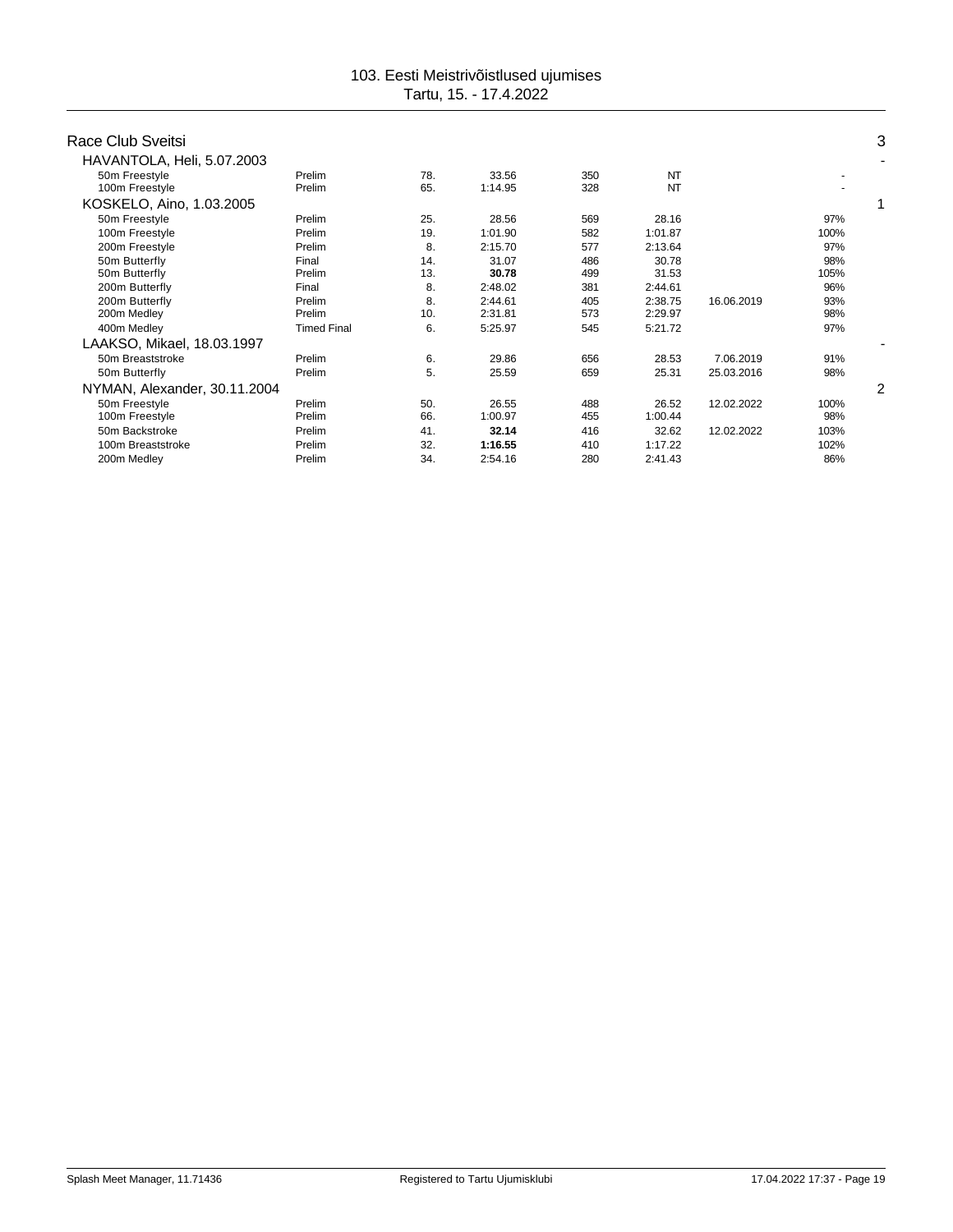| Race Club Sveitsi            |                    |     |         |     |           |            |      | 3 |
|------------------------------|--------------------|-----|---------|-----|-----------|------------|------|---|
| HAVANTOLA, Heli, 5.07.2003   |                    |     |         |     |           |            |      | ٠ |
| 50m Freestyle                | Prelim             | 78. | 33.56   | 350 | NT        |            |      |   |
| 100m Freestyle               | Prelim             | 65. | 1:14.95 | 328 | <b>NT</b> |            |      |   |
| KOSKELO, Aino, 1.03.2005     |                    |     |         |     |           |            |      |   |
| 50m Freestyle                | Prelim             | 25. | 28.56   | 569 | 28.16     |            | 97%  |   |
| 100m Freestyle               | Prelim             | 19. | 1:01.90 | 582 | 1:01.87   |            | 100% |   |
| 200m Freestyle               | Prelim             | 8.  | 2:15.70 | 577 | 2:13.64   |            | 97%  |   |
| 50m Butterfly                | Final              | 14. | 31.07   | 486 | 30.78     |            | 98%  |   |
| 50m Butterfly                | Prelim             | 13. | 30.78   | 499 | 31.53     |            | 105% |   |
| 200m Butterfly               | Final              | 8.  | 2:48.02 | 381 | 2:44.61   |            | 96%  |   |
| 200m Butterfly               | Prelim             | 8.  | 2:44.61 | 405 | 2:38.75   | 16.06.2019 | 93%  |   |
| 200m Medley                  | Prelim             | 10. | 2:31.81 | 573 | 2:29.97   |            | 98%  |   |
| 400m Medley                  | <b>Timed Final</b> | 6.  | 5:25.97 | 545 | 5:21.72   |            | 97%  |   |
| LAAKSO, Mikael, 18.03.1997   |                    |     |         |     |           |            |      |   |
| 50m Breaststroke             | Prelim             | 6.  | 29.86   | 656 | 28.53     | 7.06.2019  | 91%  |   |
| 50m Butterfly                | Prelim             | 5.  | 25.59   | 659 | 25.31     | 25.03.2016 | 98%  |   |
| NYMAN, Alexander, 30.11.2004 |                    |     |         |     |           |            |      | 2 |
| 50m Freestyle                | Prelim             | 50. | 26.55   | 488 | 26.52     | 12.02.2022 | 100% |   |
| 100m Freestyle               | Prelim             | 66. | 1:00.97 | 455 | 1:00.44   |            | 98%  |   |
| 50m Backstroke               | Prelim             | 41. | 32.14   | 416 | 32.62     | 12.02.2022 | 103% |   |
| 100m Breaststroke            | Prelim             | 32. | 1:16.55 | 410 | 1:17.22   |            | 102% |   |
| 200m Medley                  | Prelim             | 34. | 2:54.16 | 280 | 2:41.43   |            | 86%  |   |
|                              |                    |     |         |     |           |            |      |   |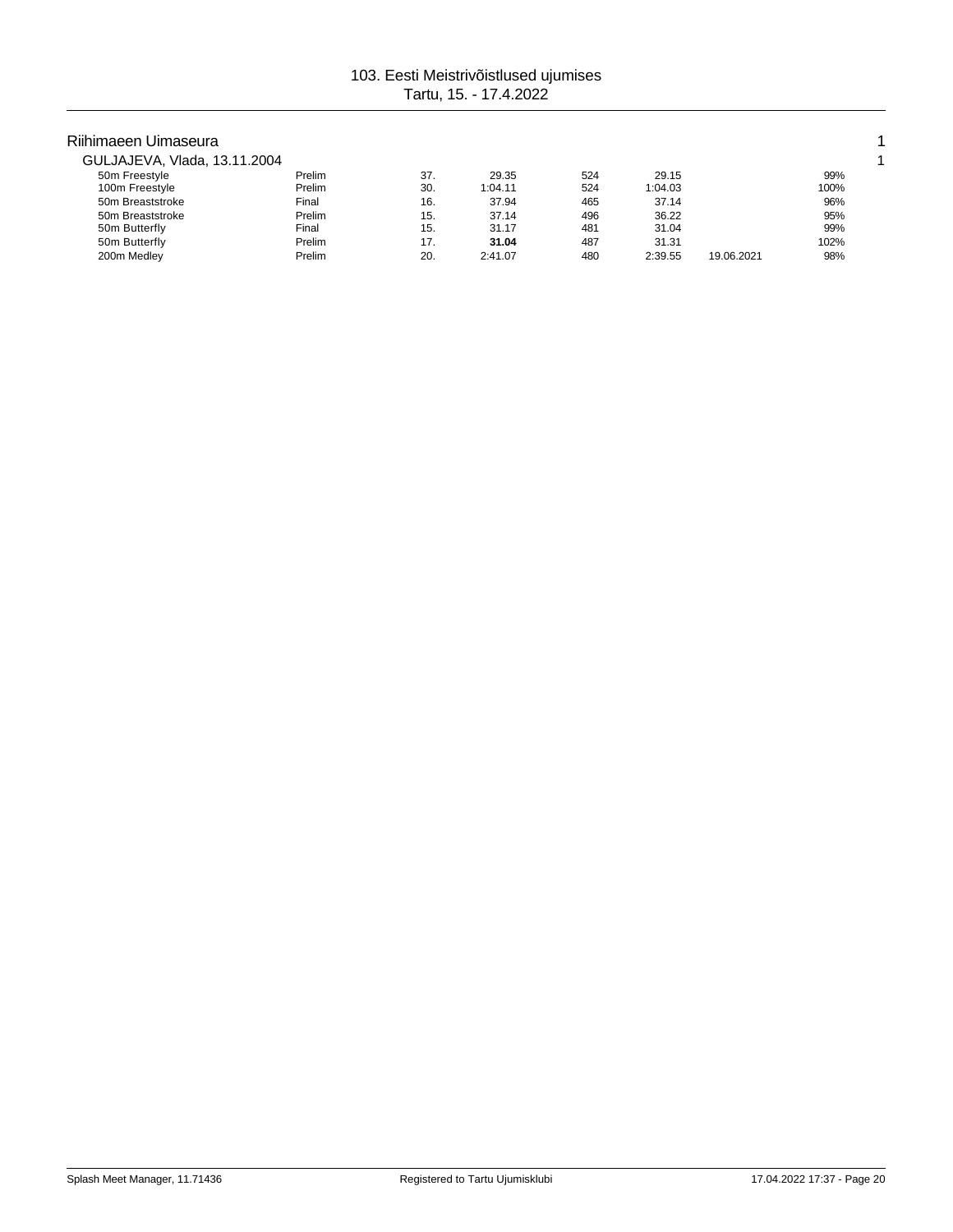| Riihimaeen Uimaseura         |        |     |         |     |         |            |      |  |
|------------------------------|--------|-----|---------|-----|---------|------------|------|--|
| GULJAJEVA, Vlada, 13.11.2004 |        |     |         |     |         |            |      |  |
| 50m Freestyle                | Prelim | 37. | 29.35   | 524 | 29.15   |            | 99%  |  |
| 100m Freestyle               | Prelim | 30. | 1:04.11 | 524 | 1:04.03 |            | 100% |  |
| 50m Breaststroke             | Final  | 16. | 37.94   | 465 | 37.14   |            | 96%  |  |
| 50m Breaststroke             | Prelim | 15. | 37.14   | 496 | 36.22   |            | 95%  |  |
| 50m Butterfly                | Final  | 15. | 31.17   | 481 | 31.04   |            | 99%  |  |
| 50m Butterfly                | Prelim | 17. | 31.04   | 487 | 31.31   |            | 102% |  |
| 200m Medley                  | Prelim | 20. | 2:41.07 | 480 | 2:39.55 | 19.06.2021 | 98%  |  |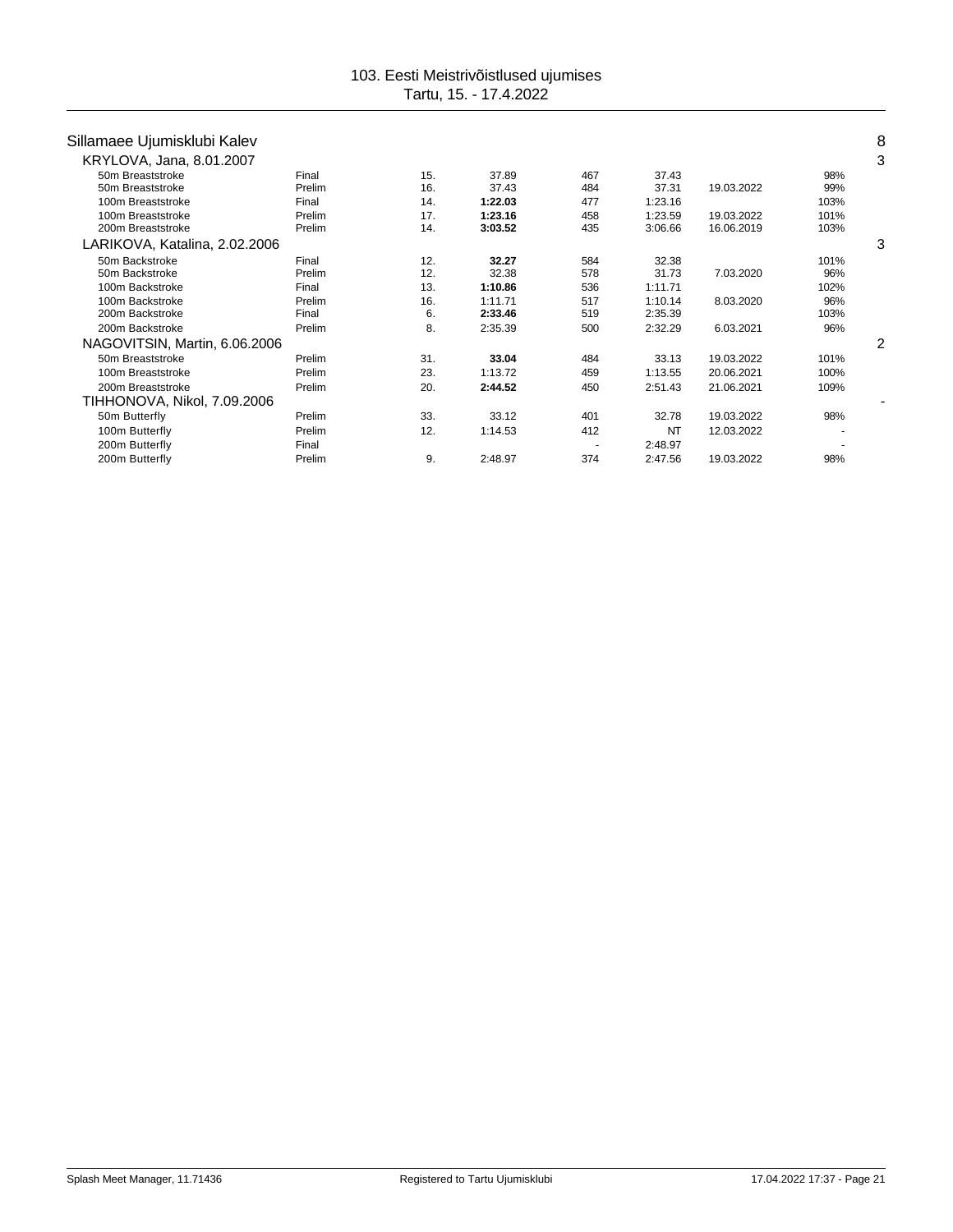| Sillamaee Ujumisklubi Kalev   |        |     |         |                          |           |            |      | 8 |
|-------------------------------|--------|-----|---------|--------------------------|-----------|------------|------|---|
| KRYLOVA, Jana, 8.01.2007      |        |     |         |                          |           |            |      | 3 |
| 50m Breaststroke              | Final  | 15. | 37.89   | 467                      | 37.43     |            | 98%  |   |
| 50m Breaststroke              | Prelim | 16. | 37.43   | 484                      | 37.31     | 19.03.2022 | 99%  |   |
| 100m Breaststroke             | Final  | 14. | 1:22.03 | 477                      | 1:23.16   |            | 103% |   |
| 100m Breaststroke             | Prelim | 17. | 1:23.16 | 458                      | 1:23.59   | 19.03.2022 | 101% |   |
| 200m Breaststroke             | Prelim | 14. | 3:03.52 | 435                      | 3:06.66   | 16.06.2019 | 103% |   |
| LARIKOVA, Katalina, 2.02.2006 |        |     |         |                          |           |            |      | 3 |
| 50m Backstroke                | Final  | 12. | 32.27   | 584                      | 32.38     |            | 101% |   |
| 50m Backstroke                | Prelim | 12. | 32.38   | 578                      | 31.73     | 7.03.2020  | 96%  |   |
| 100m Backstroke               | Final  | 13. | 1:10.86 | 536                      | 1:11.71   |            | 102% |   |
| 100m Backstroke               | Prelim | 16. | 1:11.71 | 517                      | 1:10.14   | 8.03.2020  | 96%  |   |
| 200m Backstroke               | Final  | 6.  | 2:33.46 | 519                      | 2:35.39   |            | 103% |   |
| 200m Backstroke               | Prelim | 8.  | 2:35.39 | 500                      | 2:32.29   | 6.03.2021  | 96%  |   |
| NAGOVITSIN, Martin, 6.06.2006 |        |     |         |                          |           |            |      | 2 |
| 50m Breaststroke              | Prelim | 31. | 33.04   | 484                      | 33.13     | 19.03.2022 | 101% |   |
| 100m Breaststroke             | Prelim | 23. | 1:13.72 | 459                      | 1:13.55   | 20.06.2021 | 100% |   |
| 200m Breaststroke             | Prelim | 20. | 2:44.52 | 450                      | 2:51.43   | 21.06.2021 | 109% |   |
| TIHHONOVA, Nikol, 7.09.2006   |        |     |         |                          |           |            |      |   |
| 50m Butterfly                 | Prelim | 33. | 33.12   | 401                      | 32.78     | 19.03.2022 | 98%  |   |
| 100m Butterfly                | Prelim | 12. | 1:14.53 | 412                      | <b>NT</b> | 12.03.2022 |      |   |
| 200m Butterfly                | Final  |     |         | $\overline{\phantom{a}}$ | 2:48.97   |            |      |   |
| 200m Butterfly                | Prelim | 9.  | 2:48.97 | 374                      | 2:47.56   | 19.03.2022 | 98%  |   |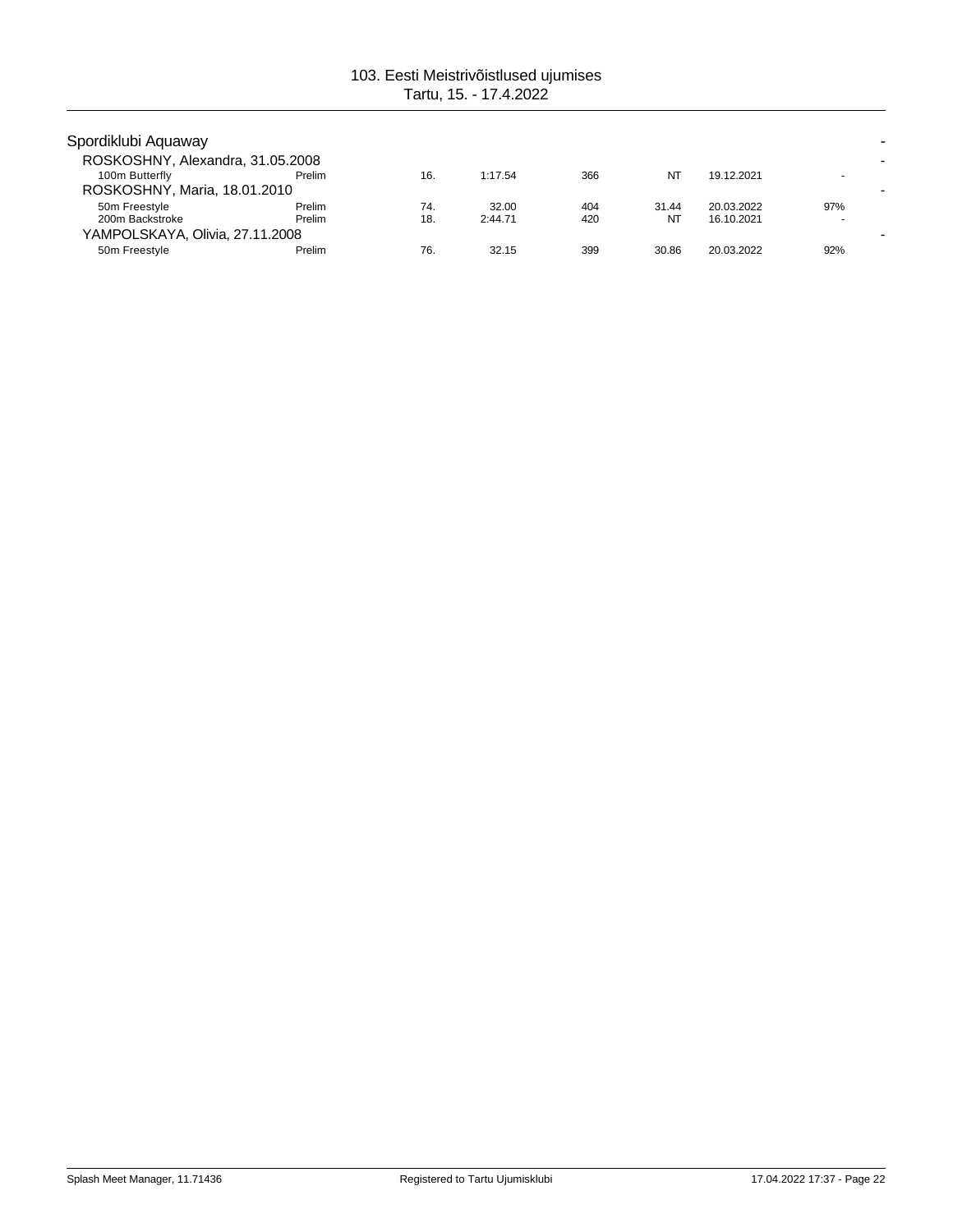| Spordiklubi Aquaway                            |        |     |         |     |       |            |     |
|------------------------------------------------|--------|-----|---------|-----|-------|------------|-----|
| ROSKOSHNY, Alexandra, 31.05.2008               |        |     |         |     |       |            |     |
| 100m Butterfly<br>ROSKOSHNY, Maria, 18.01.2010 | Prelim | 16. | 1:17.54 | 366 | NT    | 19.12.2021 |     |
| 50m Freestyle                                  | Prelim | 74. | 32.00   | 404 | 31.44 | 20.03.2022 | 97% |
| 200m Backstroke                                | Prelim | 18. | 2:44.71 | 420 | NT    | 16.10.2021 |     |
| YAMPOLSKAYA, Olivia, 27.11.2008                |        |     |         |     |       |            |     |
| 50m Freestyle                                  | Prelim | 76. | 32.15   | 399 | 30.86 | 20.03.2022 | 92% |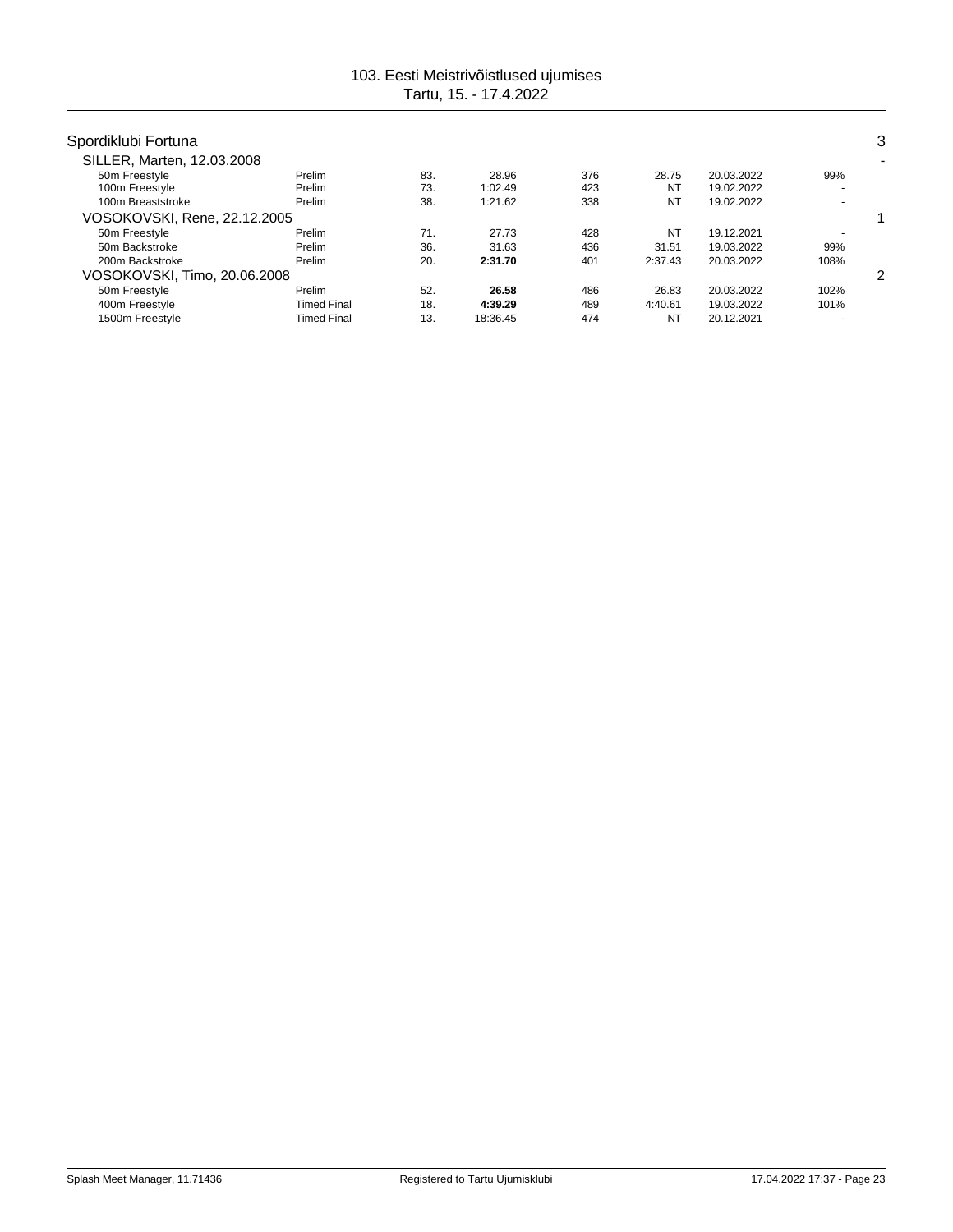| Spordiklubi Fortuna             |                    |            |                  |            |             |                          |      | 3 |
|---------------------------------|--------------------|------------|------------------|------------|-------------|--------------------------|------|---|
| SILLER, Marten, 12.03.2008      |                    |            |                  |            |             |                          |      | ۰ |
| 50m Freestyle<br>100m Freestyle | Prelim<br>Prelim   | 83.<br>73. | 28.96<br>1:02.49 | 376<br>423 | 28.75<br>NT | 20.03.2022<br>19.02.2022 | 99%  |   |
| 100m Breaststroke               | Prelim             | 38.        | 1:21.62          | 338        | <b>NT</b>   | 19.02.2022               |      |   |
| VOSOKOVSKI, Rene, 22.12.2005    |                    |            |                  |            |             |                          |      |   |
| 50m Freestyle                   | Prelim             | 71.        | 27.73            | 428        | <b>NT</b>   | 19.12.2021               |      |   |
| 50m Backstroke                  | Prelim             | 36.        | 31.63            | 436        | 31.51       | 19.03.2022               | 99%  |   |
| 200m Backstroke                 | Prelim             | 20.        | 2:31.70          | 401        | 2:37.43     | 20.03.2022               | 108% |   |
| VOSOKOVSKI, Timo, 20.06.2008    |                    |            |                  |            |             |                          |      | 2 |
| 50m Freestyle                   | Prelim             | 52.        | 26.58            | 486        | 26.83       | 20.03.2022               | 102% |   |
| 400m Freestyle                  | <b>Timed Final</b> | 18.        | 4:39.29          | 489        | 4:40.61     | 19.03.2022               | 101% |   |
| 1500m Freestyle                 | <b>Timed Final</b> | 13.        | 18:36.45         | 474        | NT          | 20.12.2021               |      |   |
|                                 |                    |            |                  |            |             |                          |      |   |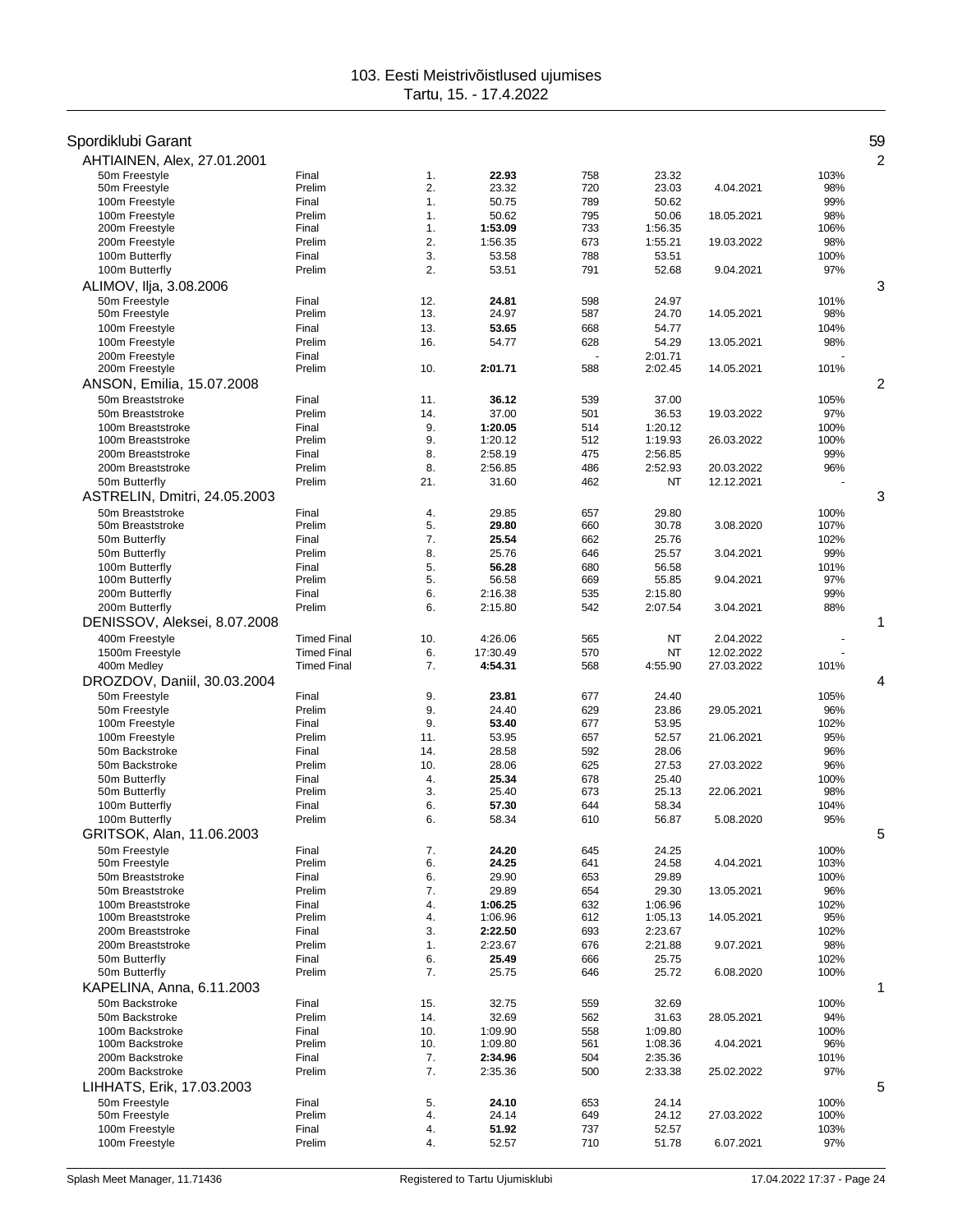# Spordiklubi Garant 59

| AHTIAINEN, Alex, 27.01.2001                |                    |            |                    |            |                    |            |             | 2 |
|--------------------------------------------|--------------------|------------|--------------------|------------|--------------------|------------|-------------|---|
| 50m Freestyle                              | Final              | 1.         | 22.93              | 758        | 23.32              |            | 103%        |   |
| 50m Freestyle                              | Prelim             | 2.         | 23.32              | 720        | 23.03              | 4.04.2021  | 98%         |   |
| 100m Freestyle                             | Final              | 1.         | 50.75              | 789        | 50.62              |            | 99%         |   |
| 100m Freestyle<br>200m Freestyle           | Prelim<br>Final    | 1.<br>1.   | 50.62<br>1:53.09   | 795<br>733 | 50.06<br>1:56.35   | 18.05.2021 | 98%<br>106% |   |
| 200m Freestyle                             | Prelim             | 2.         | 1:56.35            | 673        | 1:55.21            | 19.03.2022 | 98%         |   |
| 100m Butterfly                             | Final              | 3.         | 53.58              | 788        | 53.51              |            | 100%        |   |
| 100m Butterfly                             | Prelim             | 2.         | 53.51              | 791        | 52.68              | 9.04.2021  | 97%         |   |
| ALIMOV, Ilja, 3.08.2006                    |                    |            |                    |            |                    |            |             | 3 |
| 50m Freestyle                              | Final              | 12.        | 24.81              | 598        | 24.97              |            | 101%        |   |
| 50m Freestyle                              | Prelim             | 13.        | 24.97              | 587        | 24.70              | 14.05.2021 | 98%         |   |
| 100m Freestyle                             | Final              | 13.        | 53.65              | 668        | 54.77              |            | 104%        |   |
| 100m Freestyle                             | Prelim             | 16.        | 54.77              | 628        | 54.29              | 13.05.2021 | 98%         |   |
| 200m Freestvle                             | Final              |            |                    |            | 2:01.71            |            |             |   |
| 200m Freestyle                             | Prelim             | 10.        | 2:01.71            | 588        | 2:02.45            | 14.05.2021 | 101%        |   |
| ANSON, Emilia, 15.07.2008                  |                    |            |                    |            |                    |            |             | 2 |
| 50m Breaststroke                           | Final              | 11.        | 36.12              | 539        | 37.00              |            | 105%        |   |
| 50m Breaststroke<br>100m Breaststroke      | Prelim<br>Final    | 14.<br>9.  | 37.00<br>1:20.05   | 501<br>514 | 36.53<br>1:20.12   | 19.03.2022 | 97%<br>100% |   |
| 100m Breaststroke                          | Prelim             | 9.         | 1:20.12            | 512        | 1:19.93            | 26.03.2022 | 100%        |   |
| 200m Breaststroke                          | Final              | 8.         | 2:58.19            | 475        | 2:56.85            |            | 99%         |   |
| 200m Breaststroke                          | Prelim             | 8.         | 2:56.85            | 486        | 2:52.93            | 20.03.2022 | 96%         |   |
| 50m Butterfly                              | Prelim             | 21.        | 31.60              | 462        | NT                 | 12.12.2021 |             |   |
| ASTRELIN, Dmitri, 24.05.2003               |                    |            |                    |            |                    |            |             | 3 |
| 50m Breaststroke                           | Final              | 4.         | 29.85              | 657        | 29.80              |            | 100%        |   |
| 50m Breaststroke                           | Prelim             | 5.         | 29.80              | 660        | 30.78              | 3.08.2020  | 107%        |   |
| 50m Butterfly                              | Final              | 7.         | 25.54              | 662        | 25.76              |            | 102%        |   |
| 50m Butterfly                              | Prelim             | 8.         | 25.76              | 646        | 25.57              | 3.04.2021  | 99%         |   |
| 100m Butterfly<br>100m Butterfly           | Final<br>Prelim    | 5.<br>5.   | 56.28<br>56.58     | 680<br>669 | 56.58<br>55.85     | 9.04.2021  | 101%<br>97% |   |
| 200m Butterfly                             | Final              | 6.         | 2:16.38            | 535        | 2:15.80            |            | 99%         |   |
| 200m Butterfly                             | Prelim             | 6.         | 2:15.80            | 542        | 2:07.54            | 3.04.2021  | 88%         |   |
| DENISSOV, Aleksei, 8.07.2008               |                    |            |                    |            |                    |            |             | 1 |
| 400m Freestyle                             | <b>Timed Final</b> | 10.        | 4:26.06            | 565        | NT                 | 2.04.2022  |             |   |
| 1500m Freestyle                            | <b>Timed Final</b> | 6.         | 17:30.49           | 570        | NT                 | 12.02.2022 |             |   |
| 400m Medley                                | <b>Timed Final</b> | 7.         | 4:54.31            | 568        | 4:55.90            | 27.03.2022 | 101%        |   |
| DROZDOV, Daniil, 30.03.2004                |                    |            |                    |            |                    |            |             | 4 |
| 50m Freestyle                              | Final              | 9.         | 23.81              | 677        | 24.40              |            | 105%        |   |
| 50m Freestyle                              | Prelim             | 9.         | 24.40              | 629        | 23.86              | 29.05.2021 | 96%         |   |
| 100m Freestyle                             | Final              | 9.         | 53.40              | 677        | 53.95              |            | 102%        |   |
| 100m Freestyle<br>50m Backstroke           | Prelim             | 11.        | 53.95              | 657        | 52.57              | 21.06.2021 | 95%         |   |
| 50m Backstroke                             | Final<br>Prelim    | 14.<br>10. | 28.58<br>28.06     | 592<br>625 | 28.06<br>27.53     | 27.03.2022 | 96%<br>96%  |   |
| 50m Butterfly                              | Final              | 4.         | 25.34              | 678        | 25.40              |            | 100%        |   |
| 50m Butterfly                              | Prelim             | 3.         | 25.40              | 673        | 25.13              | 22.06.2021 | 98%         |   |
| 100m Butterfly                             | Final              | 6.         | 57.30              | 644        | 58.34              |            | 104%        |   |
| 100m Butterfly                             | Prelim             | 6.         | 58.34              | 610        | 56.87              | 5.08.2020  | 95%         |   |
| GRITSOK, Alan, 11.06.2003                  |                    |            |                    |            |                    |            |             | 5 |
| 50m Freestyle                              | Final              | 7.         | 24.20              | 645        | 24.25              |            | 100%        |   |
| 50m Freestyle                              | Prelim             | 6.         | 24.25              | 641        | 24.58              | 4.04.2021  | 103%        |   |
| 50m Breaststroke                           | Final              | 6.         | 29.90              | 653        | 29.89              |            | 100%        |   |
| 50m Breaststroke                           | Prelim             | 7.         | 29.89              | 654        | 29.30              | 13.05.2021 | 96%         |   |
| 100m Breaststroke<br>100m Breaststroke     | Final<br>Prelim    | 4.<br>4.   | 1:06.25<br>1:06.96 | 632<br>612 | 1:06.96<br>1:05.13 | 14.05.2021 | 102%<br>95% |   |
| 200m Breaststroke                          | Final              | 3.         | 2:22.50            | 693        | 2:23.67            |            | 102%        |   |
| 200m Breaststroke                          | Prelim             | 1.         | 2:23.67            | 676        | 2:21.88            | 9.07.2021  | 98%         |   |
| 50m Butterfly                              | Final              | 6.         | 25.49              | 666        | 25.75              |            | 102%        |   |
| 50m Butterfly                              | Prelim             | 7.         | 25.75              | 646        | 25.72              | 6.08.2020  | 100%        |   |
| KAPELINA, Anna, 6.11.2003                  |                    |            |                    |            |                    |            |             | 1 |
| 50m Backstroke                             | Final              | 15.        | 32.75              | 559        | 32.69              |            | 100%        |   |
| 50m Backstroke                             | Prelim             | 14.        | 32.69              | 562        | 31.63              | 28.05.2021 | 94%         |   |
| 100m Backstroke                            | Final              | 10.        | 1:09.90            | 558        | 1:09.80            |            | 100%        |   |
| 100m Backstroke                            | Prelim             | 10.        | 1:09.80            | 561        | 1:08.36            | 4.04.2021  | 96%         |   |
| 200m Backstroke<br>200m Backstroke         | Final<br>Prelim    | 7.<br>7.   | 2:34.96            | 504        | 2:35.36            |            | 101%        |   |
|                                            |                    |            | 2:35.36            | 500        | 2:33.38            | 25.02.2022 | 97%         | 5 |
| LIHHATS, Erik, 17.03.2003<br>50m Freestyle |                    |            | 24.10              |            |                    |            | 100%        |   |
| 50m Freestyle                              | Final<br>Prelim    | 5.<br>4.   | 24.14              | 653<br>649 | 24.14<br>24.12     | 27.03.2022 | 100%        |   |
| 100m Freestyle                             | Final              | 4.         | 51.92              | 737        | 52.57              |            | 103%        |   |
| 100m Freestyle                             | Prelim             | 4.         | 52.57              | 710        | 51.78              | 6.07.2021  | 97%         |   |
|                                            |                    |            |                    |            |                    |            |             |   |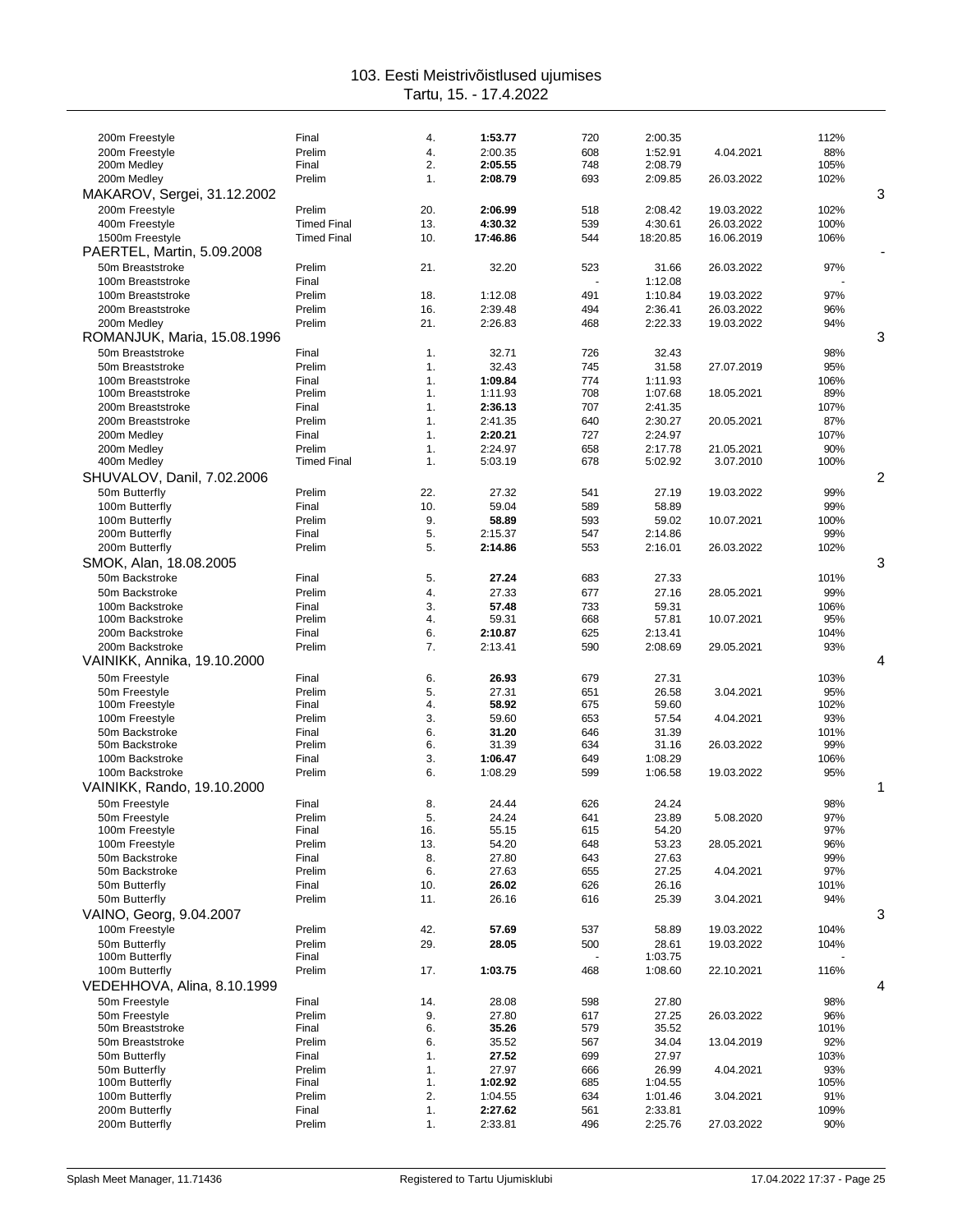| 200m Freestyle<br>200m Freestyle      | Final<br>Prelim              | 4.<br>4. | 1:53.77<br>2:00.35 | 720<br>608 | 2:00.35<br>1:52.91 | 4.04.2021               | 112%<br>88% |   |
|---------------------------------------|------------------------------|----------|--------------------|------------|--------------------|-------------------------|-------------|---|
| 200m Medley                           | Final                        | 2.       | 2:05.55            | 748        | 2:08.79            |                         | 105%        |   |
| 200m Medley                           | Prelim                       | 1.       | 2:08.79            | 693        | 2:09.85            | 26.03.2022              | 102%        |   |
| MAKAROV, Sergei, 31.12.2002           |                              |          |                    |            |                    |                         |             | 3 |
| 200m Freestyle                        | Prelim                       | 20.      | 2:06.99            | 518        | 2:08.42            | 19.03.2022              | 102%        |   |
| 400m Freestyle                        | <b>Timed Final</b>           | 13.      | 4:30.32            | 539        | 4:30.61            | 26.03.2022              | 100%        |   |
| 1500m Freestyle                       | <b>Timed Final</b>           | 10.      | 17:46.86           | 544        | 18:20.85           | 16.06.2019              | 106%        |   |
| PAERTEL, Martin, 5.09.2008            |                              |          |                    |            |                    |                         |             |   |
| 50m Breaststroke<br>100m Breaststroke | Prelim<br>Final              | 21.      | 32.20              | 523        | 31.66<br>1:12.08   | 26.03.2022              | 97%         |   |
| 100m Breaststroke                     | Prelim                       | 18.      | 1:12.08            | 491        | 1:10.84            | 19.03.2022              | 97%         |   |
| 200m Breaststroke                     | Prelim                       | 16.      | 2:39.48            | 494        | 2:36.41            | 26.03.2022              | 96%         |   |
| 200m Medley                           | Prelim                       | 21.      | 2:26.83            | 468        | 2:22.33            | 19.03.2022              | 94%         |   |
| ROMANJUK, Maria, 15.08.1996           |                              |          |                    |            |                    |                         |             | 3 |
| 50m Breaststroke                      | Final                        | 1.       | 32.71              | 726        | 32.43              |                         | 98%         |   |
| 50m Breaststroke<br>100m Breaststroke | Prelim<br>Final              | 1.<br>1. | 32.43<br>1:09.84   | 745<br>774 | 31.58<br>1:11.93   | 27.07.2019              | 95%<br>106% |   |
| 100m Breaststroke                     | Prelim                       | 1.       | 1:11.93            | 708        | 1:07.68            | 18.05.2021              | 89%         |   |
| 200m Breaststroke                     | Final                        | 1.       | 2:36.13            | 707        | 2:41.35            |                         | 107%        |   |
| 200m Breaststroke                     | Prelim                       | 1.       | 2:41.35            | 640        | 2:30.27            | 20.05.2021              | 87%         |   |
| 200m Medley                           | Final                        | 1.       | 2:20.21            | 727        | 2:24.97            |                         | 107%        |   |
| 200m Medley<br>400m Medley            | Prelim<br><b>Timed Final</b> | 1.<br>1. | 2:24.97<br>5:03.19 | 658<br>678 | 2:17.78<br>5:02.92 | 21.05.2021<br>3.07.2010 | 90%<br>100% |   |
| SHUVALOV, Danil, 7.02.2006            |                              |          |                    |            |                    |                         |             | 2 |
| 50m Butterfly                         | Prelim                       | 22.      | 27.32              | 541        | 27.19              | 19.03.2022              | 99%         |   |
| 100m Butterfly                        | Final                        | 10.      | 59.04              | 589        | 58.89              |                         | 99%         |   |
| 100m Butterfly                        | Prelim                       | 9.       | 58.89              | 593        | 59.02              | 10.07.2021              | 100%        |   |
| 200m Butterfly                        | Final                        | 5.       | 2:15.37            | 547        | 2:14.86            |                         | 99%         |   |
| 200m Butterfly                        | Prelim                       | 5.       | 2:14.86            | 553        | 2:16.01            | 26.03.2022              | 102%        |   |
| SMOK, Alan, 18.08.2005                |                              |          |                    |            |                    |                         |             | 3 |
| 50m Backstroke<br>50m Backstroke      | Final<br>Prelim              | 5.<br>4. | 27.24<br>27.33     | 683<br>677 | 27.33<br>27.16     | 28.05.2021              | 101%<br>99% |   |
| 100m Backstroke                       | Final                        | 3.       | 57.48              | 733        | 59.31              |                         | 106%        |   |
| 100m Backstroke                       | Prelim                       | 4.       | 59.31              | 668        | 57.81              | 10.07.2021              | 95%         |   |
| 200m Backstroke                       | Final                        | 6.       | 2:10.87            | 625        | 2:13.41            |                         | 104%        |   |
| 200m Backstroke                       | Prelim                       | 7.       | 2:13.41            | 590        | 2:08.69            | 29.05.2021              | 93%         |   |
| VAINIKK, Annika, 19.10.2000           |                              |          |                    |            |                    |                         |             | 4 |
| 50m Freestyle                         | Final                        | 6.       | 26.93              | 679        | 27.31              |                         | 103%        |   |
| 50m Freestyle<br>100m Freestyle       | Prelim<br>Final              | 5.<br>4. | 27.31<br>58.92     | 651<br>675 | 26.58<br>59.60     | 3.04.2021               | 95%<br>102% |   |
| 100m Freestyle                        | Prelim                       | 3.       | 59.60              | 653        | 57.54              | 4.04.2021               | 93%         |   |
| 50m Backstroke                        | Final                        | 6.       | 31.20              | 646        | 31.39              |                         | 101%        |   |
| 50m Backstroke                        | Prelim                       | 6.       | 31.39              | 634        | 31.16              | 26.03.2022              | 99%         |   |
| 100m Backstroke<br>100m Backstroke    | Final<br>Prelim              | 3.<br>6. | 1:06.47<br>1:08.29 | 649<br>599 | 1:08.29<br>1:06.58 | 19.03.2022              | 106%<br>95% |   |
| VAINIKK, Rando, 19.10.2000            |                              |          |                    |            |                    |                         |             | 1 |
| 50m Freestyle                         | Final                        | 8.       | 24.44              | 626        | 24.24              |                         | 98%         |   |
| 50m Freestyle                         | Prelim                       | 5.       | 24.24              | 641        | 23.89              | 5.08.2020               | 97%         |   |
| 100m Freestyle                        | Final                        | 16.      | 55.15              | 615        | 54.20              |                         | 97%         |   |
| 100m Freestyle                        | Prelim                       | 13.      | 54.20              | 648        | 53.23              | 28.05.2021              | 96%         |   |
| 50m Backstroke<br>50m Backstroke      | Final<br>Prelim              | 8.<br>6. | 27.80<br>27.63     | 643<br>655 | 27.63<br>27.25     | 4.04.2021               | 99%<br>97%  |   |
| 50m Butterfly                         | Final                        | 10.      | 26.02              | 626        | 26.16              |                         | 101%        |   |
| 50m Butterfly                         | Prelim                       | 11.      | 26.16              | 616        | 25.39              | 3.04.2021               | 94%         |   |
| VAINO, Georg, 9.04.2007               |                              |          |                    |            |                    |                         |             | 3 |
| 100m Freestvle                        | Prelim                       | 42.      | 57.69              | 537        | 58.89              | 19.03.2022              | 104%        |   |
| 50m Butterfly                         | Prelim                       | 29.      | 28.05              | 500        | 28.61              | 19.03.2022              | 104%        |   |
| 100m Butterfly<br>100m Butterfly      | Final<br>Prelim              | 17.      | 1:03.75            | 468        | 1:03.75<br>1:08.60 | 22.10.2021              | 116%        |   |
| VEDEHHOVA, Alina, 8.10.1999           |                              |          |                    |            |                    |                         |             | 4 |
| 50m Freestyle                         | Final                        | 14.      | 28.08              | 598        | 27.80              |                         | 98%         |   |
| 50m Freestyle                         | Prelim                       | 9.       | 27.80              | 617        | 27.25              | 26.03.2022              | 96%         |   |
| 50m Breaststroke                      | Final                        | 6.       | 35.26              | 579        | 35.52              |                         | 101%        |   |
| 50m Breaststroke                      | Prelim                       | 6.       | 35.52              | 567        | 34.04              | 13.04.2019              | 92%         |   |
| 50m Butterfly                         | Final                        | 1.       | 27.52              | 699        | 27.97              |                         | 103%        |   |
| 50m Butterfly<br>100m Butterfly       | Prelim<br>Final              | 1.<br>1. | 27.97<br>1:02.92   | 666<br>685 | 26.99<br>1:04.55   | 4.04.2021               | 93%<br>105% |   |
| 100m Butterfly                        | Prelim                       | 2.       | 1:04.55            | 634        | 1:01.46            | 3.04.2021               | 91%         |   |
| 200m Butterfly                        | Final                        | 1.       | 2:27.62            | 561        | 2:33.81            |                         | 109%        |   |
| 200m Butterfly                        | Prelim                       | 1.       | 2:33.81            | 496        | 2:25.76            | 27.03.2022              | 90%         |   |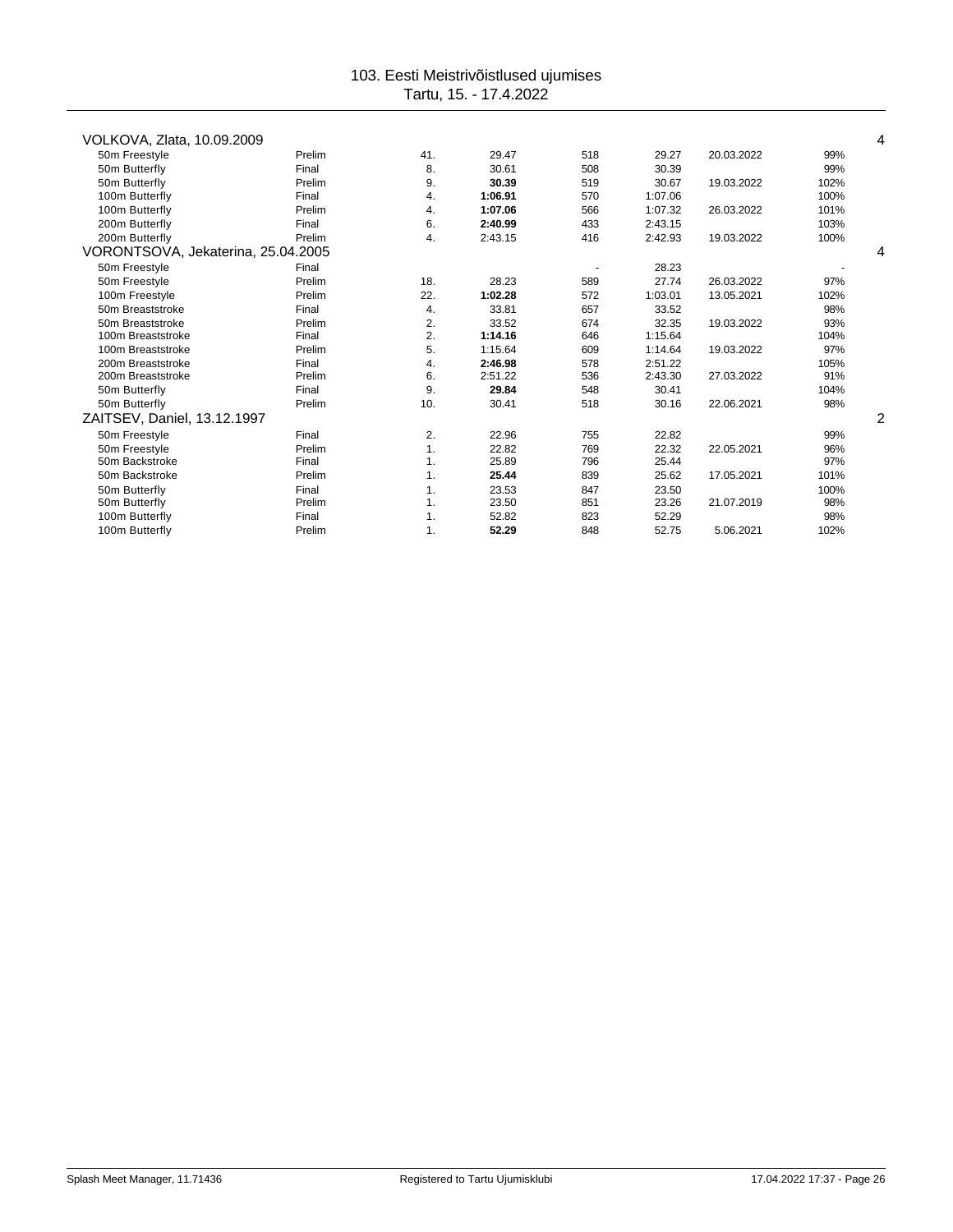| VOLKOVA, Zlata, 10.09.2009         |        |     |         |     |         |            |      | 4 |
|------------------------------------|--------|-----|---------|-----|---------|------------|------|---|
| 50m Freestyle                      | Prelim | 41. | 29.47   | 518 | 29.27   | 20.03.2022 | 99%  |   |
| 50m Butterfly                      | Final  | 8.  | 30.61   | 508 | 30.39   |            | 99%  |   |
| 50m Butterfly                      | Prelim | 9.  | 30.39   | 519 | 30.67   | 19.03.2022 | 102% |   |
| 100m Butterfly                     | Final  | 4.  | 1:06.91 | 570 | 1:07.06 |            | 100% |   |
| 100m Butterfly                     | Prelim | 4.  | 1:07.06 | 566 | 1:07.32 | 26.03.2022 | 101% |   |
| 200m Butterfly                     | Final  | 6.  | 2:40.99 | 433 | 2:43.15 |            | 103% |   |
| 200m Butterfly                     | Prelim | 4.  | 2:43.15 | 416 | 2:42.93 | 19.03.2022 | 100% |   |
| VORONTSOVA, Jekaterina, 25.04.2005 |        |     |         |     |         |            |      |   |
| 50m Freestyle                      | Final  |     |         |     | 28.23   |            |      |   |
| 50m Freestyle                      | Prelim | 18. | 28.23   | 589 | 27.74   | 26.03.2022 | 97%  |   |
| 100m Freestyle                     | Prelim | 22. | 1:02.28 | 572 | 1:03.01 | 13.05.2021 | 102% |   |
| 50m Breaststroke                   | Final  | 4.  | 33.81   | 657 | 33.52   |            | 98%  |   |
| 50m Breaststroke                   | Prelim | 2.  | 33.52   | 674 | 32.35   | 19.03.2022 | 93%  |   |
| 100m Breaststroke                  | Final  | 2.  | 1:14.16 | 646 | 1:15.64 |            | 104% |   |
| 100m Breaststroke                  | Prelim | 5.  | 1:15.64 | 609 | 1:14.64 | 19.03.2022 | 97%  |   |
| 200m Breaststroke                  | Final  | 4.  | 2:46.98 | 578 | 2:51.22 |            | 105% |   |
| 200m Breaststroke                  | Prelim | 6.  | 2:51.22 | 536 | 2:43.30 | 27.03.2022 | 91%  |   |
| 50m Butterfly                      | Final  | 9.  | 29.84   | 548 | 30.41   |            | 104% |   |
| 50m Butterfly                      | Prelim | 10. | 30.41   | 518 | 30.16   | 22.06.2021 | 98%  |   |
| ZAITSEV, Daniel, 13.12.1997        |        |     |         |     |         |            |      | 2 |
| 50m Freestyle                      | Final  | 2.  | 22.96   | 755 | 22.82   |            | 99%  |   |
| 50m Freestyle                      | Prelim | 1.  | 22.82   | 769 | 22.32   | 22.05.2021 | 96%  |   |
| 50m Backstroke                     | Final  | 1.  | 25.89   | 796 | 25.44   |            | 97%  |   |
| 50m Backstroke                     | Prelim | 1.  | 25.44   | 839 | 25.62   | 17.05.2021 | 101% |   |
| 50m Butterfly                      | Final  | 1.  | 23.53   | 847 | 23.50   |            | 100% |   |
| 50m Butterfly                      | Prelim | 1.  | 23.50   | 851 | 23.26   | 21.07.2019 | 98%  |   |
| 100m Butterfly                     | Final  | 1.  | 52.82   | 823 | 52.29   |            | 98%  |   |
| 100m Butterfly                     | Prelim | 1.  | 52.29   | 848 | 52.75   | 5.06.2021  | 102% |   |
|                                    |        |     |         |     |         |            |      |   |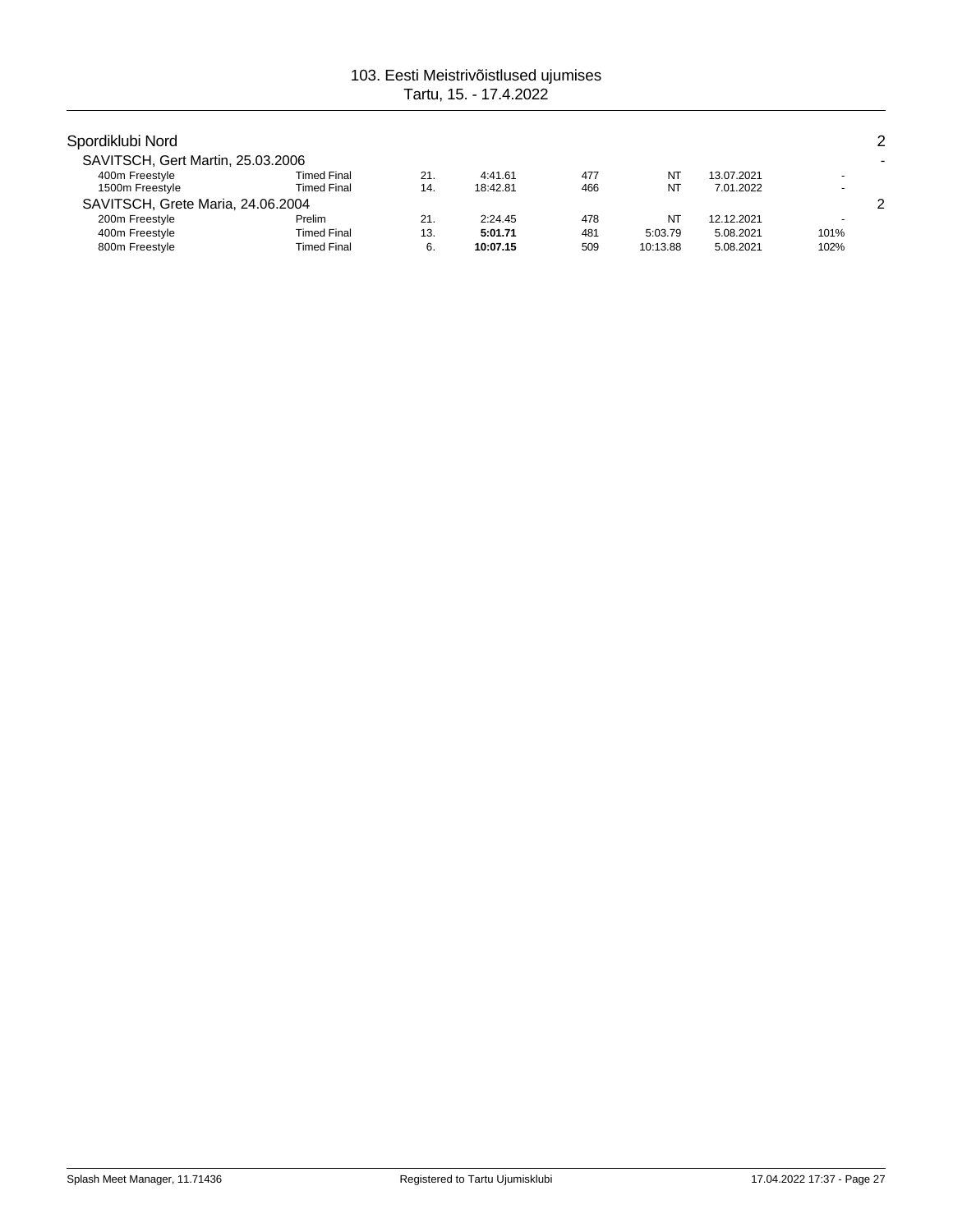| Spordiklubi Nord                  |                    |     |          |     |          |            |      | 2 |
|-----------------------------------|--------------------|-----|----------|-----|----------|------------|------|---|
| SAVITSCH, Gert Martin, 25.03.2006 |                    |     |          |     |          |            |      |   |
| 400m Freestyle                    | Timed Final        | 21. | 4:41.61  | 477 | NT       | 13.07.2021 |      |   |
| 1500m Freestyle                   | Timed Final        | 14. | 18:42.81 | 466 | NT       | 7.01.2022  |      |   |
| SAVITSCH, Grete Maria, 24.06.2004 |                    |     |          |     |          |            |      | 2 |
| 200m Freestyle                    | Prelim             | 21. | 2:24.45  | 478 | NT       | 12.12.2021 |      |   |
| 400m Freestyle                    | Timed Final        | 13. | 5:01.71  | 481 | 5:03.79  | 5.08.2021  | 101% |   |
| 800m Freestyle                    | <b>Timed Final</b> | 6.  | 10:07.15 | 509 | 10:13.88 | 5.08.2021  | 102% |   |
|                                   |                    |     |          |     |          |            |      |   |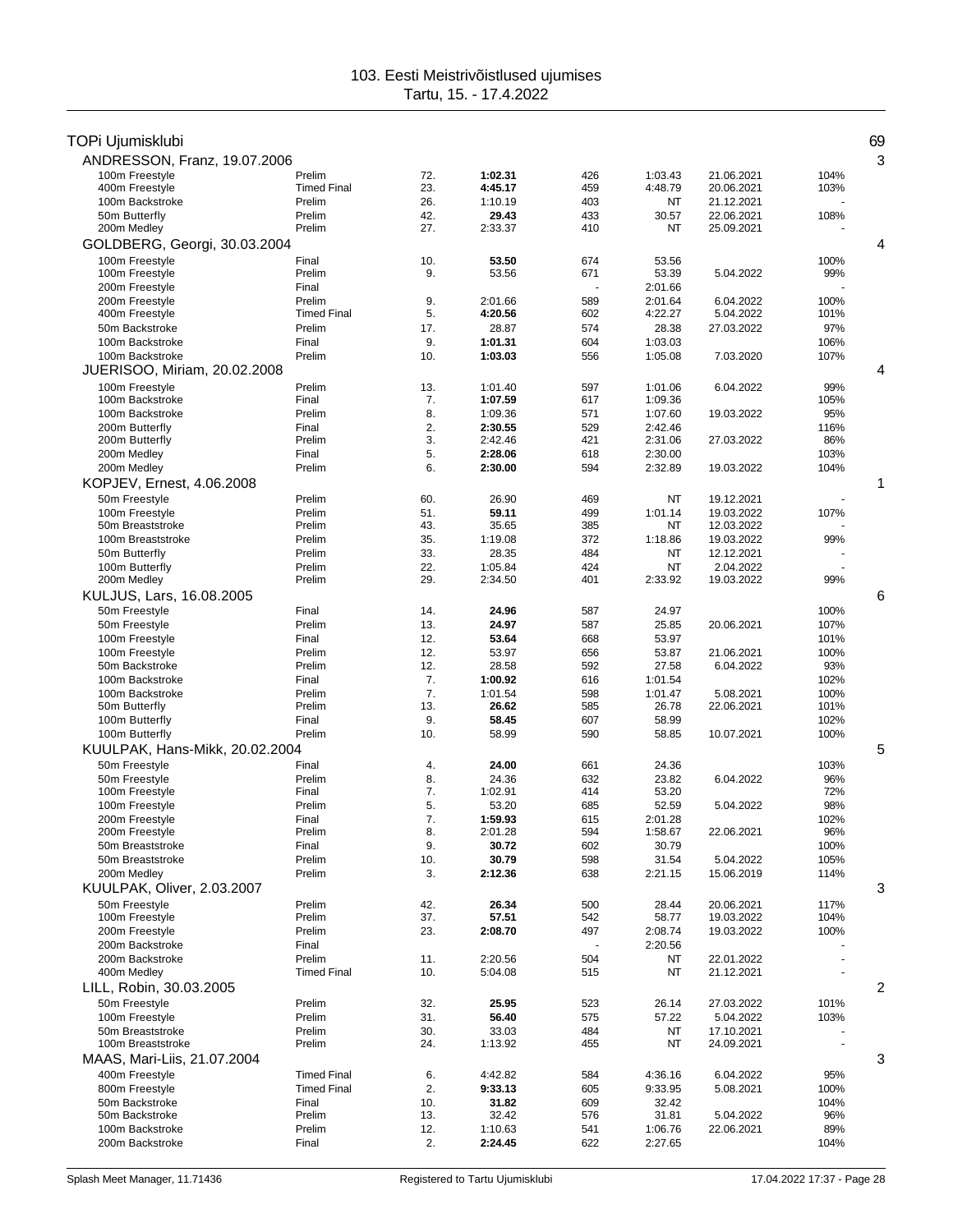| TOPi Ujumisklubi                   |                                          |            |                    |            |                    |                          |              | 69 |
|------------------------------------|------------------------------------------|------------|--------------------|------------|--------------------|--------------------------|--------------|----|
| ANDRESSON, Franz, 19.07.2006       |                                          |            |                    |            |                    |                          |              | 3  |
| 100m Freestyle                     | Prelim                                   | 72.        | 1:02.31            | 426        | 1:03.43            | 21.06.2021               | 104%         |    |
| 400m Freestyle                     | <b>Timed Final</b>                       | 23.        | 4:45.17            | 459        | 4:48.79            | 20.06.2021               | 103%         |    |
| 100m Backstroke<br>50m Butterfly   | Prelim<br>Prelim                         | 26.<br>42. | 1:10.19<br>29.43   | 403<br>433 | ΝT<br>30.57        | 21.12.2021<br>22.06.2021 |              |    |
| 200m Medley                        | Prelim                                   | 27.        | 2:33.37            | 410        | ΝT                 | 25.09.2021               | 108%         |    |
| GOLDBERG, Georgi, 30.03.2004       |                                          |            |                    |            |                    |                          |              | 4  |
| 100m Freestyle                     | Final                                    | 10.        | 53.50              | 674        | 53.56              |                          | 100%         |    |
| 100m Freestyle                     | Prelim                                   | 9.         | 53.56              | 671        | 53.39              | 5.04.2022                | 99%          |    |
| 200m Freestvle                     | Final                                    |            |                    |            | 2:01.66            |                          |              |    |
| 200m Freestyle                     | Prelim                                   | 9.         | 2:01.66            | 589        | 2:01.64            | 6.04.2022                | 100%         |    |
| 400m Freestyle                     | <b>Timed Final</b>                       | 5.         | 4:20.56            | 602        | 4:22.27            | 5.04.2022                | 101%         |    |
| 50m Backstroke                     | Prelim                                   | 17.        | 28.87              | 574        | 28.38              | 27.03.2022               | 97%          |    |
| 100m Backstroke<br>100m Backstroke | Final<br>Prelim                          | 9.<br>10.  | 1:01.31<br>1:03.03 | 604<br>556 | 1:03.03<br>1:05.08 | 7.03.2020                | 106%<br>107% |    |
| JUERISOO, Miriam, 20.02.2008       |                                          |            |                    |            |                    |                          |              | 4  |
| 100m Freestyle                     | Prelim                                   | 13.        | 1:01.40            | 597        | 1:01.06            | 6.04.2022                | 99%          |    |
| 100m Backstroke                    | Final                                    | 7.         | 1:07.59            | 617        | 1:09.36            |                          | 105%         |    |
| 100m Backstroke                    | Prelim                                   | 8.         | 1:09.36            | 571        | 1:07.60            | 19.03.2022               | 95%          |    |
| 200m Butterfly                     | Final                                    | 2.         | 2:30.55            | 529        | 2:42.46            |                          | 116%         |    |
| 200m Butterfly                     | Prelim                                   | 3.         | 2:42.46            | 421        | 2:31.06            | 27.03.2022               | 86%          |    |
| 200m Medley                        | Final                                    | 5.         | 2:28.06            | 618        | 2:30.00            |                          | 103%         |    |
| 200m Medley                        | Prelim                                   | 6.         | 2:30.00            | 594        | 2:32.89            | 19.03.2022               | 104%         |    |
| KOPJEV, Ernest, 4.06.2008          |                                          |            |                    |            |                    |                          |              | 1  |
| 50m Freestyle                      | Prelim                                   | 60.        | 26.90              | 469        | ΝT                 | 19.12.2021               |              |    |
| 100m Freestyle<br>50m Breaststroke | Prelim<br>Prelim                         | 51.<br>43. | 59.11<br>35.65     | 499<br>385 | 1:01.14<br>NT      | 19.03.2022<br>12.03.2022 | 107%         |    |
| 100m Breaststroke                  | Prelim                                   | 35.        | 1:19.08            | 372        | 1:18.86            | 19.03.2022               | 99%          |    |
| 50m Butterfly                      | Prelim                                   | 33.        | 28.35              | 484        | NT                 | 12.12.2021               |              |    |
| 100m Butterfly                     | Prelim                                   | 22.        | 1:05.84            | 424        | NT                 | 2.04.2022                |              |    |
| 200m Medley                        | Prelim                                   | 29.        | 2:34.50            | 401        | 2:33.92            | 19.03.2022               | 99%          |    |
| KULJUS, Lars, 16.08.2005           |                                          |            |                    |            |                    |                          |              | 6  |
| 50m Freestyle                      | Final                                    | 14.        | 24.96              | 587        | 24.97              |                          | 100%         |    |
| 50m Freestyle                      | Prelim                                   | 13.        | 24.97              | 587        | 25.85              | 20.06.2021               | 107%         |    |
| 100m Freestyle                     | Final                                    | 12.        | 53.64              | 668        | 53.97              |                          | 101%         |    |
| 100m Freestyle<br>50m Backstroke   | Prelim<br>Prelim                         | 12.<br>12. | 53.97<br>28.58     | 656<br>592 | 53.87<br>27.58     | 21.06.2021<br>6.04.2022  | 100%<br>93%  |    |
| 100m Backstroke                    | Final                                    | 7.         | 1:00.92            | 616        | 1:01.54            |                          | 102%         |    |
| 100m Backstroke                    | Prelim                                   | 7.         | 1:01.54            | 598        | 1:01.47            | 5.08.2021                | 100%         |    |
| 50m Butterfly                      | Prelim                                   | 13.        | 26.62              | 585        | 26.78              | 22.06.2021               | 101%         |    |
| 100m Butterfly                     | Final                                    | 9.         | 58.45              | 607        | 58.99              |                          | 102%         |    |
| 100m Butterfly                     | Prelim                                   | 10.        | 58.99              | 590        | 58.85              | 10.07.2021               | 100%         |    |
| KUULPAK, Hans-Mikk, 20.02.2004     |                                          |            |                    |            |                    |                          |              | 5  |
| 50m Freestyle                      | Final                                    | 4.         | 24.00              | 661        | 24.36              |                          | 103%         |    |
| 50m Freestyle<br>100m Freestyle    | Prelim<br>Final                          | 8.<br>7.   | 24.36<br>1:02.91   | 632<br>414 | 23.82<br>53.20     | 6.04.2022                | 96%<br>72%   |    |
| 100m Freestyle                     | Prelim                                   | 5.         | 53.20              | 685        | 52.59              | 5.04.2022                | 98%          |    |
| 200m Freestyle                     | Final                                    | 7.         | 1:59.93            | 615        | 2:01.28            |                          | 102%         |    |
| 200m Freestyle                     | Prelim                                   | 8.         | 2:01.28            | 594        | 1:58.67            | 22.06.2021               | 96%          |    |
| 50m Breaststroke                   | Final                                    | 9.         | 30.72              | 602        | 30.79              |                          | 100%         |    |
| 50m Breaststroke                   | Prelim                                   | 10.        | 30.79              | 598        | 31.54              | 5.04.2022                | 105%         |    |
| 200m Medley                        | Prelim                                   | 3.         | 2:12.36            | 638        | 2:21.15            | 15.06.2019               | 114%         |    |
| KUULPAK, Oliver, 2.03.2007         |                                          |            |                    |            |                    |                          |              | 3  |
| 50m Freestvle<br>100m Freestyle    | Prelim<br>Prelim                         | 42.<br>37. | 26.34<br>57.51     | 500<br>542 | 28.44<br>58.77     | 20.06.2021<br>19.03.2022 | 117%<br>104% |    |
| 200m Freestyle                     | Prelim                                   | 23.        | 2:08.70            | 497        | 2:08.74            | 19.03.2022               | 100%         |    |
| 200m Backstroke                    | Final                                    |            |                    | ÷,         | 2:20.56            |                          |              |    |
| 200m Backstroke                    | Prelim                                   | 11.        | 2:20.56            | 504        | NT                 | 22.01.2022               |              |    |
| 400m Medley                        | <b>Timed Final</b>                       | 10.        | 5:04.08            | 515        | NT                 | 21.12.2021               |              |    |
| LILL, Robin, 30.03.2005            |                                          |            |                    |            |                    |                          |              | 2  |
| 50m Freestyle                      | Prelim                                   | 32.        | 25.95              | 523        | 26.14              | 27.03.2022               | 101%         |    |
| 100m Freestyle                     | Prelim                                   | 31.        | 56.40              | 575        | 57.22              | 5.04.2022                | 103%         |    |
| 50m Breaststroke                   | Prelim                                   | 30.        | 33.03              | 484        | NT                 | 17.10.2021               |              |    |
| 100m Breaststroke                  | Prelim                                   | 24.        | 1:13.92            | 455        | NT                 | 24.09.2021               |              |    |
| MAAS, Mari-Liis, 21.07.2004        |                                          |            |                    |            |                    |                          |              | 3  |
| 400m Freestyle                     | <b>Timed Final</b><br><b>Timed Final</b> | 6.<br>2.   | 4:42.82            | 584        | 4:36.16            | 6.04.2022                | 95%          |    |
| 800m Freestyle<br>50m Backstroke   | Final                                    | 10.        | 9:33.13<br>31.82   | 605<br>609 | 9:33.95<br>32.42   | 5.08.2021                | 100%<br>104% |    |
| 50m Backstroke                     | Prelim                                   | 13.        | 32.42              | 576        | 31.81              | 5.04.2022                | 96%          |    |
| 100m Backstroke                    | Prelim                                   | 12.        | 1:10.63            | 541        | 1:06.76            | 22.06.2021               | 89%          |    |
| 200m Backstroke                    | Final                                    | 2.         | 2:24.45            | 622        | 2:27.65            |                          | 104%         |    |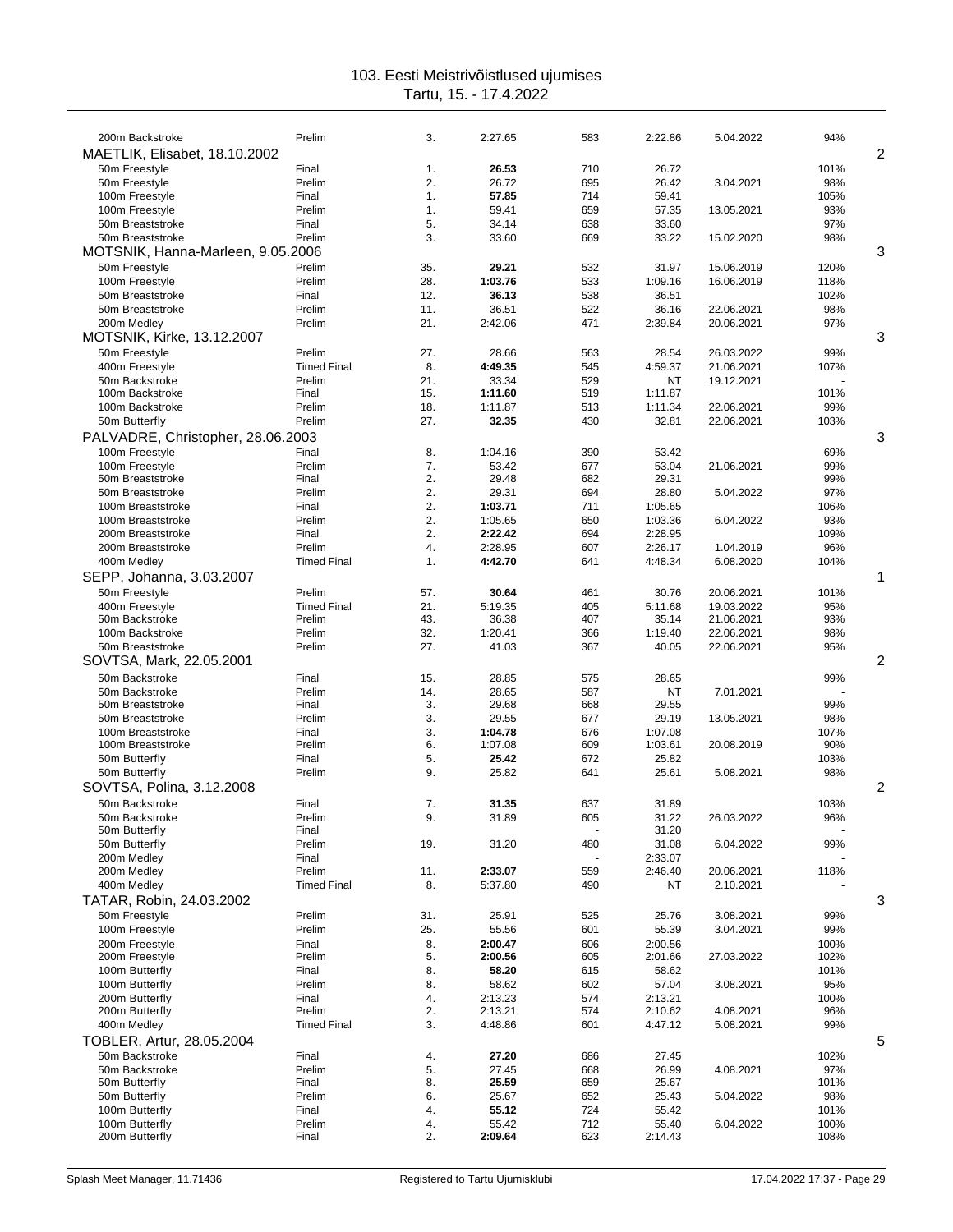| 200m Backstroke                       | Prelim             | 3.         | 2:27.65          | 583        | 2:22.86          | 5.04.2022  | 94%          |                |
|---------------------------------------|--------------------|------------|------------------|------------|------------------|------------|--------------|----------------|
| MAETLIK, Elisabet, 18.10.2002         |                    |            |                  |            |                  |            |              | 2              |
| 50m Freestyle                         | Final              | 1.         | 26.53            | 710        | 26.72            |            | 101%         |                |
| 50m Freestyle                         | Prelim             | 2.         | 26.72            | 695        | 26.42            | 3.04.2021  | 98%          |                |
| 100m Freestyle                        | Final              | 1.         | 57.85            | 714        | 59.41            |            | 105%         |                |
| 100m Freestyle                        | Prelim             | 1.         | 59.41            | 659        | 57.35            | 13.05.2021 | 93%          |                |
| 50m Breaststroke                      | Final              | 5.         | 34.14            | 638        | 33.60            |            | 97%          |                |
| 50m Breaststroke                      | Prelim             | 3.         | 33.60            | 669        | 33.22            | 15.02.2020 | 98%          | 3              |
| MOTSNIK, Hanna-Marleen, 9.05.2006     |                    |            |                  |            |                  |            |              |                |
| 50m Freestyle                         | Prelim             | 35.        | 29.21            | 532        | 31.97            | 15.06.2019 | 120%         |                |
| 100m Freestyle<br>50m Breaststroke    | Prelim             | 28.<br>12. | 1:03.76<br>36.13 | 533<br>538 | 1:09.16<br>36.51 | 16.06.2019 | 118%<br>102% |                |
| 50m Breaststroke                      | Final<br>Prelim    | 11.        | 36.51            | 522        | 36.16            | 22.06.2021 | 98%          |                |
| 200m Medley                           | Prelim             | 21.        | 2:42.06          | 471        | 2:39.84          | 20.06.2021 | 97%          |                |
| MOTSNIK, Kirke, 13.12.2007            |                    |            |                  |            |                  |            |              | 3              |
| 50m Freestyle                         | Prelim             | 27.        | 28.66            | 563        | 28.54            | 26.03.2022 | 99%          |                |
| 400m Freestyle                        | <b>Timed Final</b> | 8.         | 4:49.35          | 545        | 4:59.37          | 21.06.2021 | 107%         |                |
| 50m Backstroke                        | Prelim             | 21.        | 33.34            | 529        | NT               | 19.12.2021 |              |                |
| 100m Backstroke                       | Final              | 15.        | 1:11.60          | 519        | 1:11.87          |            | 101%         |                |
| 100m Backstroke                       | Prelim             | 18.        | 1:11.87          | 513        | 1:11.34          | 22.06.2021 | 99%          |                |
| 50m Butterfly                         | Prelim             | 27.        | 32.35            | 430        | 32.81            | 22.06.2021 | 103%         |                |
| PALVADRE, Christopher, 28.06.2003     |                    |            |                  |            |                  |            |              | 3              |
| 100m Freestyle                        | Final              | 8.         | 1:04.16          | 390        | 53.42            |            | 69%          |                |
| 100m Freestyle                        | Prelim             | 7.         | 53.42            | 677        | 53.04            | 21.06.2021 | 99%          |                |
| 50m Breaststroke                      | Final              | 2.         | 29.48            | 682        | 29.31            |            | 99%          |                |
| 50m Breaststroke                      | Prelim             | 2.         | 29.31            | 694        | 28.80            | 5.04.2022  | 97%          |                |
| 100m Breaststroke                     | Final              | 2.         | 1:03.71          | 711        | 1:05.65          |            | 106%         |                |
| 100m Breaststroke                     | Prelim             | 2.         | 1:05.65          | 650        | 1:03.36          | 6.04.2022  | 93%          |                |
| 200m Breaststroke                     | Final              | 2.         | 2:22.42          | 694        | 2:28.95          |            | 109%         |                |
| 200m Breaststroke                     | Prelim             | 4.         | 2:28.95          | 607        | 2:26.17          | 1.04.2019  | 96%          |                |
| 400m Medley                           | <b>Timed Final</b> | 1.         | 4:42.70          | 641        | 4:48.34          | 6.08.2020  | 104%         |                |
| SEPP, Johanna, 3.03.2007              |                    |            |                  |            |                  |            |              | 1              |
| 50m Freestyle                         | Prelim             | 57.        | 30.64            | 461        | 30.76            | 20.06.2021 | 101%         |                |
| 400m Freestyle                        | <b>Timed Final</b> | 21.        | 5:19.35          | 405        | 5:11.68          | 19.03.2022 | 95%          |                |
| 50m Backstroke                        | Prelim             | 43.        | 36.38            | 407        | 35.14            | 21.06.2021 | 93%          |                |
| 100m Backstroke                       | Prelim             | 32.        | 1:20.41          | 366        | 1:19.40          | 22.06.2021 | 98%          |                |
| 50m Breaststroke                      | Prelim             | 27.        | 41.03            | 367        | 40.05            | 22.06.2021 | 95%          |                |
| SOVTSA, Mark, 22.05.2001              |                    |            |                  |            |                  |            |              | $\overline{2}$ |
| 50m Backstroke                        | Final              | 15.        | 28.85            | 575        | 28.65            |            | 99%          |                |
| 50m Backstroke                        | Prelim             | 14.        | 28.65            | 587        | ΝT               | 7.01.2021  |              |                |
| 50m Breaststroke                      | Final              | 3.         | 29.68            | 668        | 29.55            |            | 99%          |                |
| 50m Breaststroke<br>100m Breaststroke | Prelim<br>Final    | 3.<br>3.   | 29.55<br>1:04.78 | 677<br>676 | 29.19<br>1:07.08 | 13.05.2021 | 98%<br>107%  |                |
| 100m Breaststroke                     | Prelim             | 6.         | 1:07.08          | 609        | 1:03.61          | 20.08.2019 | 90%          |                |
| 50m Butterfly                         | Final              | 5.         | 25.42            | 672        | 25.82            |            | 103%         |                |
| 50m Butterfly                         | Prelim             | 9.         | 25.82            | 641        | 25.61            | 5.08.2021  | 98%          |                |
| SOVTSA, Polina, 3.12.2008             |                    |            |                  |            |                  |            |              | 2              |
| 50m Backstroke                        | Final              | 7.         | 31.35            | 637        | 31.89            |            | 103%         |                |
| 50m Backstroke                        | Prelim             | У.         | 31.89            | 605        | 31.22            | 26.03.2022 | 96%          |                |
| 50m Butterfly                         | Final              |            |                  |            | 31.20            |            |              |                |
| 50m Butterfly                         | Prelim             | 19.        | 31.20            | 480        | 31.08            | 6.04.2022  | 99%          |                |
| 200m Medley                           | Final              |            |                  |            | 2:33.07          |            |              |                |
| 200m Medley                           | Prelim             | 11.        | 2:33.07          | 559        | 2:46.40          | 20.06.2021 | 118%         |                |
| 400m Medley                           | <b>Timed Final</b> | 8.         | 5:37.80          | 490        | NT               | 2.10.2021  |              |                |
| TATAR, Robin, 24.03.2002              |                    |            |                  |            |                  |            |              | 3              |
| 50m Freestyle                         | Prelim             | 31.        | 25.91            | 525        | 25.76            | 3.08.2021  | 99%          |                |
| 100m Freestyle                        | Prelim             | 25.        | 55.56            | 601        | 55.39            | 3.04.2021  | 99%          |                |
| 200m Freestyle                        | Final              | 8.         | 2:00.47          | 606        | 2:00.56          |            | 100%         |                |
| 200m Freestyle                        | Prelim             | 5.         | 2:00.56          | 605        | 2:01.66          | 27.03.2022 | 102%         |                |
| 100m Butterfly                        | Final              | 8.         | 58.20            | 615        | 58.62            |            | 101%         |                |
| 100m Butterfly                        | Prelim             | 8.         | 58.62            | 602        | 57.04            | 3.08.2021  | 95%          |                |
| 200m Butterfly                        | Final              | 4.         | 2:13.23          | 574        | 2:13.21          |            | 100%         |                |
| 200m Butterfly                        | Prelim             | 2.         | 2:13.21          | 574        | 2:10.62          | 4.08.2021  | 96%          |                |
| 400m Medley                           | <b>Timed Final</b> | 3.         | 4:48.86          | 601        | 4:47.12          | 5.08.2021  | 99%          |                |
| TOBLER, Artur, 28.05.2004             |                    |            |                  |            |                  |            |              | 5              |
| 50m Backstroke                        | Final              | 4.         | 27.20            | 686        | 27.45            |            | 102%         |                |
| 50m Backstroke                        | Prelim             | 5.         | 27.45            | 668        | 26.99            | 4.08.2021  | 97%          |                |
| 50m Butterfly<br>50m Butterfly        | Final<br>Prelim    | 8.<br>6.   | 25.59<br>25.67   | 659<br>652 | 25.67<br>25.43   | 5.04.2022  | 101%<br>98%  |                |
| 100m Butterfly                        | Final              | 4.         | 55.12            | 724        | 55.42            |            | 101%         |                |
| 100m Butterfly                        | Prelim             | 4.         | 55.42            | 712        | 55.40            | 6.04.2022  | 100%         |                |
| 200m Butterfly                        | Final              | 2.         | 2:09.64          | 623        | 2:14.43          |            | 108%         |                |
|                                       |                    |            |                  |            |                  |            |              |                |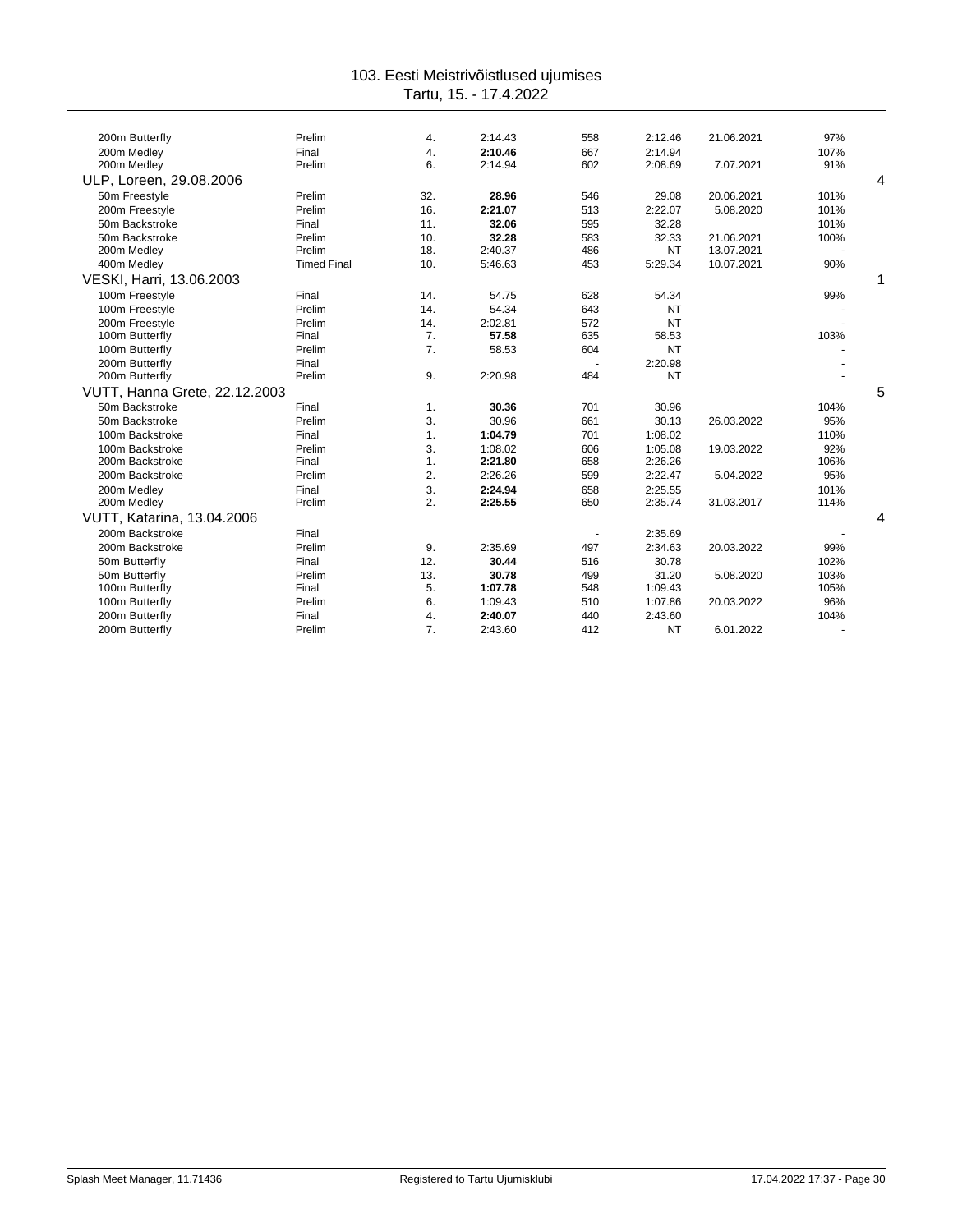| 200m Butterfly                | Prelim             | 4.  | 2:14.43 | 558 | 2:12.46   | 21.06.2021 | 97%  |   |
|-------------------------------|--------------------|-----|---------|-----|-----------|------------|------|---|
| 200m Medlev                   | Final              | 4.  | 2:10.46 | 667 | 2:14.94   |            | 107% |   |
| 200m Medley                   | Prelim             | 6.  | 2:14.94 | 602 | 2:08.69   | 7.07.2021  | 91%  |   |
| ULP, Loreen, 29.08.2006       |                    |     |         |     |           |            |      | 4 |
| 50m Freestyle                 | Prelim             | 32. | 28.96   | 546 | 29.08     | 20.06.2021 | 101% |   |
| 200m Freestyle                | Prelim             | 16. | 2:21.07 | 513 | 2:22.07   | 5.08.2020  | 101% |   |
| 50m Backstroke                | Final              | 11. | 32.06   | 595 | 32.28     |            | 101% |   |
| 50m Backstroke                | Prelim             | 10. | 32.28   | 583 | 32.33     | 21.06.2021 | 100% |   |
| 200m Medley                   | Prelim             | 18. | 2:40.37 | 486 | NT        | 13.07.2021 |      |   |
| 400m Medley                   | <b>Timed Final</b> | 10. | 5:46.63 | 453 | 5:29.34   | 10.07.2021 | 90%  |   |
| VESKI, Harri, 13.06.2003      |                    |     |         |     |           |            |      | 1 |
| 100m Freestyle                | Final              | 14. | 54.75   | 628 | 54.34     |            | 99%  |   |
| 100m Freestyle                | Prelim             | 14. | 54.34   | 643 | NT        |            |      |   |
| 200m Freestyle                | Prelim             | 14. | 2:02.81 | 572 | <b>NT</b> |            |      |   |
| 100m Butterfly                | Final              | 7.  | 57.58   | 635 | 58.53     |            | 103% |   |
| 100m Butterfly                | Prelim             | 7.  | 58.53   | 604 | <b>NT</b> |            |      |   |
| 200m Butterfly                | Final              |     |         |     | 2:20.98   |            |      |   |
| 200m Butterfly                | Prelim             | 9.  | 2:20.98 | 484 | NT        |            |      |   |
| VUTT, Hanna Grete, 22.12.2003 |                    |     |         |     |           |            |      | 5 |
| 50m Backstroke                | Final              | 1.  | 30.36   | 701 | 30.96     |            | 104% |   |
| 50m Backstroke                | Prelim             | 3.  | 30.96   | 661 | 30.13     | 26.03.2022 | 95%  |   |
| 100m Backstroke               | Final              | 1.  | 1:04.79 | 701 | 1:08.02   |            | 110% |   |
| 100m Backstroke               | Prelim             | 3.  | 1:08.02 | 606 | 1:05.08   | 19.03.2022 | 92%  |   |
| 200m Backstroke               | Final              | 1.  | 2:21.80 | 658 | 2:26.26   |            | 106% |   |
| 200m Backstroke               | Prelim             | 2.  | 2:26.26 | 599 | 2:22.47   | 5.04.2022  | 95%  |   |
| 200m Medley                   | Final              | 3.  | 2:24.94 | 658 | 2:25.55   |            | 101% |   |
| 200m Medley                   | Prelim             | 2.  | 2:25.55 | 650 | 2:35.74   | 31.03.2017 | 114% |   |
| VUTT, Katarina, 13.04.2006    |                    |     |         |     |           |            |      | 4 |
| 200m Backstroke               | Final              |     |         |     | 2:35.69   |            |      |   |
| 200m Backstroke               | Prelim             | 9.  | 2:35.69 | 497 | 2:34.63   | 20.03.2022 | 99%  |   |
| 50m Butterfly                 | Final              | 12. | 30.44   | 516 | 30.78     |            | 102% |   |
| 50m Butterfly                 | Prelim             | 13. | 30.78   | 499 | 31.20     | 5.08.2020  | 103% |   |
| 100m Butterfly                | Final              | 5.  | 1:07.78 | 548 | 1:09.43   |            | 105% |   |
| 100m Butterfly                | Prelim             | 6.  | 1:09.43 | 510 | 1:07.86   | 20.03.2022 | 96%  |   |
| 200m Butterfly                | Final              | 4.  | 2:40.07 | 440 | 2:43.60   |            | 104% |   |
| 200m Butterfly                | Prelim             | 7.  | 2:43.60 | 412 | <b>NT</b> | 6.01.2022  |      |   |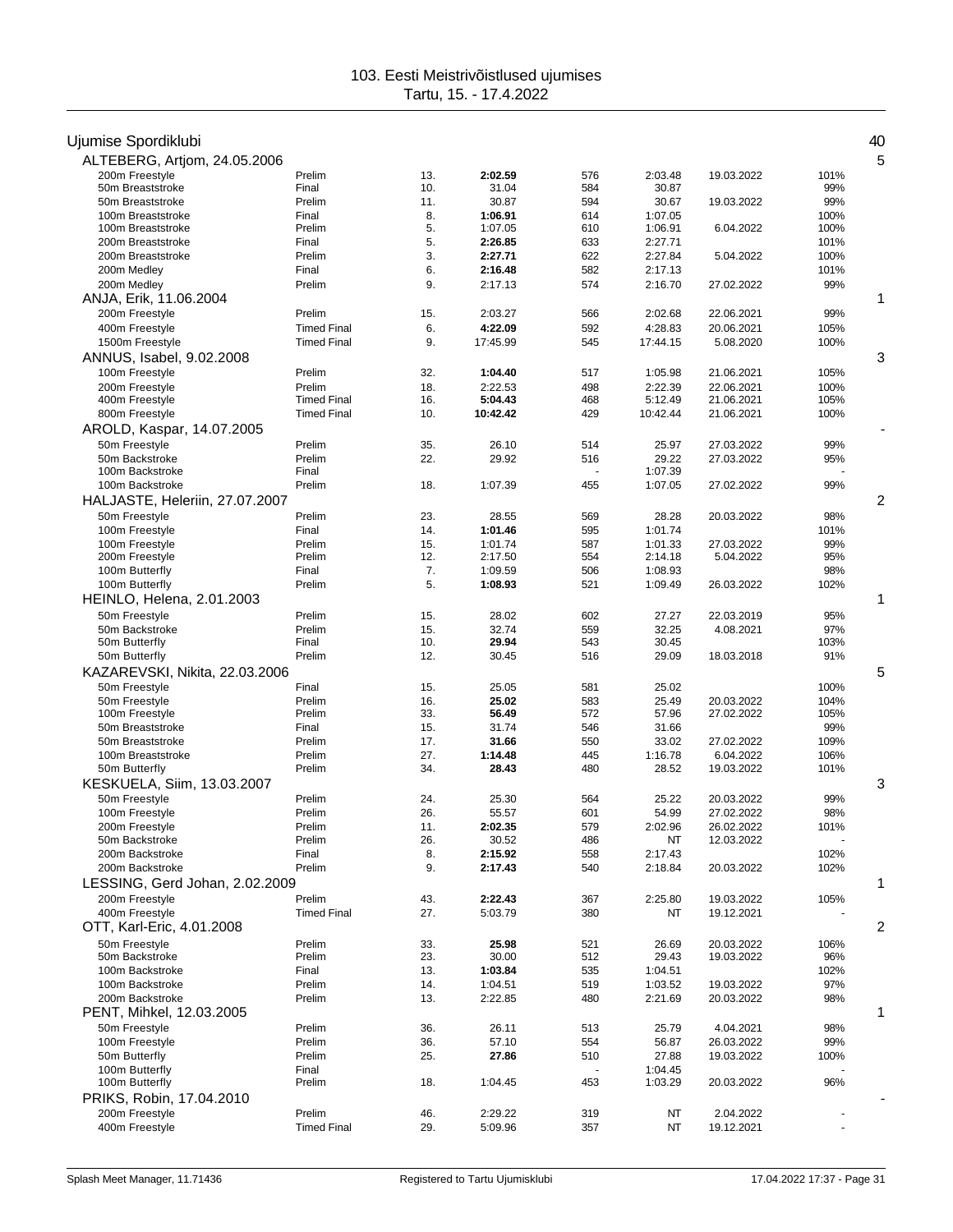| Ujumise Spordiklubi                  |                              |            |                    |            |                    |                          |              | 40 |
|--------------------------------------|------------------------------|------------|--------------------|------------|--------------------|--------------------------|--------------|----|
| ALTEBERG, Artjom, 24.05.2006         |                              |            |                    |            |                    |                          |              | 5  |
| 200m Freestyle                       | Prelim                       | 13.        | 2:02.59            | 576        | 2:03.48            | 19.03.2022               | 101%         |    |
| 50m Breaststroke<br>50m Breaststroke | Final<br>Prelim              | 10.<br>11. | 31.04<br>30.87     | 584<br>594 | 30.87<br>30.67     | 19.03.2022               | 99%<br>99%   |    |
| 100m Breaststroke                    | Final                        | 8.         | 1:06.91            | 614        | 1:07.05            |                          | 100%         |    |
| 100m Breaststroke                    | Prelim                       | 5.         | 1:07.05            | 610        | 1:06.91            | 6.04.2022                | 100%         |    |
| 200m Breaststroke                    | Final                        | 5.         | 2:26.85            | 633        | 2:27.71            |                          | 101%         |    |
| 200m Breaststroke                    | Prelim                       | 3.         | 2:27.71            | 622        | 2:27.84            | 5.04.2022                | 100%         |    |
| 200m Medley                          | Final                        | 6.         | 2:16.48            | 582        | 2:17.13            |                          | 101%         |    |
| 200m Medley                          | Prelim                       | 9.         | 2:17.13            | 574        | 2:16.70            | 27.02.2022               | 99%          |    |
| ANJA, Erik, 11.06.2004               |                              |            |                    |            |                    |                          |              | 1  |
| 200m Freestyle                       | Prelim                       | 15.        | 2:03.27            | 566        | 2:02.68            | 22.06.2021               | 99%          |    |
| 400m Freestyle                       | <b>Timed Final</b>           | 6.         | 4:22.09            | 592        | 4:28.83            | 20.06.2021               | 105%         |    |
| 1500m Freestyle                      | <b>Timed Final</b>           | 9.         | 17:45.99           | 545        | 17:44.15           | 5.08.2020                | 100%         |    |
| ANNUS, Isabel, 9.02.2008             |                              |            |                    |            |                    |                          |              | 3  |
| 100m Freestyle                       | Prelim                       | 32.        | 1:04.40            | 517        | 1:05.98            | 21.06.2021               | 105%         |    |
| 200m Freestyle<br>400m Freestyle     | Prelim<br><b>Timed Final</b> | 18.<br>16. | 2:22.53<br>5:04.43 | 498<br>468 | 2:22.39<br>5:12.49 | 22.06.2021<br>21.06.2021 | 100%<br>105% |    |
| 800m Freestyle                       | <b>Timed Final</b>           | 10.        | 10:42.42           | 429        | 10:42.44           | 21.06.2021               | 100%         |    |
| AROLD, Kaspar, 14.07.2005            |                              |            |                    |            |                    |                          |              |    |
| 50m Freestyle                        | Prelim                       | 35.        | 26.10              | 514        | 25.97              | 27.03.2022               | 99%          |    |
| 50m Backstroke                       | Prelim                       | 22.        | 29.92              | 516        | 29.22              | 27.03.2022               | 95%          |    |
| 100m Backstroke                      | Final                        |            |                    |            | 1:07.39            |                          |              |    |
| 100m Backstroke                      | Prelim                       | 18.        | 1:07.39            | 455        | 1:07.05            | 27.02.2022               | 99%          |    |
| HALJASTE, Heleriin, 27.07.2007       |                              |            |                    |            |                    |                          |              | 2  |
| 50m Freestyle                        | Prelim                       | 23.        | 28.55              | 569        | 28.28              | 20.03.2022               | 98%          |    |
| 100m Freestyle                       | Final                        | 14.        | 1:01.46            | 595        | 1:01.74            |                          | 101%         |    |
| 100m Freestyle                       | Prelim                       | 15.        | 1:01.74            | 587        | 1:01.33            | 27.03.2022               | 99%          |    |
| 200m Freestyle                       | Prelim                       | 12.        | 2:17.50            | 554        | 2:14.18            | 5.04.2022                | 95%          |    |
| 100m Butterfly                       | Final                        | 7.         | 1:09.59            | 506        | 1:08.93            |                          | 98%          |    |
| 100m Butterfly                       | Prelim                       | 5.         | 1:08.93            | 521        | 1:09.49            | 26.03.2022               | 102%         |    |
| <b>HEINLO, Helena, 2.01.2003</b>     |                              |            |                    |            |                    |                          |              | 1  |
| 50m Freestyle                        | Prelim                       | 15.        | 28.02              | 602        | 27.27              | 22.03.2019               | 95%          |    |
| 50m Backstroke<br>50m Butterfly      | Prelim<br>Final              | 15.<br>10. | 32.74<br>29.94     | 559<br>543 | 32.25<br>30.45     | 4.08.2021                | 97%<br>103%  |    |
| 50m Butterfly                        | Prelim                       | 12.        | 30.45              | 516        | 29.09              | 18.03.2018               | 91%          |    |
| KAZAREVSKI, Nikita, 22.03.2006       |                              |            |                    |            |                    |                          |              | 5  |
| 50m Freestyle                        | Final                        | 15.        | 25.05              | 581        | 25.02              |                          | 100%         |    |
| 50m Freestyle                        | Prelim                       | 16.        | 25.02              | 583        | 25.49              | 20.03.2022               | 104%         |    |
| 100m Freestyle                       | Prelim                       | 33.        | 56.49              | 572        | 57.96              | 27.02.2022               | 105%         |    |
| 50m Breaststroke                     | Final                        | 15.        | 31.74              | 546        | 31.66              |                          | 99%          |    |
| 50m Breaststroke                     | Prelim                       | 17.        | 31.66              | 550        | 33.02              | 27.02.2022               | 109%         |    |
| 100m Breaststroke                    | Prelim                       | 27.        | 1:14.48            | 445        | 1:16.78            | 6.04.2022                | 106%         |    |
| 50m Butterfly                        | Prelim                       | 34.        | 28.43              | 480        | 28.52              | 19.03.2022               | 101%         |    |
| KESKUELA, Siim, 13.03.2007           |                              |            |                    |            |                    |                          |              | 3  |
| 50m Freestyle                        | Prelim                       | 24.        | 25.30              | 564        | 25.22              | 20.03.2022               | 99%          |    |
| 100m Freestyle<br>200m Freestyle     | Prelim<br>Prelim             | 26.<br>11. | 55.57<br>2:02.35   | 601<br>579 | 54.99<br>2:02.96   | 27.02.2022<br>26.02.2022 | 98%<br>101%  |    |
| 50m Backstroke                       | Prelim                       | 26.        | 30.52              | 486        | NT                 | 12.03.2022               |              |    |
| 200m Backstroke                      | Final                        | 8.         | 2:15.92            | 558        | 2:17.43            |                          | 102%         |    |
| 200m Backstroke                      | Prelim                       | 9.         | 2:17.43            | 540        | 2:18.84            | 20.03.2022               | 102%         |    |
| LESSING, Gerd Johan, 2.02.2009       |                              |            |                    |            |                    |                          |              | 1  |
| 200m Freestyle                       | Prelim                       | 43.        | 2:22.43            | 367        | 2:25.80            | 19.03.2022               | 105%         |    |
| 400m Freestyle                       | <b>Timed Final</b>           | 27.        | 5:03.79            | 380        | NT                 | 19.12.2021               |              |    |
| OTT, Karl-Eric, 4.01.2008            |                              |            |                    |            |                    |                          |              | 2  |
| 50m Freestyle                        | Prelim                       | 33.        | 25.98              | 521        | 26.69              | 20.03.2022               | 106%         |    |
| 50m Backstroke                       | Prelim                       | 23.        | 30.00              | 512        | 29.43              | 19.03.2022               | 96%          |    |
| 100m Backstroke                      | Final                        | 13.        | 1:03.84            | 535        | 1:04.51            |                          | 102%         |    |
| 100m Backstroke                      | Prelim                       | 14.        | 1:04.51            | 519        | 1:03.52            | 19.03.2022               | 97%          |    |
| 200m Backstroke                      | Prelim                       | 13.        | 2:22.85            | 480        | 2:21.69            | 20.03.2022               | 98%          |    |
| PENT, Mihkel, 12.03.2005             |                              |            |                    |            |                    |                          |              | 1  |
| 50m Freestyle                        | Prelim                       | 36.        | 26.11              | 513        | 25.79              | 4.04.2021                | 98%          |    |
| 100m Freestyle<br>50m Butterfly      | Prelim<br>Prelim             | 36.<br>25. | 57.10<br>27.86     | 554<br>510 | 56.87<br>27.88     | 26.03.2022<br>19.03.2022 | 99%<br>100%  |    |
| 100m Butterfly                       | Final                        |            |                    |            | 1:04.45            |                          |              |    |
| 100m Butterfly                       | Prelim                       | 18.        | 1:04.45            | 453        | 1:03.29            | 20.03.2022               | 96%          |    |
| PRIKS, Robin, 17.04.2010             |                              |            |                    |            |                    |                          |              |    |
| 200m Freestyle                       | Prelim                       | 46.        | 2:29.22            | 319        | NT                 | 2.04.2022                |              |    |
| 400m Freestyle                       | <b>Timed Final</b>           | 29.        | 5:09.96            | 357        | NT                 | 19.12.2021               |              |    |
|                                      |                              |            |                    |            |                    |                          |              |    |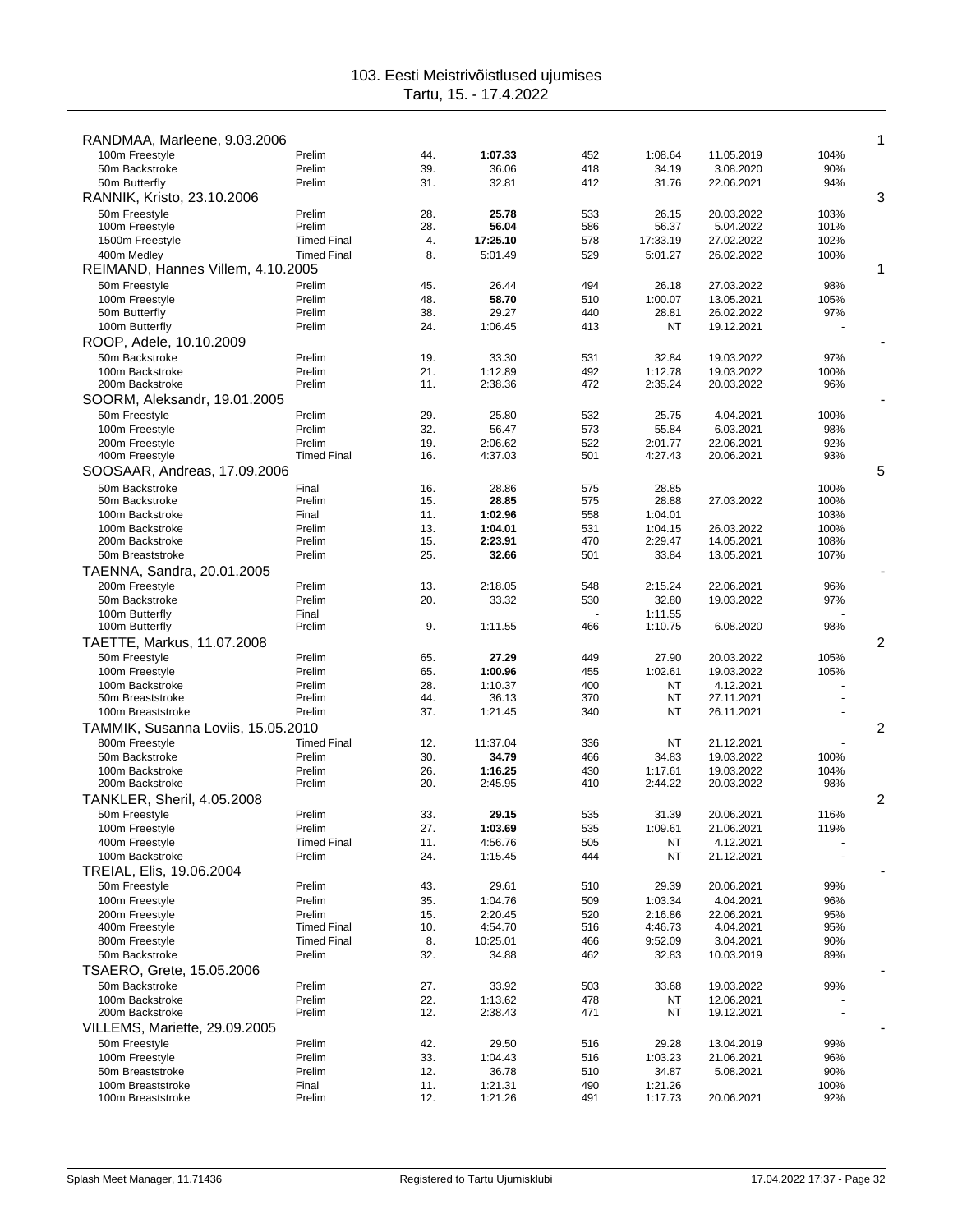| RANDMAA, Marleene, 9.03.2006       |                              |            |                    |            |                  |                          |              | 1              |
|------------------------------------|------------------------------|------------|--------------------|------------|------------------|--------------------------|--------------|----------------|
| 100m Freestyle<br>50m Backstroke   | Prelim                       | 44.        | 1:07.33            | 452        | 1:08.64          | 11.05.2019               | 104%         |                |
| 50m Butterfly                      | Prelim<br>Prelim             | 39.<br>31. | 36.06<br>32.81     | 418<br>412 | 34.19<br>31.76   | 3.08.2020<br>22.06.2021  | 90%<br>94%   |                |
| RANNIK, Kristo, 23.10.2006         |                              |            |                    |            |                  |                          |              | 3              |
| 50m Freestyle                      | Prelim                       | 28.        | 25.78              | 533        | 26.15            | 20.03.2022               | 103%         |                |
| 100m Freestyle                     | Prelim                       | 28.        | 56.04              | 586        | 56.37            | 5.04.2022                | 101%         |                |
| 1500m Freestyle                    | <b>Timed Final</b>           | 4.         | 17:25.10           | 578        | 17:33.19         | 27.02.2022               | 102%         |                |
| 400m Medley                        | <b>Timed Final</b>           | 8.         | 5:01.49            | 529        | 5:01.27          | 26.02.2022               | 100%         |                |
| REIMAND, Hannes Villem, 4.10.2005  |                              |            |                    |            |                  |                          |              | 1              |
| 50m Freestyle                      | Prelim                       | 45.        | 26.44              | 494        | 26.18            | 27.03.2022               | 98%          |                |
| 100m Freestyle                     | Prelim                       | 48.        | 58.70              | 510        | 1:00.07          | 13.05.2021               | 105%         |                |
| 50m Butterfly<br>100m Butterfly    | Prelim<br>Prelim             | 38.<br>24. | 29.27<br>1:06.45   | 440<br>413 | 28.81<br>NT      | 26.02.2022<br>19.12.2021 | 97%          |                |
| ROOP, Adele, 10.10.2009            |                              |            |                    |            |                  |                          |              |                |
| 50m Backstroke                     | Prelim                       | 19.        | 33.30              | 531        | 32.84            | 19.03.2022               | 97%          |                |
| 100m Backstroke                    | Prelim                       | 21.        | 1:12.89            | 492        | 1:12.78          | 19.03.2022               | 100%         |                |
| 200m Backstroke                    | Prelim                       | 11.        | 2:38.36            | 472        | 2:35.24          | 20.03.2022               | 96%          |                |
| SOORM, Aleksandr, 19.01.2005       |                              |            |                    |            |                  |                          |              |                |
| 50m Freestyle                      | Prelim                       | 29.        | 25.80              | 532        | 25.75            | 4.04.2021                | 100%         |                |
| 100m Freestyle                     | Prelim                       | 32.        | 56.47              | 573        | 55.84            | 6.03.2021                | 98%          |                |
| 200m Freestyle                     | Prelim                       | 19.        | 2:06.62            | 522        | 2:01.77          | 22.06.2021               | 92%          |                |
| 400m Freestyle                     | <b>Timed Final</b>           | 16.        | 4:37.03            | 501        | 4:27.43          | 20.06.2021               | 93%          |                |
| SOOSAAR, Andreas, 17.09.2006       |                              |            |                    |            |                  |                          |              | 5              |
| 50m Backstroke                     | Final                        | 16.        | 28.86              | 575        | 28.85            |                          | 100%         |                |
| 50m Backstroke<br>100m Backstroke  | Prelim<br>Final              | 15.<br>11. | 28.85<br>1:02.96   | 575<br>558 | 28.88<br>1:04.01 | 27.03.2022               | 100%<br>103% |                |
| 100m Backstroke                    | Prelim                       | 13.        | 1:04.01            | 531        | 1:04.15          | 26.03.2022               | 100%         |                |
| 200m Backstroke                    | Prelim                       | 15.        | 2:23.91            | 470        | 2:29.47          | 14.05.2021               | 108%         |                |
| 50m Breaststroke                   | Prelim                       | 25.        | 32.66              | 501        | 33.84            | 13.05.2021               | 107%         |                |
| TAENNA, Sandra, 20.01.2005         |                              |            |                    |            |                  |                          |              |                |
| 200m Freestyle                     | Prelim                       | 13.        | 2:18.05            | 548        | 2:15.24          | 22.06.2021               | 96%          |                |
| 50m Backstroke                     | Prelim                       | 20.        | 33.32              | 530        | 32.80            | 19.03.2022               | 97%          |                |
| 100m Butterfly                     | Final                        |            |                    |            | 1:11.55          |                          |              |                |
| 100m Butterfly                     | Prelim                       | 9.         | 1:11.55            | 466        | 1:10.75          | 6.08.2020                | 98%          |                |
| TAETTE, Markus, 11.07.2008         |                              |            |                    |            |                  |                          |              | 2              |
| 50m Freestyle                      | Prelim                       | 65.        | 27.29              | 449        | 27.90            | 20.03.2022               | 105%         |                |
| 100m Freestyle<br>100m Backstroke  | Prelim<br>Prelim             | 65.<br>28. | 1:00.96<br>1:10.37 | 455<br>400 | 1:02.61<br>NT    | 19.03.2022<br>4.12.2021  | 105%         |                |
| 50m Breaststroke                   | Prelim                       | 44.        | 36.13              | 370        | NT               | 27.11.2021               |              |                |
| 100m Breaststroke                  | Prelim                       | 37.        | 1:21.45            | 340        | NT               | 26.11.2021               |              |                |
| TAMMIK, Susanna Loviis, 15.05.2010 |                              |            |                    |            |                  |                          |              | $\overline{c}$ |
| 800m Freestyle                     | <b>Timed Final</b>           | 12.        | 11:37.04           | 336        | NT               | 21.12.2021               |              |                |
| 50m Backstroke                     | Prelim                       | 30.        | 34.79              | 466        | 34.83            | 19.03.2022               | 100%         |                |
| 100m Backstroke                    | Prelim                       | 26.        | 1:16.25            | 430        | 1:17.61          | 19.03.2022               | 104%         |                |
| 200m Backstroke                    | Prelim                       | 20.        | 2:45.95            | 410        | 2:44.22          | 20.03.2022               | 98%          |                |
| TANKLER, Sheril, 4.05.2008         |                              |            |                    |            |                  |                          |              | 2              |
| 50m Freestyle                      | Prelim                       | 33.        | 29.15              | 535        | 31.39            | 20.06.2021               | 116%         |                |
| 100m Freestyle<br>400m Freestyle   | Prelim<br><b>Timed Final</b> | 27.<br>11. | 1:03.69<br>4:56.76 | 535<br>505 | 1:09.61<br>NT    | 21.06.2021<br>4.12.2021  | 119%         |                |
| 100m Backstroke                    | Prelim                       | 24.        | 1:15.45            | 444        | NT               | 21.12.2021               |              |                |
| TREIAL, Elis, 19.06.2004           |                              |            |                    |            |                  |                          |              |                |
| 50m Freestyle                      | Prelim                       | 43.        | 29.61              | 510        | 29.39            | 20.06.2021               | 99%          |                |
| 100m Freestyle                     | Prelim                       | 35.        | 1:04.76            | 509        | 1:03.34          | 4.04.2021                | 96%          |                |
| 200m Freestyle                     | Prelim                       | 15.        | 2:20.45            | 520        | 2:16.86          | 22.06.2021               | 95%          |                |
| 400m Freestyle                     | <b>Timed Final</b>           | 10.        | 4:54.70            | 516        | 4:46.73          | 4.04.2021                | 95%          |                |
| 800m Freestyle                     | <b>Timed Final</b>           | 8.         | 10:25.01           | 466        | 9:52.09          | 3.04.2021                | 90%          |                |
| 50m Backstroke                     | Prelim                       | 32.        | 34.88              | 462        | 32.83            | 10.03.2019               | 89%          |                |
| TSAERO, Grete, 15.05.2006          |                              |            |                    |            |                  |                          |              |                |
| 50m Backstroke<br>100m Backstroke  | Prelim<br>Prelim             | 27.<br>22. | 33.92<br>1:13.62   | 503<br>478 | 33.68<br>NT      | 19.03.2022<br>12.06.2021 | 99%          |                |
| 200m Backstroke                    | Prelim                       | 12.        | 2:38.43            | 471        | NT               | 19.12.2021               |              |                |
| VILLEMS, Mariette, 29.09.2005      |                              |            |                    |            |                  |                          |              |                |
| 50m Freestyle                      | Prelim                       | 42.        | 29.50              | 516        | 29.28            | 13.04.2019               | 99%          |                |
| 100m Freestyle                     | Prelim                       | 33.        | 1:04.43            | 516        | 1:03.23          | 21.06.2021               | 96%          |                |
| 50m Breaststroke                   | Prelim                       | 12.        | 36.78              | 510        | 34.87            | 5.08.2021                | 90%          |                |
| 100m Breaststroke                  | Final                        | 11.        | 1:21.31            | 490        | 1:21.26          |                          | 100%         |                |
| 100m Breaststroke                  | Prelim                       | 12.        | 1:21.26            | 491        | 1:17.73          | 20.06.2021               | 92%          |                |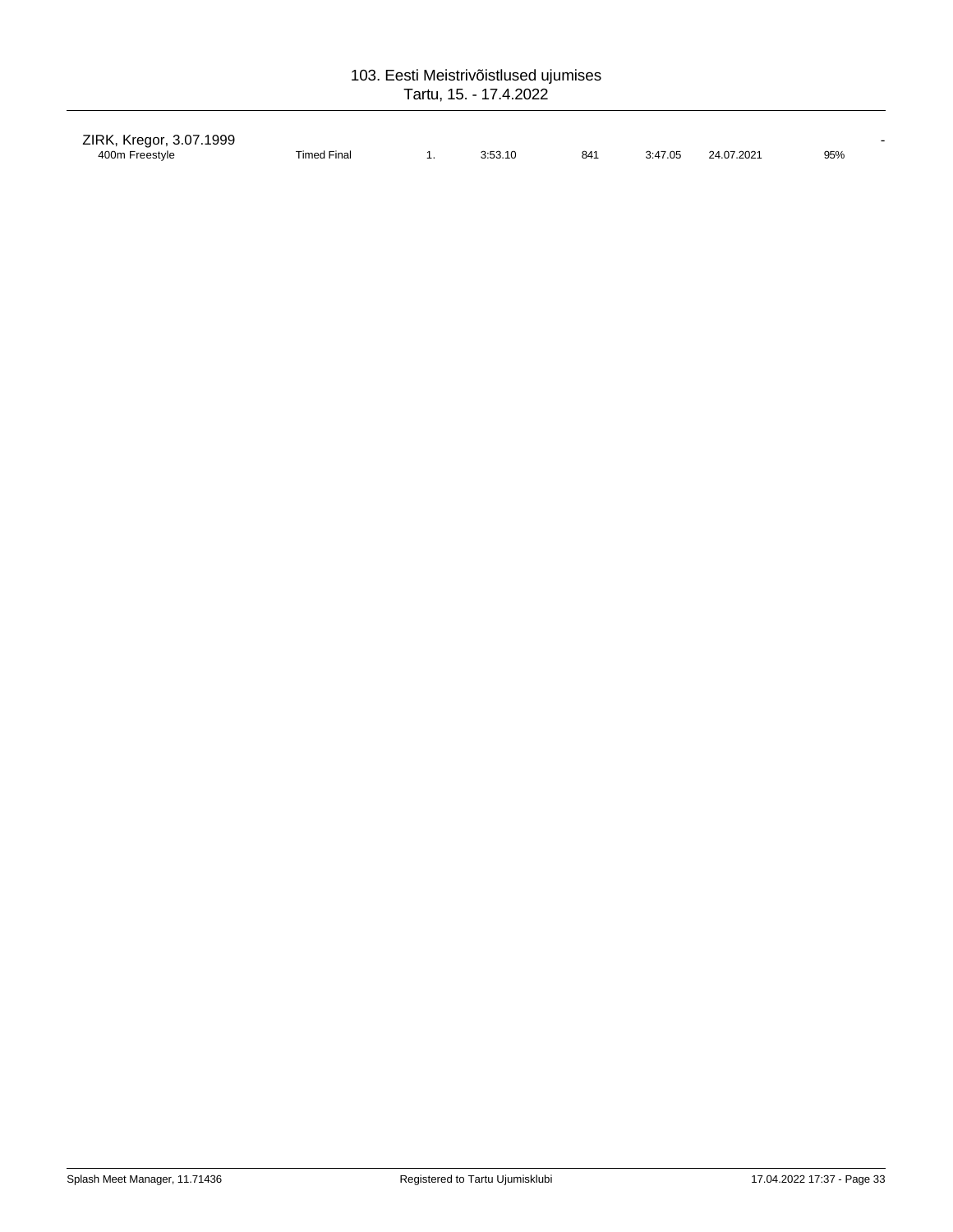| ZIRK, Kregor, 3.07.1999 |                    |         |     |         |            |     |
|-------------------------|--------------------|---------|-----|---------|------------|-----|
| 400m Freestyle          | <b>Timed Final</b> | 3:53.10 | 841 | 3:47.05 | 24.07.2021 | 95% |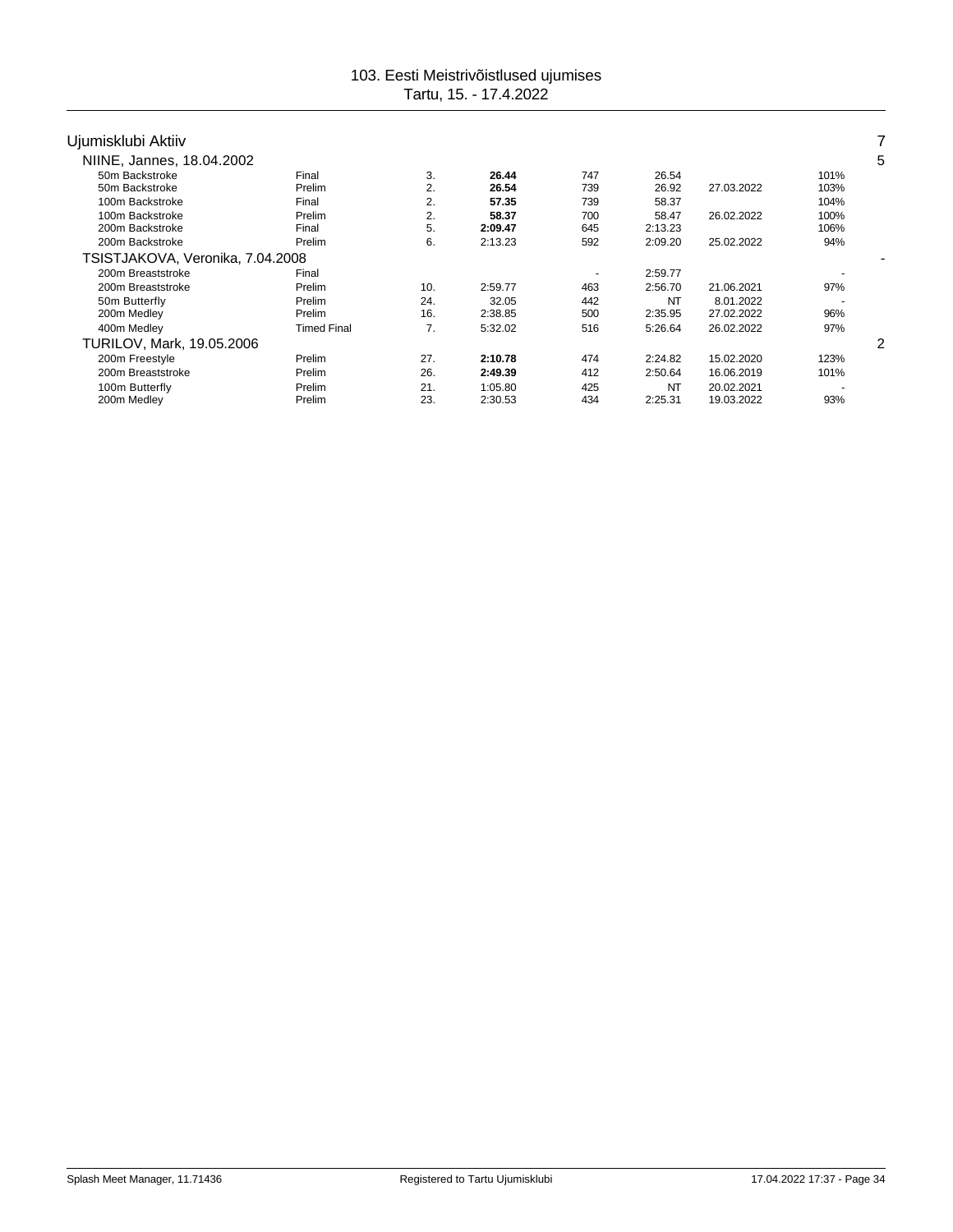| Ujumisklubi Aktiiv               |                    |     |         |                          |           |            |      |   |
|----------------------------------|--------------------|-----|---------|--------------------------|-----------|------------|------|---|
| NIINE, Jannes, 18.04.2002        |                    |     |         |                          |           |            |      | 5 |
| 50m Backstroke                   | Final              | 3.  | 26.44   | 747                      | 26.54     |            | 101% |   |
| 50m Backstroke                   | Prelim             | 2.  | 26.54   | 739                      | 26.92     | 27.03.2022 | 103% |   |
| 100m Backstroke                  | Final              | 2.  | 57.35   | 739                      | 58.37     |            | 104% |   |
| 100m Backstroke                  | Prelim             | 2.  | 58.37   | 700                      | 58.47     | 26.02.2022 | 100% |   |
| 200m Backstroke                  | Final              | 5.  | 2:09.47 | 645                      | 2:13.23   |            | 106% |   |
| 200m Backstroke                  | Prelim             | 6.  | 2:13.23 | 592                      | 2:09.20   | 25.02.2022 | 94%  |   |
| TSISTJAKOVA, Veronika, 7.04.2008 |                    |     |         |                          |           |            |      |   |
| 200m Breaststroke                | Final              |     |         | $\overline{\phantom{a}}$ | 2:59.77   |            |      |   |
| 200m Breaststroke                | Prelim             | 10. | 2:59.77 | 463                      | 2:56.70   | 21.06.2021 | 97%  |   |
| 50m Butterfly                    | Prelim             | 24. | 32.05   | 442                      | <b>NT</b> | 8.01.2022  |      |   |
| 200m Medley                      | Prelim             | 16. | 2:38.85 | 500                      | 2:35.95   | 27.02.2022 | 96%  |   |
| 400m Medley                      | <b>Timed Final</b> | 7.  | 5:32.02 | 516                      | 5:26.64   | 26.02.2022 | 97%  |   |
| <b>TURILOV, Mark, 19.05.2006</b> |                    |     |         |                          |           |            |      | 2 |
| 200m Freestyle                   | Prelim             | 27. | 2:10.78 | 474                      | 2:24.82   | 15.02.2020 | 123% |   |
| 200m Breaststroke                | Prelim             | 26. | 2:49.39 | 412                      | 2:50.64   | 16.06.2019 | 101% |   |
| 100m Butterfly                   | Prelim             | 21. | 1:05.80 | 425                      | NT        | 20.02.2021 |      |   |
| 200m Medley                      | Prelim             | 23. | 2:30.53 | 434                      | 2:25.31   | 19.03.2022 | 93%  |   |
|                                  |                    |     |         |                          |           |            |      |   |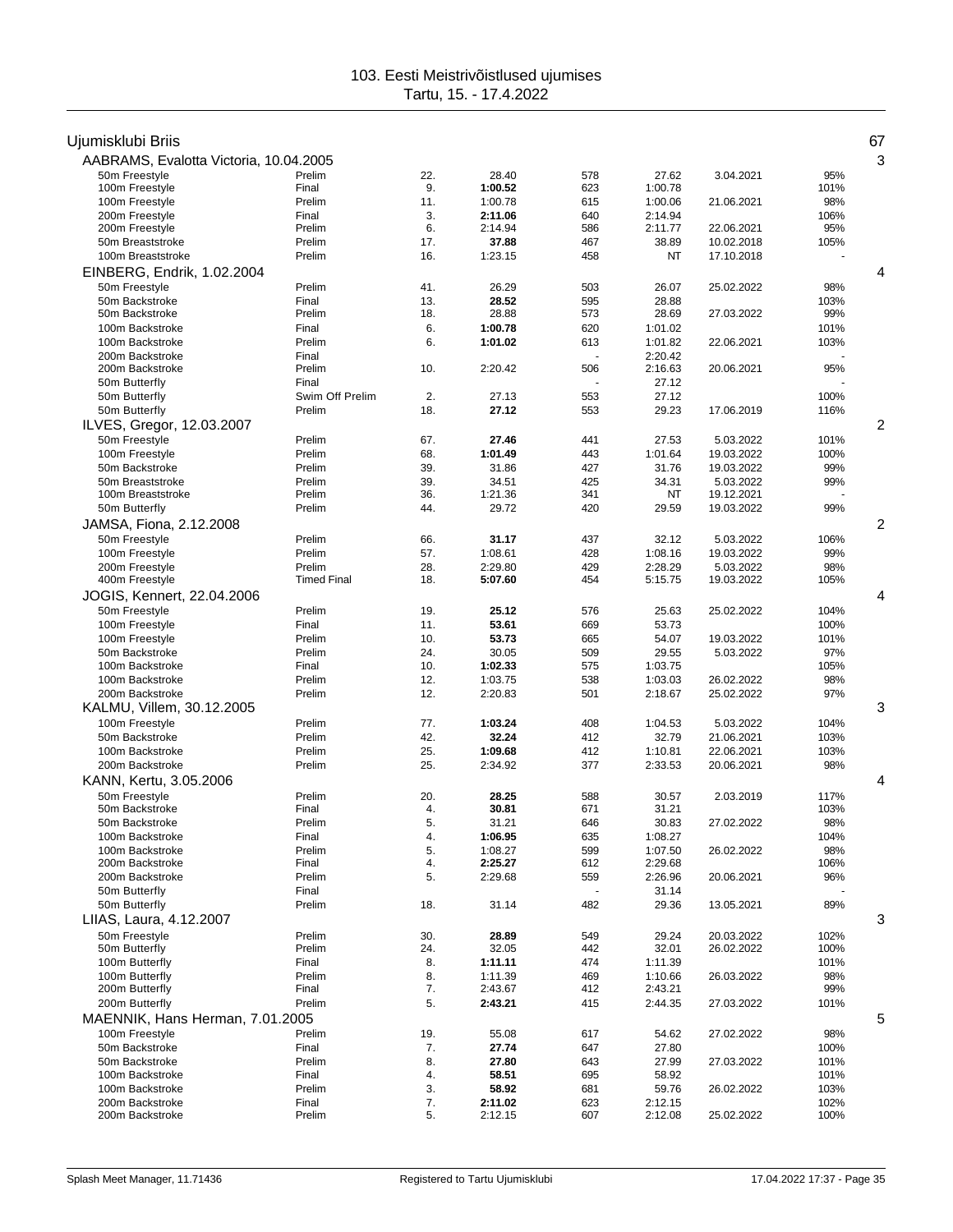| Ujumisklubi Briis                                 |                              |            |                    |            |                    |                         |              | 67 |
|---------------------------------------------------|------------------------------|------------|--------------------|------------|--------------------|-------------------------|--------------|----|
| AABRAMS, Evalotta Victoria, 10.04.2005            |                              |            |                    |            |                    |                         |              | 3  |
| 50m Freestyle<br>100m Freestyle                   | Prelim<br>Final              | 22.<br>9.  | 28.40<br>1:00.52   | 578<br>623 | 27.62<br>1:00.78   | 3.04.2021               | 95%<br>101%  |    |
| 100m Freestyle                                    | Prelim                       | 11.        | 1:00.78            | 615        | 1:00.06            | 21.06.2021              | 98%          |    |
| 200m Freestyle                                    | Final                        | 3.         | 2:11.06            | 640        | 2:14.94            |                         | 106%         |    |
| 200m Freestyle                                    | Prelim                       | 6.         | 2:14.94            | 586        | 2:11.77            | 22.06.2021              | 95%          |    |
| 50m Breaststroke                                  | Prelim                       | 17.        | 37.88              | 467        | 38.89              | 10.02.2018              | 105%         |    |
| 100m Breaststroke                                 | Prelim                       | 16.        | 1:23.15            | 458        | NT                 | 17.10.2018              |              |    |
| EINBERG, Endrik, 1.02.2004                        |                              |            |                    |            |                    |                         |              | 4  |
| 50m Freestyle                                     | Prelim                       | 41.        | 26.29              | 503        | 26.07              | 25.02.2022              | 98%          |    |
| 50m Backstroke<br>50m Backstroke                  | Final<br>Prelim              | 13.<br>18. | 28.52<br>28.88     | 595<br>573 | 28.88<br>28.69     | 27.03.2022              | 103%<br>99%  |    |
| 100m Backstroke                                   | Final                        | 6.         | 1:00.78            | 620        | 1:01.02            |                         | 101%         |    |
| 100m Backstroke                                   | Prelim                       | 6.         | 1:01.02            | 613        | 1:01.82            | 22.06.2021              | 103%         |    |
| 200m Backstroke                                   | Final                        |            |                    |            | 2:20.42            |                         |              |    |
| 200m Backstroke                                   | Prelim                       | 10.        | 2:20.42            | 506        | 2:16.63            | 20.06.2021              | 95%          |    |
| 50m Butterfly                                     | Final                        |            |                    |            | 27.12              |                         |              |    |
| 50m Butterfly                                     | Swim Off Prelim              | 2.         | 27.13              | 553        | 27.12              |                         | 100%         |    |
| 50m Butterfly<br>ILVES, Gregor, 12.03.2007        | Prelim                       | 18.        | 27.12              | 553        | 29.23              | 17.06.2019              | 116%         | 2  |
| 50m Freestyle                                     | Prelim                       | 67.        | 27.46              | 441        | 27.53              | 5.03.2022               | 101%         |    |
| 100m Freestyle                                    | Prelim                       | 68.        | 1:01.49            | 443        | 1:01.64            | 19.03.2022              | 100%         |    |
| 50m Backstroke                                    | Prelim                       | 39.        | 31.86              | 427        | 31.76              | 19.03.2022              | 99%          |    |
| 50m Breaststroke                                  | Prelim                       | 39.        | 34.51              | 425        | 34.31              | 5.03.2022               | 99%          |    |
| 100m Breaststroke                                 | Prelim                       | 36.        | 1:21.36            | 341        | NT                 | 19.12.2021              |              |    |
| 50m Butterfly                                     | Prelim                       | 44.        | 29.72              | 420        | 29.59              | 19.03.2022              | 99%          |    |
| JAMSA, Fiona, 2.12.2008                           |                              |            |                    |            |                    |                         |              | 2  |
| 50m Freestyle                                     | Prelim                       | 66.        | 31.17              | 437        | 32.12              | 5.03.2022               | 106%         |    |
| 100m Freestyle                                    | Prelim                       | 57.        | 1:08.61            | 428        | 1:08.16            | 19.03.2022              | 99%          |    |
| 200m Freestyle<br>400m Freestyle                  | Prelim<br><b>Timed Final</b> | 28.<br>18. | 2:29.80<br>5:07.60 | 429<br>454 | 2:28.29<br>5:15.75 | 5.03.2022<br>19.03.2022 | 98%<br>105%  |    |
| JOGIS, Kennert, 22.04.2006                        |                              |            |                    |            |                    |                         |              | 4  |
| 50m Freestyle                                     | Prelim                       | 19.        | 25.12              | 576        | 25.63              | 25.02.2022              | 104%         |    |
| 100m Freestyle                                    | Final                        | 11.        | 53.61              | 669        | 53.73              |                         | 100%         |    |
| 100m Freestyle                                    | Prelim                       | 10.        | 53.73              | 665        | 54.07              | 19.03.2022              | 101%         |    |
| 50m Backstroke                                    | Prelim                       | 24.        | 30.05              | 509        | 29.55              | 5.03.2022               | 97%          |    |
| 100m Backstroke                                   | Final                        | 10.        | 1:02.33            | 575        | 1:03.75            |                         | 105%         |    |
| 100m Backstroke                                   | Prelim                       | 12.        | 1:03.75            | 538        | 1:03.03            | 26.02.2022              | 98%          |    |
| 200m Backstroke                                   | Prelim                       | 12.        | 2:20.83            | 501        | 2:18.67            | 25.02.2022              | 97%          |    |
| KALMU, Villem, 30.12.2005                         |                              |            |                    |            |                    |                         |              | 3  |
| 100m Freestyle<br>50m Backstroke                  | Prelim<br>Prelim             | 77.<br>42. | 1:03.24<br>32.24   | 408<br>412 | 1:04.53<br>32.79   | 5.03.2022<br>21.06.2021 | 104%<br>103% |    |
| 100m Backstroke                                   | Prelim                       | 25.        | 1:09.68            | 412        | 1:10.81            | 22.06.2021              | 103%         |    |
| 200m Backstroke                                   | Prelim                       | 25.        | 2:34.92            | 377        | 2:33.53            | 20.06.2021              | 98%          |    |
| KANN, Kertu, 3.05.2006                            |                              |            |                    |            |                    |                         |              | 4  |
| 50m Freestvle                                     | Prelim                       | 20.        | 28.25              | 588        | 30.57              | 2.03.2019               | 117%         |    |
| 50m Backstroke                                    | Final                        | 4.         | 30.81              | 671        | 31.21              |                         | 103%         |    |
| 50m Backstroke                                    | Prelim                       | 5.         | 31.21              | 646        | 30.83              | 27.02.2022              | 98%          |    |
| 100m Backstroke                                   | Final                        | 4.         | 1:06.95            | 635        | 1:08.27            |                         | 104%         |    |
| 100m Backstroke<br>200m Backstroke                | Prelim<br>Final              | 5.<br>4.   | 1:08.27<br>2:25.27 | 599<br>612 | 1:07.50<br>2:29.68 | 26.02.2022              | 98%<br>106%  |    |
| 200m Backstroke                                   | Prelim                       | 5.         | 2:29.68            | 559        | 2:26.96            | 20.06.2021              | 96%          |    |
| 50m Butterfly                                     | Final                        |            |                    |            | 31.14              |                         |              |    |
| 50m Butterfly                                     | Prelim                       | 18.        | 31.14              | 482        | 29.36              | 13.05.2021              | 89%          |    |
| LIIAS, Laura, 4.12.2007                           |                              |            |                    |            |                    |                         |              | 3  |
| 50m Freestyle                                     | Prelim                       | 30.        | 28.89              | 549        | 29.24              | 20.03.2022              | 102%         |    |
| 50m Butterfly                                     | Prelim                       | 24.        | 32.05              | 442        | 32.01              | 26.02.2022              | 100%         |    |
| 100m Butterfly                                    | Final                        | 8.         | 1:11.11            | 474        | 1:11.39            |                         | 101%         |    |
| 100m Butterfly                                    | Prelim                       | 8.         | 1:11.39            | 469        | 1:10.66            | 26.03.2022              | 98%          |    |
| 200m Butterfly<br>200m Butterfly                  | Final<br>Prelim              | 7.<br>5.   | 2:43.67<br>2:43.21 | 412<br>415 | 2:43.21<br>2:44.35 | 27.03.2022              | 99%<br>101%  |    |
|                                                   |                              |            |                    |            |                    |                         |              | 5  |
| MAENNIK, Hans Herman, 7.01.2005<br>100m Freestyle | Prelim                       |            | 55.08              | 617        | 54.62              | 27.02.2022              | 98%          |    |
| 50m Backstroke                                    | Final                        | 19.<br>7.  | 27.74              | 647        | 27.80              |                         | 100%         |    |
| 50m Backstroke                                    | Prelim                       | 8.         | 27.80              | 643        | 27.99              | 27.03.2022              | 101%         |    |
| 100m Backstroke                                   | Final                        | 4.         | 58.51              | 695        | 58.92              |                         | 101%         |    |
| 100m Backstroke                                   | Prelim                       | 3.         | 58.92              | 681        | 59.76              | 26.02.2022              | 103%         |    |
| 200m Backstroke                                   | Final                        | 7.         | 2:11.02            | 623        | 2:12.15            |                         | 102%         |    |
| 200m Backstroke                                   | Prelim                       | 5.         | 2:12.15            | 607        | 2:12.08            | 25.02.2022              | 100%         |    |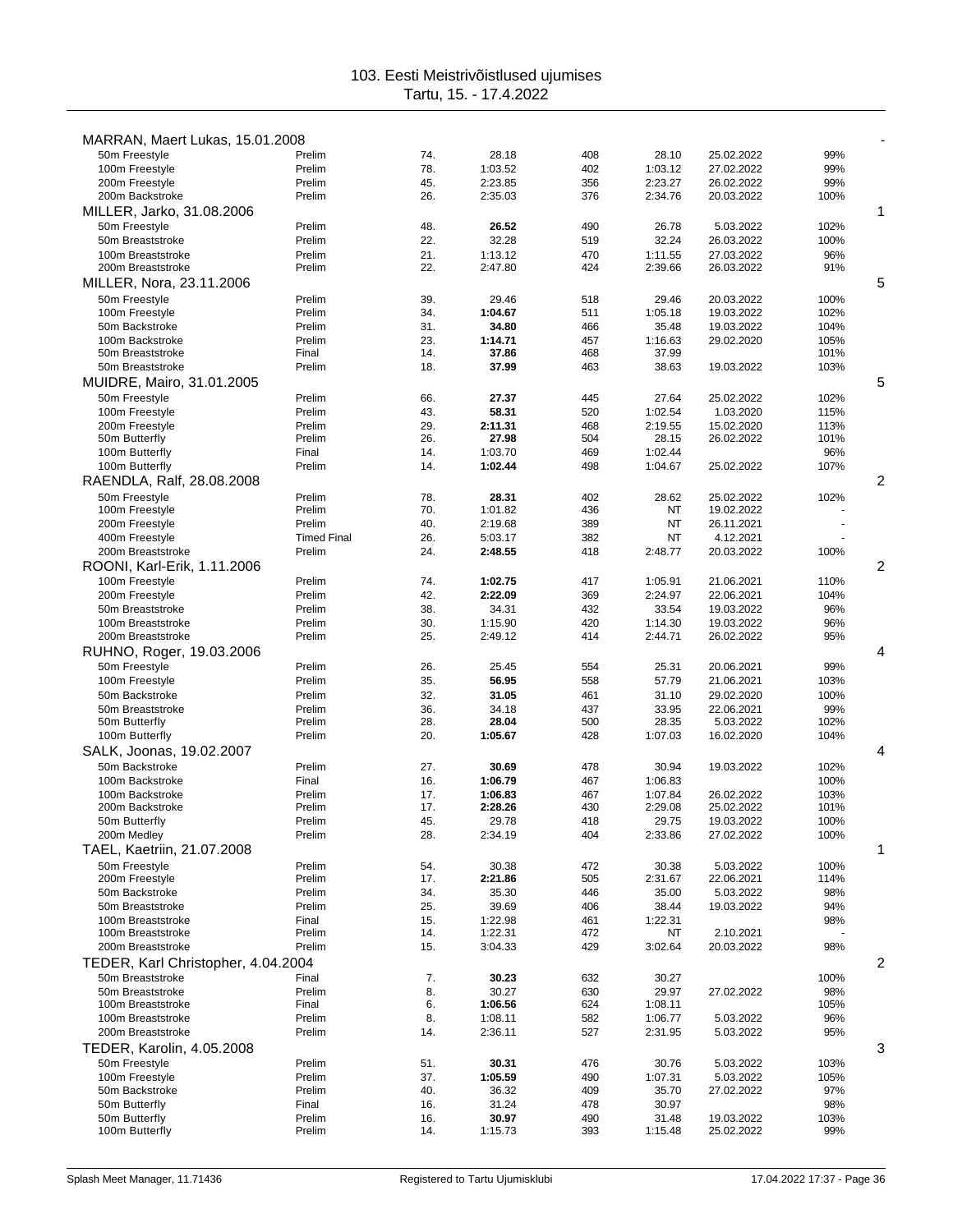| MARRAN, Maert Lukas, 15.01.2008        |                    |            |                    |            |                    |                         |              |                |
|----------------------------------------|--------------------|------------|--------------------|------------|--------------------|-------------------------|--------------|----------------|
| 50m Freestyle                          | Prelim             | 74.        | 28.18              | 408        | 28.10              | 25.02.2022              | 99%          |                |
| 100m Freestyle                         | Prelim             | 78.        | 1:03.52            | 402        | 1:03.12            | 27.02.2022              | 99%          |                |
| 200m Freestyle                         | Prelim             | 45.        | 2:23.85            | 356        | 2:23.27            | 26.02.2022              | 99%          |                |
| 200m Backstroke                        | Prelim             | 26.        | 2:35.03            | 376        | 2:34.76            | 20.03.2022              | 100%         |                |
| MILLER, Jarko, 31.08.2006              |                    |            |                    |            |                    |                         |              | 1              |
| 50m Freestyle                          | Prelim             | 48.        | 26.52              | 490        | 26.78              | 5.03.2022               | 102%         |                |
| 50m Breaststroke                       | Prelim             | 22.        | 32.28              | 519        | 32.24              | 26.03.2022              | 100%         |                |
| 100m Breaststroke                      | Prelim             | 21.        | 1:13.12            | 470        | 1:11.55            | 27.03.2022              | 96%          |                |
| 200m Breaststroke                      | Prelim             | 22.        | 2:47.80            | 424        | 2:39.66            | 26.03.2022              | 91%          |                |
| MILLER, Nora, 23.11.2006               |                    |            |                    |            |                    |                         |              | 5              |
| 50m Freestyle                          | Prelim             | 39.        | 29.46              | 518        | 29.46              | 20.03.2022              | 100%         |                |
| 100m Freestyle                         | Prelim             | 34.        | 1:04.67            | 511        | 1:05.18            | 19.03.2022              | 102%         |                |
| 50m Backstroke                         | Prelim             | 31.        | 34.80              | 466        | 35.48              | 19.03.2022              | 104%         |                |
| 100m Backstroke<br>50m Breaststroke    | Prelim<br>Final    | 23.<br>14. | 1:14.71<br>37.86   | 457<br>468 | 1:16.63<br>37.99   | 29.02.2020              | 105%<br>101% |                |
| 50m Breaststroke                       | Prelim             | 18.        | 37.99              | 463        | 38.63              | 19.03.2022              | 103%         |                |
| MUIDRE, Mairo, 31.01.2005              |                    |            |                    |            |                    |                         |              | 5              |
|                                        | Prelim             |            | 27.37              | 445        | 27.64              | 25.02.2022              |              |                |
| 50m Freestyle<br>100m Freestyle        | Prelim             | 66.<br>43. | 58.31              | 520        | 1:02.54            | 1.03.2020               | 102%<br>115% |                |
| 200m Freestyle                         | Prelim             | 29.        | 2:11.31            | 468        | 2:19.55            | 15.02.2020              | 113%         |                |
| 50m Butterfly                          | Prelim             | 26.        | 27.98              | 504        | 28.15              | 26.02.2022              | 101%         |                |
| 100m Butterfly                         | Final              | 14.        | 1:03.70            | 469        | 1:02.44            |                         | 96%          |                |
| 100m Butterfly                         | Prelim             | 14.        | 1:02.44            | 498        | 1:04.67            | 25.02.2022              | 107%         |                |
| RAENDLA, Ralf, 28.08.2008              |                    |            |                    |            |                    |                         |              | $\overline{2}$ |
| 50m Freestyle                          | Prelim             | 78.        | 28.31              | 402        | 28.62              | 25.02.2022              | 102%         |                |
| 100m Freestyle                         | Prelim             | 70.        | 1:01.82            | 436        | NT                 | 19.02.2022              |              |                |
| 200m Freestyle                         | Prelim             | 40.        | 2:19.68            | 389        | NT                 | 26.11.2021              |              |                |
| 400m Freestyle                         | <b>Timed Final</b> | 26.        | 5:03.17            | 382        | ΝT                 | 4.12.2021               |              |                |
| 200m Breaststroke                      | Prelim             | 24.        | 2:48.55            | 418        | 2:48.77            | 20.03.2022              | 100%         |                |
| ROONI, Karl-Erik, 1.11.2006            |                    |            |                    |            |                    |                         |              | 2              |
| 100m Freestyle                         | Prelim             | 74.        | 1:02.75            | 417        | 1:05.91            | 21.06.2021              | 110%         |                |
| 200m Freestyle                         | Prelim             | 42.        | 2:22.09            | 369        | 2:24.97            | 22.06.2021              | 104%         |                |
| 50m Breaststroke                       | Prelim             | 38.        | 34.31              | 432        | 33.54              | 19.03.2022              | 96%          |                |
| 100m Breaststroke                      | Prelim             | 30.        | 1:15.90            | 420        | 1:14.30            | 19.03.2022              | 96%          |                |
| 200m Breaststroke                      | Prelim             | 25.        | 2:49.12            | 414        | 2:44.71            | 26.02.2022              | 95%          |                |
| RUHNO, Roger, 19.03.2006               |                    |            |                    |            |                    |                         |              | 4              |
| 50m Freestyle                          | Prelim             | 26.        | 25.45              | 554        | 25.31              | 20.06.2021              | 99%          |                |
| 100m Freestyle                         | Prelim             | 35.        | 56.95              | 558        | 57.79              | 21.06.2021              | 103%         |                |
| 50m Backstroke                         | Prelim             | 32.        | 31.05              | 461        | 31.10              | 29.02.2020              | 100%         |                |
| 50m Breaststroke                       | Prelim             | 36.        | 34.18              | 437        | 33.95              | 22.06.2021              | 99%          |                |
| 50m Butterfly                          | Prelim             | 28.        | 28.04              | 500        | 28.35              | 5.03.2022               | 102%         |                |
| 100m Butterfly                         | Prelim             | 20.        | 1:05.67            | 428        | 1:07.03            | 16.02.2020              | 104%         |                |
| SALK, Joonas, 19.02.2007               |                    |            |                    |            |                    |                         |              | 4              |
| 50m Backstroke                         | Prelim             | 27.        | 30.69              | 478        | 30.94              | 19.03.2022              | 102%         |                |
| 100m Backstroke                        | Final              | 16.        | 1:06.79            | 467        | 1:06.83            |                         | 100%         |                |
| 100m Backstroke                        | Prelim             | 17.        | 1:06.83            | 467        | 1:07.84            | 26.02.2022              | 103%         |                |
| 200m Backstroke                        | Prelim             | 17.        | 2:28.26            | 430        | 2:29.08            | 25.02.2022              | 101%         |                |
| 50m Butterfly                          | Prelim             | 45.        | 29.78              | 418        | 29.75              | 19.03.2022              | 100%         |                |
| 200m Medley                            | Prelim             | 28.        | 2:34.19            | 404        | 2:33.86            | 27.02.2022              | 100%         |                |
| TAEL, Kaetriin, 21.07.2008             |                    |            |                    |            |                    |                         |              | 1              |
| 50m Freestyle                          | Prelim             | 54.        | 30.38              | 472        | 30.38              | 5.03.2022               | 100%         |                |
| 200m Freestyle                         | Prelim             | 17.        | 2:21.86            | 505        | 2:31.67            | 22.06.2021              | 114%         |                |
| 50m Backstroke                         | Prelim             | 34.        | 35.30              | 446        | 35.00              | 5.03.2022               | 98%          |                |
| 50m Breaststroke                       | Prelim             | 25.        | 39.69              | 406        | 38.44              | 19.03.2022              | 94%          |                |
| 100m Breaststroke                      | Final              | 15.        | 1:22.98            | 461        | 1:22.31            |                         | 98%          |                |
| 100m Breaststroke<br>200m Breaststroke | Prelim<br>Prelim   | 14.<br>15. | 1:22.31<br>3:04.33 | 472<br>429 | NT<br>3:02.64      | 2.10.2021               | 98%          |                |
|                                        |                    |            |                    |            |                    | 20.03.2022              |              |                |
| TEDER, Karl Christopher, 4.04.2004     |                    |            |                    |            |                    |                         |              | 2              |
| 50m Breaststroke                       | Final              | 7.         | 30.23              | 632        | 30.27              |                         | 100%         |                |
| 50m Breaststroke                       | Prelim             | 8.         | 30.27              | 630        | 29.97              | 27.02.2022              | 98%          |                |
| 100m Breaststroke<br>100m Breaststroke | Final              | 6.<br>8.   | 1:06.56<br>1:08.11 | 624<br>582 | 1:08.11<br>1:06.77 |                         | 105%<br>96%  |                |
|                                        | Prelim             |            |                    |            |                    | 5.03.2022               |              |                |
| 200m Breaststroke                      | Prelim             | 14.        | 2:36.11            | 527        | 2:31.95            | 5.03.2022               | 95%          |                |
| <b>TEDER, Karolin, 4.05.2008</b>       |                    |            |                    |            |                    |                         |              | 3              |
| 50m Freestyle                          | Prelim             | 51.        | 30.31              | 476        | 30.76              | 5.03.2022               | 103%         |                |
| 100m Freestyle<br>50m Backstroke       | Prelim<br>Prelim   | 37.<br>40. | 1:05.59            | 490<br>409 | 1:07.31<br>35.70   | 5.03.2022<br>27.02.2022 | 105%<br>97%  |                |
| 50m Butterfly                          | Final              | 16.        | 36.32<br>31.24     | 478        | 30.97              |                         | 98%          |                |
| 50m Butterfly                          | Prelim             | 16.        | 30.97              | 490        | 31.48              | 19.03.2022              | 103%         |                |
| 100m Butterfly                         | Prelim             | 14.        | 1:15.73            | 393        | 1:15.48            | 25.02.2022              | 99%          |                |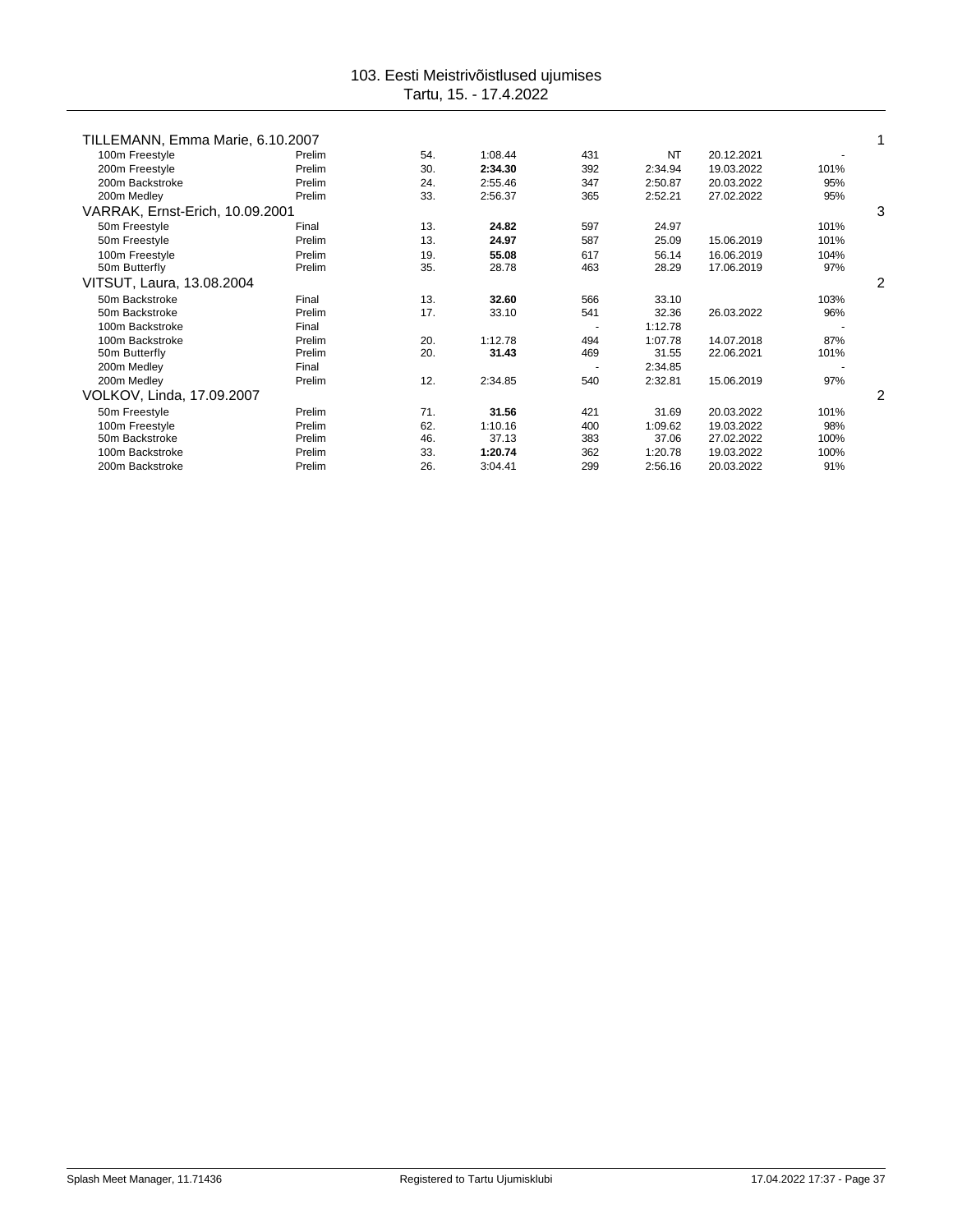| TILLEMANN, Emma Marie, 6.10.2007 |     |         |     |         |            |      |   |
|----------------------------------|-----|---------|-----|---------|------------|------|---|
| Prelim                           | 54. | 1:08.44 | 431 | NT      | 20.12.2021 |      |   |
| Prelim                           | 30. | 2:34.30 | 392 | 2:34.94 | 19.03.2022 | 101% |   |
| Prelim                           | 24. | 2:55.46 | 347 | 2:50.87 | 20.03.2022 | 95%  |   |
| Prelim                           | 33. | 2:56.37 | 365 | 2:52.21 | 27.02.2022 | 95%  |   |
| VARRAK, Ernst-Erich, 10.09.2001  |     |         |     |         |            |      | 3 |
| Final                            | 13. | 24.82   | 597 | 24.97   |            | 101% |   |
| Prelim                           | 13. | 24.97   | 587 | 25.09   | 15.06.2019 | 101% |   |
| Prelim                           | 19. | 55.08   | 617 | 56.14   | 16.06.2019 | 104% |   |
| Prelim                           | 35. | 28.78   | 463 | 28.29   | 17.06.2019 | 97%  |   |
| VITSUT, Laura, 13.08.2004        |     |         |     |         |            |      | 2 |
| Final                            | 13. | 32.60   | 566 | 33.10   |            | 103% |   |
| Prelim                           | 17. | 33.10   | 541 | 32.36   | 26.03.2022 | 96%  |   |
| Final                            |     |         |     | 1:12.78 |            |      |   |
| Prelim                           | 20. | 1:12.78 | 494 | 1:07.78 | 14.07.2018 | 87%  |   |
| Prelim                           | 20. | 31.43   | 469 | 31.55   | 22.06.2021 | 101% |   |
| Final                            |     |         |     | 2:34.85 |            |      |   |
| Prelim                           | 12. | 2:34.85 | 540 | 2:32.81 | 15.06.2019 | 97%  |   |
| VOLKOV, Linda, 17.09.2007        |     |         |     |         |            |      | 2 |
| Prelim                           | 71. | 31.56   | 421 | 31.69   | 20.03.2022 | 101% |   |
| Prelim                           | 62. | 1:10.16 | 400 | 1:09.62 | 19.03.2022 | 98%  |   |
| Prelim                           | 46. | 37.13   | 383 | 37.06   | 27.02.2022 | 100% |   |
| Prelim                           | 33. | 1:20.74 | 362 | 1:20.78 | 19.03.2022 | 100% |   |
| Prelim                           | 26. | 3:04.41 | 299 | 2:56.16 | 20.03.2022 | 91%  |   |
|                                  |     |         |     |         |            |      |   |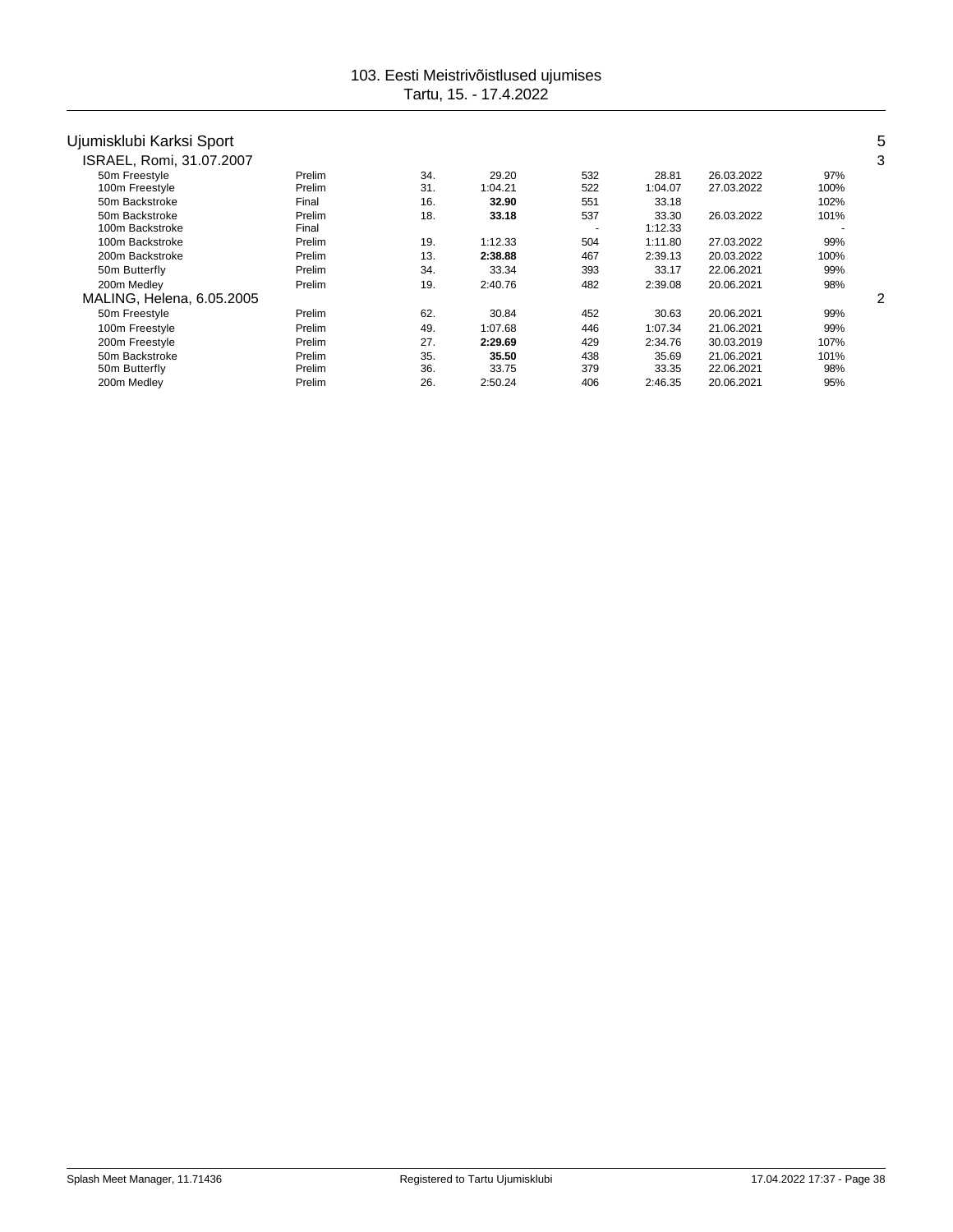| Ujumisklubi Karksi Sport  |        |     |         |        |         |            |      | 5 |
|---------------------------|--------|-----|---------|--------|---------|------------|------|---|
| ISRAEL, Romi, 31.07.2007  |        |     |         |        |         |            |      | 3 |
| 50m Freestyle             | Prelim | 34. | 29.20   | 532    | 28.81   | 26.03.2022 | 97%  |   |
| 100m Freestyle            | Prelim | 31. | 1:04.21 | 522    | 1:04.07 | 27.03.2022 | 100% |   |
| 50m Backstroke            | Final  | 16. | 32.90   | 551    | 33.18   |            | 102% |   |
| 50m Backstroke            | Prelim | 18. | 33.18   | 537    | 33.30   | 26.03.2022 | 101% |   |
| 100m Backstroke           | Final  |     |         | $\sim$ | 1:12.33 |            |      |   |
| 100m Backstroke           | Prelim | 19. | 1:12.33 | 504    | 1:11.80 | 27.03.2022 | 99%  |   |
| 200m Backstroke           | Prelim | 13. | 2:38.88 | 467    | 2:39.13 | 20.03.2022 | 100% |   |
| 50m Butterfly             | Prelim | 34. | 33.34   | 393    | 33.17   | 22.06.2021 | 99%  |   |
| 200m Medley               | Prelim | 19. | 2:40.76 | 482    | 2:39.08 | 20.06.2021 | 98%  |   |
| MALING, Helena, 6.05.2005 |        |     |         |        |         |            |      | 2 |
| 50m Freestyle             | Prelim | 62. | 30.84   | 452    | 30.63   | 20.06.2021 | 99%  |   |
| 100m Freestyle            | Prelim | 49. | 1:07.68 | 446    | 1:07.34 | 21.06.2021 | 99%  |   |
| 200m Freestyle            | Prelim | 27. | 2:29.69 | 429    | 2:34.76 | 30.03.2019 | 107% |   |
| 50m Backstroke            | Prelim | 35. | 35.50   | 438    | 35.69   | 21.06.2021 | 101% |   |
| 50m Butterfly             | Prelim | 36. | 33.75   | 379    | 33.35   | 22.06.2021 | 98%  |   |
| 200m Medley               | Prelim | 26. | 2:50.24 | 406    | 2:46.35 | 20.06.2021 | 95%  |   |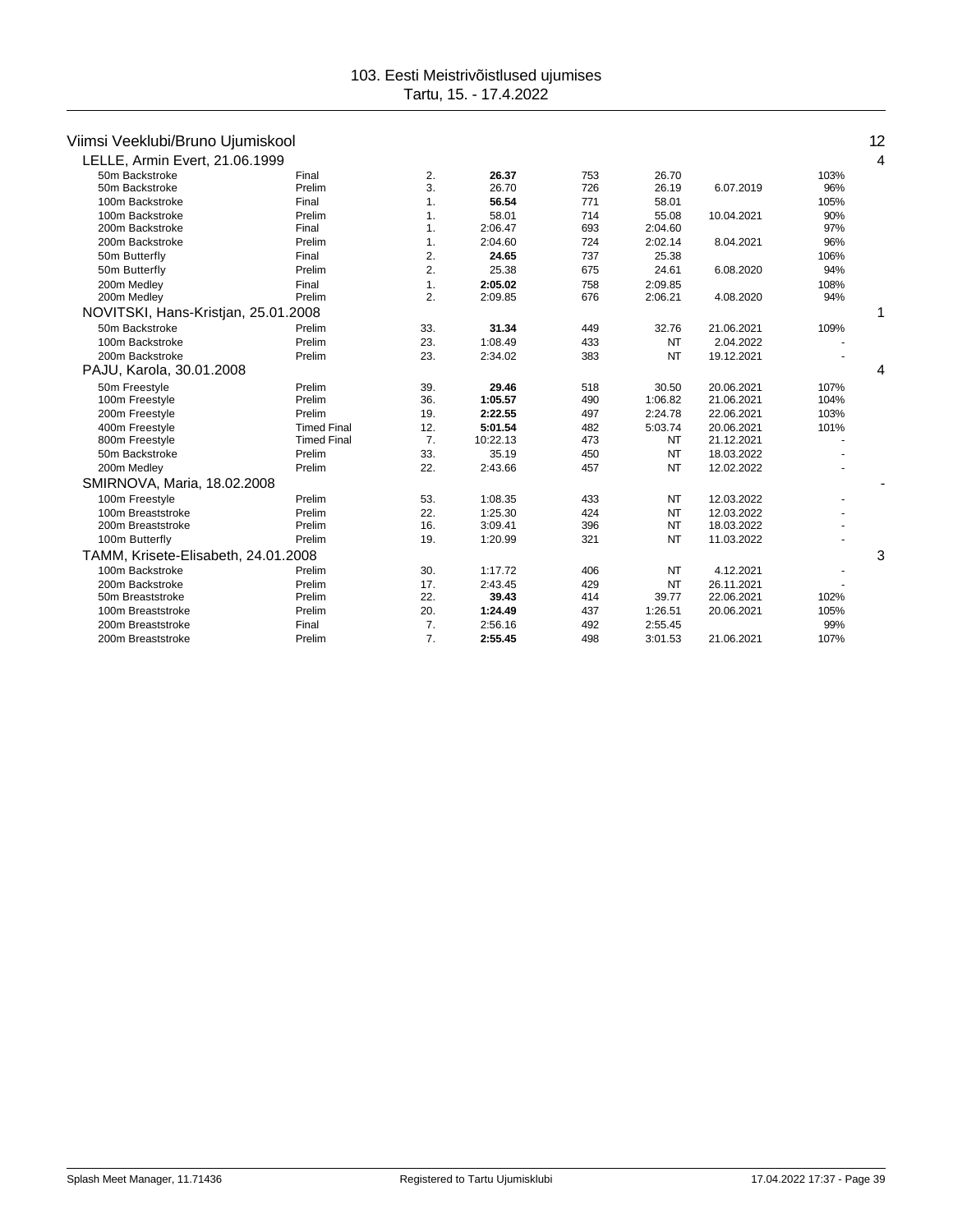# Viimsi Veeklubi/Bruno Ujumiskool 12

| LELLE, Armin Evert, 21.06.1999      |                    |     |          |     |           |            |      | 4 |
|-------------------------------------|--------------------|-----|----------|-----|-----------|------------|------|---|
| 50m Backstroke                      | Final              | 2.  | 26.37    | 753 | 26.70     |            | 103% |   |
| 50m Backstroke                      | Prelim             | 3.  | 26.70    | 726 | 26.19     | 6.07.2019  | 96%  |   |
| 100m Backstroke                     | Final              | 1.  | 56.54    | 771 | 58.01     |            | 105% |   |
| 100m Backstroke                     | Prelim             | 1.  | 58.01    | 714 | 55.08     | 10.04.2021 | 90%  |   |
| 200m Backstroke                     | Final              | 1.  | 2:06.47  | 693 | 2:04.60   |            | 97%  |   |
| 200m Backstroke                     | Prelim             | 1.  | 2:04.60  | 724 | 2:02.14   | 8.04.2021  | 96%  |   |
| 50m Butterfly                       | Final              | 2.  | 24.65    | 737 | 25.38     |            | 106% |   |
| 50m Butterfly                       | Prelim             | 2.  | 25.38    | 675 | 24.61     | 6.08.2020  | 94%  |   |
| 200m Medley                         | Final              | 1.  | 2:05.02  | 758 | 2:09.85   |            | 108% |   |
| 200m Medley                         | Prelim             | 2.  | 2:09.85  | 676 | 2:06.21   | 4.08.2020  | 94%  |   |
| NOVITSKI, Hans-Kristjan, 25.01.2008 |                    |     |          |     |           |            |      | 1 |
| 50m Backstroke                      | Prelim             | 33. | 31.34    | 449 | 32.76     | 21.06.2021 | 109% |   |
| 100m Backstroke                     | Prelim             | 23. | 1:08.49  | 433 | NT        | 2.04.2022  |      |   |
| 200m Backstroke                     | Prelim             | 23. | 2:34.02  | 383 | <b>NT</b> | 19.12.2021 |      |   |
| PAJU, Karola, 30.01.2008            |                    |     |          |     |           |            |      | 4 |
| 50m Freestyle                       | Prelim             | 39. | 29.46    | 518 | 30.50     | 20.06.2021 | 107% |   |
| 100m Freestyle                      | Prelim             | 36. | 1:05.57  | 490 | 1:06.82   | 21.06.2021 | 104% |   |
| 200m Freestyle                      | Prelim             | 19. | 2:22.55  | 497 | 2:24.78   | 22.06.2021 | 103% |   |
| 400m Freestyle                      | <b>Timed Final</b> | 12. | 5:01.54  | 482 | 5:03.74   | 20.06.2021 | 101% |   |
| 800m Freestyle                      | <b>Timed Final</b> | 7.  | 10:22.13 | 473 | NT        | 21.12.2021 |      |   |
| 50m Backstroke                      | Prelim             | 33. | 35.19    | 450 | NT        | 18.03.2022 |      |   |
| 200m Medley                         | Prelim             | 22. | 2:43.66  | 457 | NT        | 12.02.2022 |      |   |
| SMIRNOVA, Maria, 18.02.2008         |                    |     |          |     |           |            |      |   |
| 100m Freestyle                      | Prelim             | 53. | 1:08.35  | 433 | NT        | 12.03.2022 |      |   |
| 100m Breaststroke                   | Prelim             | 22. | 1:25.30  | 424 | NT        | 12.03.2022 |      |   |
| 200m Breaststroke                   | Prelim             | 16. | 3:09.41  | 396 | NT        | 18.03.2022 |      |   |
| 100m Butterfly                      | Prelim             | 19. | 1:20.99  | 321 | <b>NT</b> | 11.03.2022 |      |   |
| TAMM, Krisete-Elisabeth, 24.01.2008 |                    |     |          |     |           |            |      | 3 |
| 100m Backstroke                     | Prelim             | 30. | 1:17.72  | 406 | NT        | 4.12.2021  |      |   |
| 200m Backstroke                     | Prelim             | 17. | 2:43.45  | 429 | NT        | 26.11.2021 |      |   |
| 50m Breaststroke                    | Prelim             | 22. | 39.43    | 414 | 39.77     | 22.06.2021 | 102% |   |
| 100m Breaststroke                   | Prelim             | 20. | 1:24.49  | 437 | 1:26.51   | 20.06.2021 | 105% |   |
| 200m Breaststroke                   | Final              | 7.  | 2:56.16  | 492 | 2:55.45   |            | 99%  |   |
| 200m Breaststroke                   | Prelim             | 7.  | 2:55.45  | 498 | 3:01.53   | 21.06.2021 | 107% |   |
|                                     |                    |     |          |     |           |            |      |   |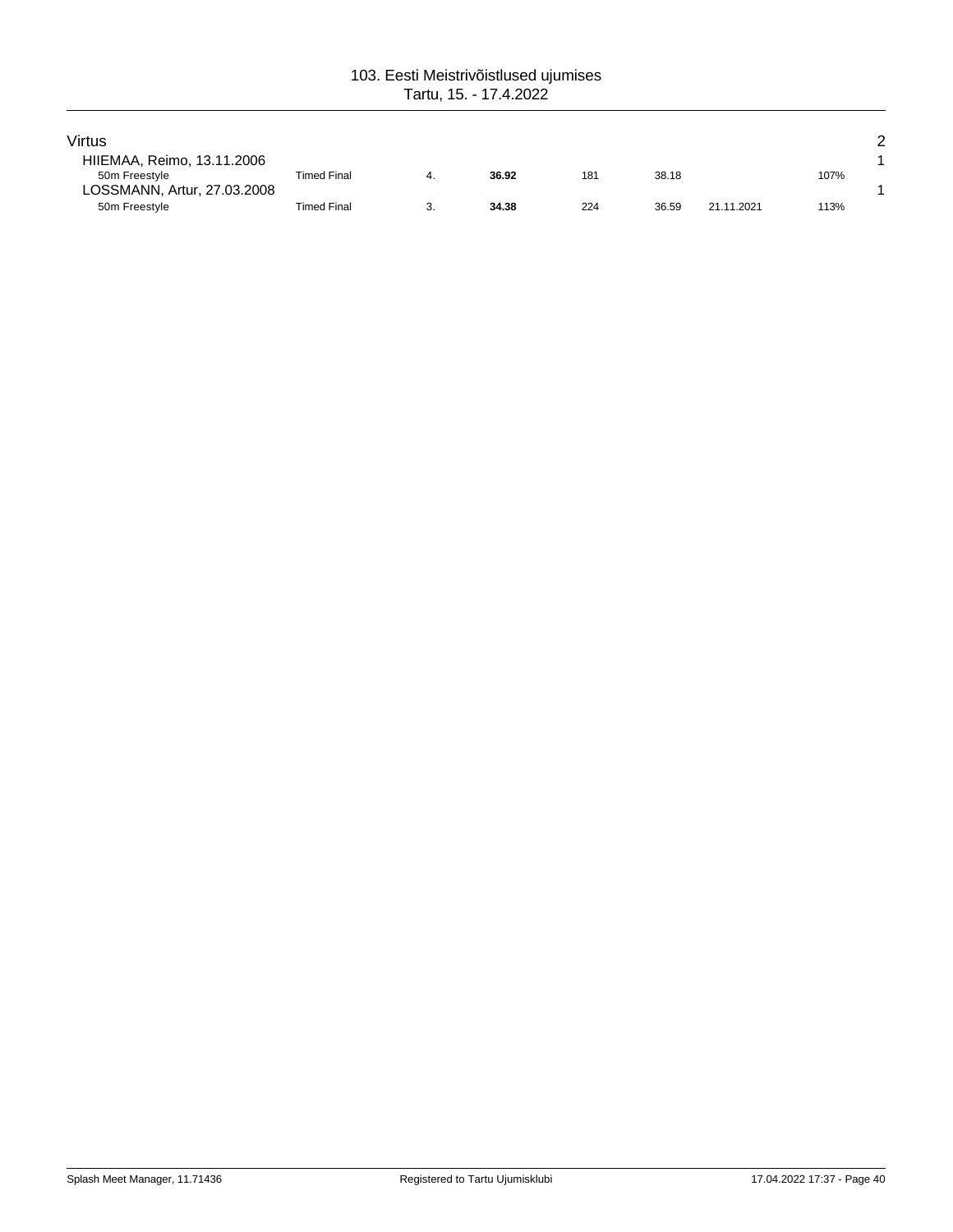| Virtus                      |                    |       |     |       |            |      | っ |
|-----------------------------|--------------------|-------|-----|-------|------------|------|---|
| HIIEMAA, Reimo, 13.11.2006  |                    |       |     |       |            |      |   |
| 50m Freestyle               | <b>Timed Final</b> | 36.92 | 181 | 38.18 |            | 107% |   |
| LOSSMANN, Artur, 27.03.2008 |                    |       |     |       |            |      |   |
| 50m Freestyle               | Timed Final        | 34.38 | 224 | 36.59 | 21.11.2021 | 113% |   |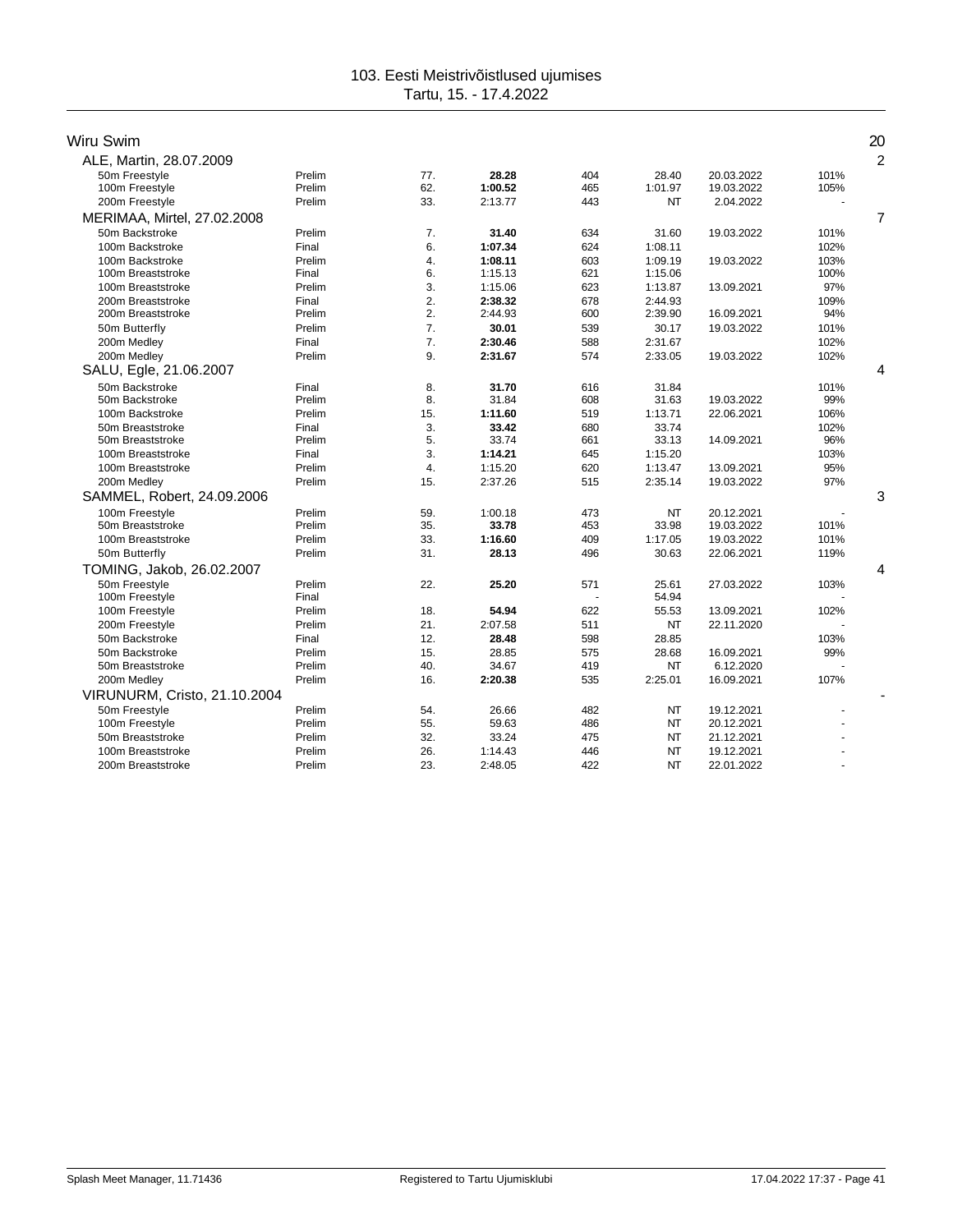| Wiru Swim                    |        |                  |         |     |           |            |      | 20             |
|------------------------------|--------|------------------|---------|-----|-----------|------------|------|----------------|
| ALE, Martin, 28.07.2009      |        |                  |         |     |           |            |      | $\overline{2}$ |
| 50m Freestyle                | Prelim | 77.              | 28.28   | 404 | 28.40     | 20.03.2022 | 101% |                |
| 100m Freestyle               | Prelim | 62.              | 1:00.52 | 465 | 1:01.97   | 19.03.2022 | 105% |                |
| 200m Freestyle               | Prelim | 33.              | 2:13.77 | 443 | <b>NT</b> | 2.04.2022  |      |                |
| MERIMAA, Mirtel, 27.02.2008  |        |                  |         |     |           |            |      | 7              |
| 50m Backstroke               | Prelim | 7.               | 31.40   | 634 | 31.60     | 19.03.2022 | 101% |                |
| 100m Backstroke              | Final  | 6.               | 1:07.34 | 624 | 1:08.11   |            | 102% |                |
| 100m Backstroke              | Prelim | 4.               | 1:08.11 | 603 | 1:09.19   | 19.03.2022 | 103% |                |
| 100m Breaststroke            | Final  | 6.               | 1:15.13 | 621 | 1:15.06   |            | 100% |                |
| 100m Breaststroke            | Prelim | 3.               | 1:15.06 | 623 | 1:13.87   | 13.09.2021 | 97%  |                |
| 200m Breaststroke            | Final  | 2.               | 2:38.32 | 678 | 2:44.93   |            | 109% |                |
| 200m Breaststroke            | Prelim | 2.               | 2:44.93 | 600 | 2:39.90   | 16.09.2021 | 94%  |                |
| 50m Butterfly                | Prelim | 7 <sup>1</sup>   | 30.01   | 539 | 30.17     | 19.03.2022 | 101% |                |
| 200m Medley                  | Final  | 7.               | 2:30.46 | 588 | 2:31.67   |            | 102% |                |
| 200m Medley                  | Prelim | 9.               | 2:31.67 | 574 | 2:33.05   | 19.03.2022 | 102% |                |
| SALU, Egle, 21.06.2007       |        |                  |         |     |           |            |      | 4              |
| 50m Backstroke               | Final  | 8.               | 31.70   | 616 | 31.84     |            | 101% |                |
| 50m Backstroke               | Prelim | 8.               | 31.84   | 608 | 31.63     | 19.03.2022 | 99%  |                |
| 100m Backstroke              | Prelim | 15.              | 1:11.60 | 519 | 1:13.71   | 22.06.2021 | 106% |                |
| 50m Breaststroke             | Final  | 3.               | 33.42   | 680 | 33.74     |            | 102% |                |
| 50m Breaststroke             | Prelim | 5.               | 33.74   | 661 | 33.13     | 14.09.2021 | 96%  |                |
| 100m Breaststroke            | Final  | 3.               | 1:14.21 | 645 | 1:15.20   |            | 103% |                |
| 100m Breaststroke            | Prelim | $\overline{4}$ . | 1:15.20 | 620 | 1:13.47   | 13.09.2021 | 95%  |                |
| 200m Medley                  | Prelim | 15.              | 2:37.26 | 515 | 2:35.14   | 19.03.2022 | 97%  |                |
| SAMMEL, Robert, 24.09.2006   |        |                  |         |     |           |            |      | 3              |
| 100m Freestyle               | Prelim | 59.              | 1:00.18 | 473 | <b>NT</b> | 20.12.2021 |      |                |
| 50m Breaststroke             | Prelim | 35.              | 33.78   | 453 | 33.98     | 19.03.2022 | 101% |                |
| 100m Breaststroke            | Prelim | 33.              | 1:16.60 | 409 | 1:17.05   | 19.03.2022 | 101% |                |
| 50m Butterfly                | Prelim | 31.              | 28.13   | 496 | 30.63     | 22.06.2021 | 119% |                |
| TOMING, Jakob, 26.02.2007    |        |                  |         |     |           |            |      | 4              |
| 50m Freestyle                | Prelim | 22.              | 25.20   | 571 | 25.61     | 27.03.2022 | 103% |                |
| 100m Freestyle               | Final  |                  |         |     | 54.94     |            |      |                |
| 100m Freestyle               | Prelim | 18.              | 54.94   | 622 | 55.53     | 13.09.2021 | 102% |                |
| 200m Freestyle               | Prelim | 21.              | 2:07.58 | 511 | <b>NT</b> | 22.11.2020 |      |                |
| 50m Backstroke               | Final  | 12.              | 28.48   | 598 | 28.85     |            | 103% |                |
| 50m Backstroke               | Prelim | 15.              | 28.85   | 575 | 28.68     | 16.09.2021 | 99%  |                |
| 50m Breaststroke             | Prelim | 40.              | 34.67   | 419 | <b>NT</b> | 6.12.2020  |      |                |
| 200m Medley                  | Prelim | 16.              | 2:20.38 | 535 | 2:25.01   | 16.09.2021 | 107% |                |
| VIRUNURM, Cristo, 21.10.2004 |        |                  |         |     |           |            |      |                |
| 50m Freestyle                | Prelim | 54.              | 26.66   | 482 | <b>NT</b> | 19.12.2021 |      |                |
| 100m Freestyle               | Prelim | 55.              | 59.63   | 486 | <b>NT</b> | 20.12.2021 |      |                |
| 50m Breaststroke             | Prelim | 32.              | 33.24   | 475 | <b>NT</b> | 21.12.2021 |      |                |
| 100m Breaststroke            | Prelim | 26.              | 1:14.43 | 446 | <b>NT</b> | 19.12.2021 |      |                |
| 200m Breaststroke            | Prelim | 23.              | 2:48.05 | 422 | <b>NT</b> | 22.01.2022 |      |                |
|                              |        |                  |         |     |           |            |      |                |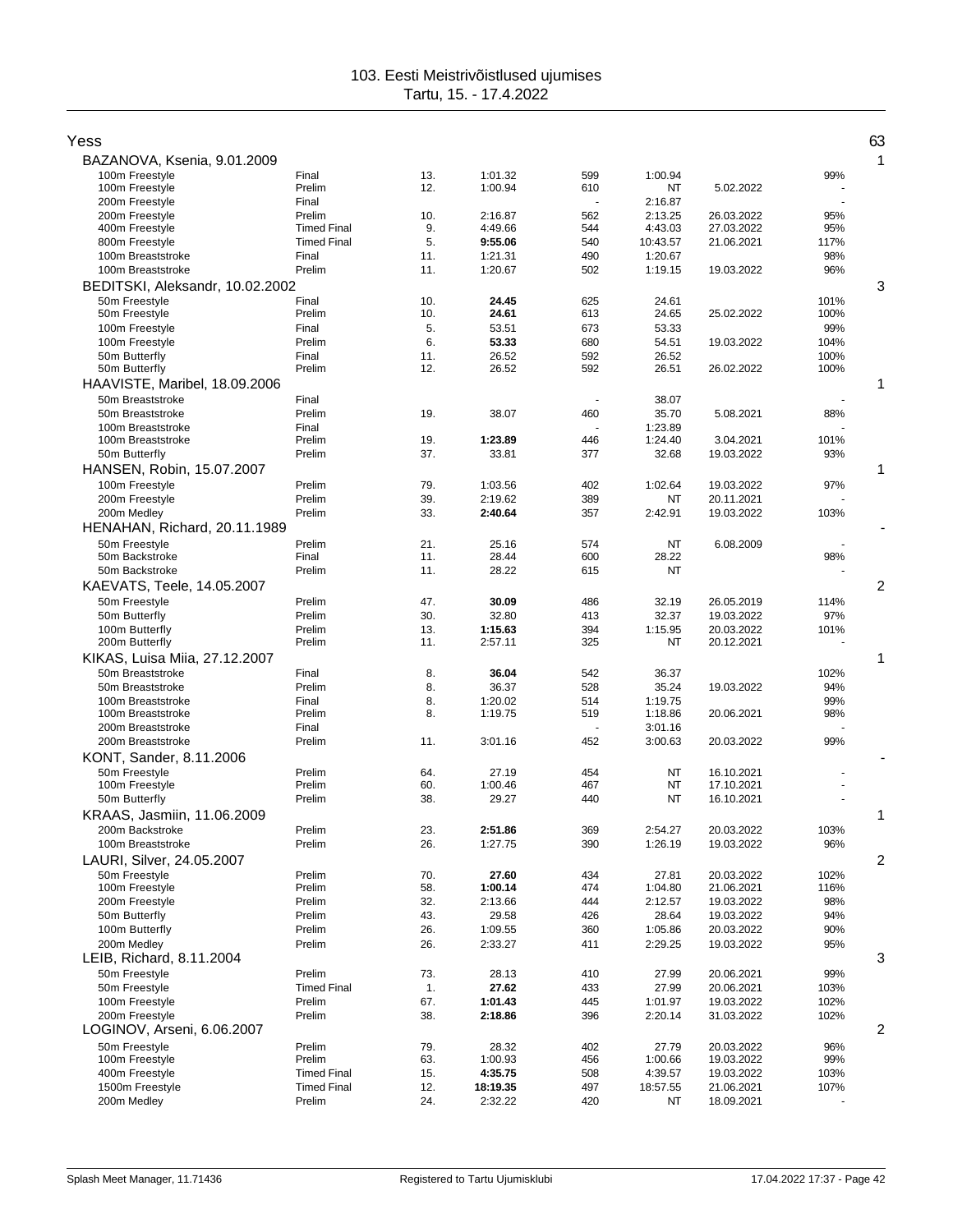| Yess                                    |                    |            |                    |            |                    |            |              | 63             |
|-----------------------------------------|--------------------|------------|--------------------|------------|--------------------|------------|--------------|----------------|
| BAZANOVA, Ksenia, 9.01.2009             |                    |            |                    |            |                    |            |              | 1              |
| 100m Freestyle                          | Final              | 13.        | 1:01.32            | 599        | 1:00.94            |            | 99%          |                |
| 100m Freestyle                          | Prelim             | 12.        | 1:00.94            | 610        | NT                 | 5.02.2022  |              |                |
| 200m Freestyle<br>200m Freestvle        | Final<br>Prelim    | 10.        | 2:16.87            | 562        | 2:16.87<br>2:13.25 | 26.03.2022 | 95%          |                |
| 400m Freestyle                          | <b>Timed Final</b> | 9.         | 4:49.66            | 544        | 4:43.03            | 27.03.2022 | 95%          |                |
| 800m Freestyle                          | <b>Timed Final</b> | 5.         | 9:55.06            | 540        | 10:43.57           | 21.06.2021 | 117%         |                |
| 100m Breaststroke                       | Final              | 11.        | 1:21.31            | 490        | 1:20.67            |            | 98%          |                |
| 100m Breaststroke                       | Prelim             | 11.        | 1:20.67            | 502        | 1:19.15            | 19.03.2022 | 96%          |                |
| BEDITSKI, Aleksandr, 10.02.2002         |                    |            |                    |            |                    |            |              | 3              |
| 50m Freestyle                           | Final              | 10.        | 24.45              | 625        | 24.61              |            | 101%         |                |
| 50m Freestyle                           | Prelim             | 10.        | 24.61              | 613        | 24.65              | 25.02.2022 | 100%         |                |
| 100m Freestyle                          | Final              | 5.         | 53.51              | 673        | 53.33              |            | 99%          |                |
| 100m Freestyle                          | Prelim             | 6.         | 53.33              | 680        | 54.51              | 19.03.2022 | 104%         |                |
| 50m Butterfly                           | Final<br>Prelim    | 11.<br>12. | 26.52<br>26.52     | 592<br>592 | 26.52<br>26.51     |            | 100%<br>100% |                |
| 50m Butterfly                           |                    |            |                    |            |                    | 26.02.2022 |              |                |
| HAAVISTE, Maribel, 18.09.2006           |                    |            |                    |            |                    |            |              | 1              |
| 50m Breaststroke<br>50m Breaststroke    | Final<br>Prelim    | 19.        | 38.07              | 460        | 38.07<br>35.70     | 5.08.2021  |              |                |
| 100m Breaststroke                       | Final              |            |                    |            | 1:23.89            |            | 88%          |                |
| 100m Breaststroke                       | Prelim             | 19.        | 1:23.89            | 446        | 1:24.40            | 3.04.2021  | 101%         |                |
| 50m Butterfly                           | Prelim             | 37.        | 33.81              | 377        | 32.68              | 19.03.2022 | 93%          |                |
| HANSEN, Robin, 15.07.2007               |                    |            |                    |            |                    |            |              | 1              |
| 100m Freestyle                          | Prelim             | 79.        | 1:03.56            | 402        | 1:02.64            | 19.03.2022 | 97%          |                |
| 200m Freestyle                          | Prelim             | 39.        | 2:19.62            | 389        | NT                 | 20.11.2021 |              |                |
| 200m Medley                             | Prelim             | 33.        | 2:40.64            | 357        | 2:42.91            | 19.03.2022 | 103%         |                |
| HENAHAN, Richard, 20.11.1989            |                    |            |                    |            |                    |            |              |                |
| 50m Freestyle                           | Prelim             | 21.        | 25.16              | 574        | NT                 | 6.08.2009  |              |                |
| 50m Backstroke                          | Final              | 11.        | 28.44              | 600        | 28.22              |            | 98%          |                |
| 50m Backstroke                          | Prelim             | 11.        | 28.22              | 615        | NT                 |            |              |                |
| KAEVATS, Teele, 14.05.2007              |                    |            |                    |            |                    |            |              | 2              |
| 50m Freestyle                           | Prelim             | 47.        | 30.09              | 486        | 32.19              | 26.05.2019 | 114%         |                |
| 50m Butterfly                           | Prelim             | 30.        | 32.80              | 413        | 32.37              | 19.03.2022 | 97%          |                |
| 100m Butterfly                          | Prelim             | 13.        | 1:15.63            | 394        | 1:15.95            | 20.03.2022 | 101%         |                |
| 200m Butterfly                          | Prelim             | 11.        | 2:57.11            | 325        | NT                 | 20.12.2021 |              |                |
| KIKAS, Luisa Miia, 27.12.2007           |                    |            |                    |            |                    |            |              | 1              |
| 50m Breaststroke                        | Final              | 8.         | 36.04              | 542        | 36.37              |            | 102%         |                |
| 50m Breaststroke                        | Prelim             | 8.         | 36.37              | 528        | 35.24              | 19.03.2022 | 94%          |                |
| 100m Breaststroke<br>100m Breaststroke  | Final<br>Prelim    | 8.<br>8.   | 1:20.02<br>1:19.75 | 514<br>519 | 1:19.75<br>1:18.86 | 20.06.2021 | 99%<br>98%   |                |
| 200m Breaststroke                       | Final              |            |                    | ÷,         | 3:01.16            |            |              |                |
| 200m Breaststroke                       | Prelim             | 11.        | 3:01.16            | 452        | 3:00.63            | 20.03.2022 | 99%          |                |
| KONT, Sander, 8.11.2006                 |                    |            |                    |            |                    |            |              |                |
| 50m Freestyle                           | Prelim             | 64.        | 27.19              | 454        | NT                 | 16.10.2021 |              |                |
| 100m Freestyle                          | Prelim             | 60.        | 1:00.46            | 467        | NT                 | 17.10.2021 |              |                |
| 50m Butterfly                           | Prelim             | 38.        | 29.27              | 440        | NT                 | 16.10.2021 |              |                |
| KRAAS, Jasmiin, 11.06.2009              |                    |            |                    |            |                    |            |              | 1              |
| 200m Backstroke                         | Prelim             | 23.        | 2:51.86            | 369        | 2:54.27            | 20.03.2022 | 103%         |                |
| 100m Breaststroke                       | Prelim             | 26.        | 1:27.75            | 390        | 1:26.19            | 19.03.2022 | 96%          |                |
| LAURI, Silver, 24.05.2007               |                    |            |                    |            |                    |            |              | 2              |
| 50m Freestyle                           | Prelim             | 70.        | 27.60              | 434        | 27.81              | 20.03.2022 | 102%         |                |
| 100m Freestyle                          | Prelim             | 58.        | 1:00.14            | 474        | 1:04.80            | 21.06.2021 | 116%         |                |
| 200m Freestyle                          | Prelim             | 32.        | 2:13.66            | 444        | 2:12.57            | 19.03.2022 | 98%          |                |
| 50m Butterfly                           | Prelim             | 43.        | 29.58              | 426        | 28.64              | 19.03.2022 | 94%          |                |
| 100m Butterfly                          | Prelim             | 26.        | 1:09.55<br>2:33.27 | 360        | 1:05.86            | 20.03.2022 | 90%<br>95%   |                |
| 200m Medley<br>LEIB, Richard, 8.11.2004 | Prelim             | 26.        |                    | 411        | 2:29.25            | 19.03.2022 |              | 3              |
| 50m Freestyle                           | Prelim             |            |                    |            |                    | 20.06.2021 |              |                |
| 50m Freestyle                           | <b>Timed Final</b> | 73.<br>1.  | 28.13<br>27.62     | 410<br>433 | 27.99<br>27.99     | 20.06.2021 | 99%<br>103%  |                |
| 100m Freestyle                          | Prelim             | 67.        | 1:01.43            | 445        | 1:01.97            | 19.03.2022 | 102%         |                |
| 200m Freestyle                          | Prelim             | 38.        | 2:18.86            | 396        | 2:20.14            | 31.03.2022 | 102%         |                |
| LOGINOV, Arseni, 6.06.2007              |                    |            |                    |            |                    |            |              | $\overline{c}$ |
| 50m Freestyle                           | Prelim             | 79.        | 28.32              | 402        | 27.79              | 20.03.2022 | 96%          |                |
| 100m Freestyle                          | Prelim             | 63.        | 1:00.93            | 456        | 1:00.66            | 19.03.2022 | 99%          |                |
| 400m Freestyle                          | <b>Timed Final</b> | 15.        | 4:35.75            | 508        | 4:39.57            | 19.03.2022 | 103%         |                |
| 1500m Freestyle                         | <b>Timed Final</b> | 12.        | 18:19.35           | 497        | 18:57.55           | 21.06.2021 | 107%         |                |
| 200m Medley                             | Prelim             | 24.        | 2:32.22            | 420        | NT                 | 18.09.2021 |              |                |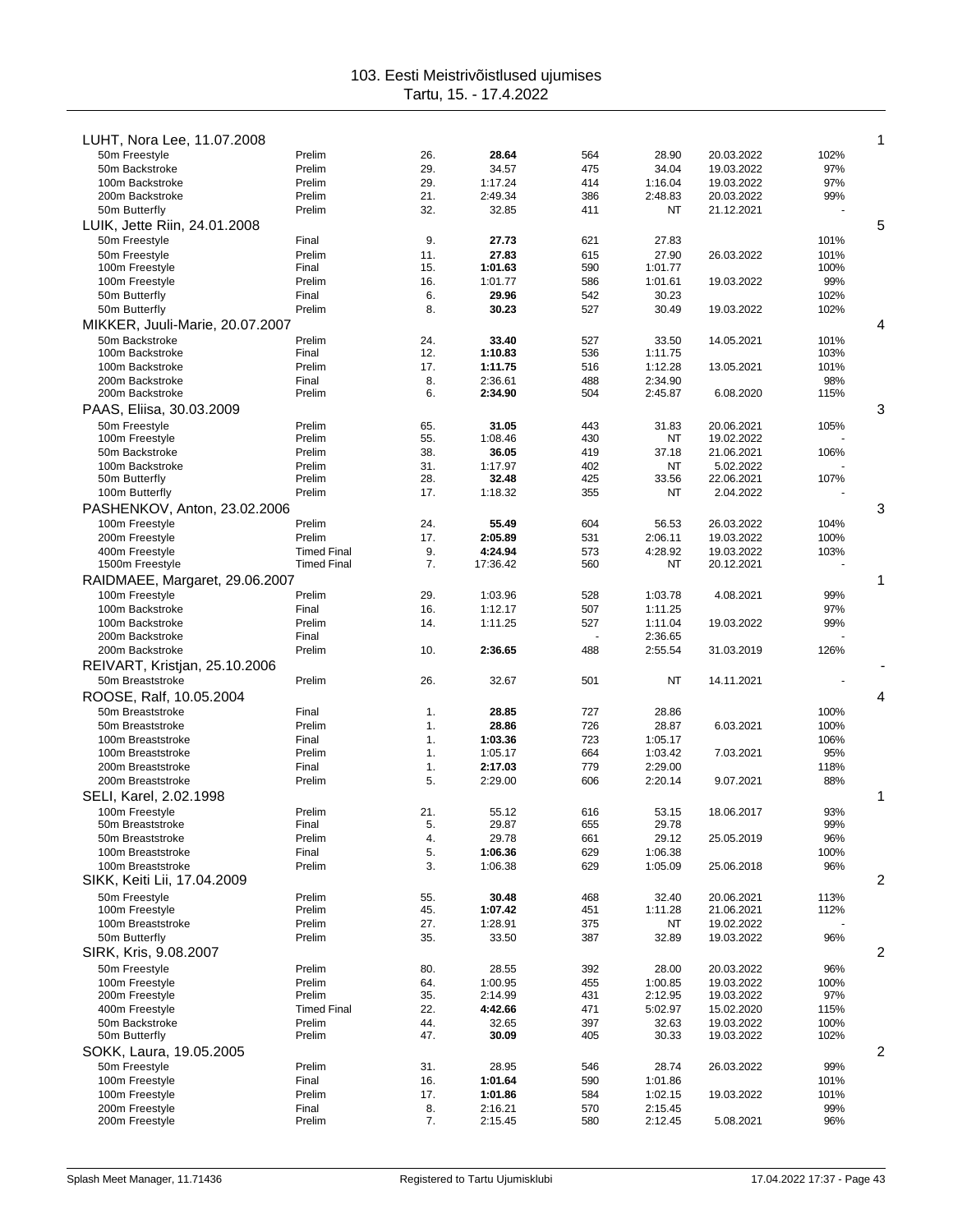| LUHT, Nora Lee, 11.07.2008       |                    |            |                  |            |               |                         |      | 1 |
|----------------------------------|--------------------|------------|------------------|------------|---------------|-------------------------|------|---|
| 50m Freestyle                    | Prelim             | 26.        | 28.64            | 564        | 28.90         | 20.03.2022              | 102% |   |
| 50m Backstroke                   | Prelim             | 29.        | 34.57            | 475        | 34.04         | 19.03.2022              | 97%  |   |
| 100m Backstroke                  | Prelim             | 29.        | 1:17.24          | 414        | 1:16.04       | 19.03.2022              | 97%  |   |
| 200m Backstroke                  | Prelim             | 21.        | 2:49.34          | 386        | 2:48.83       | 20.03.2022              | 99%  |   |
| 50m Butterfly                    | Prelim             | 32.        | 32.85            | 411        | ΝT            | 21.12.2021              |      |   |
| LUIK, Jette Riin, 24.01.2008     |                    |            |                  |            |               |                         |      | 5 |
| 50m Freestyle                    | Final              | 9.         | 27.73            | 621        | 27.83         |                         | 101% |   |
| 50m Freestyle                    | Prelim             | 11.        | 27.83            | 615        | 27.90         | 26.03.2022              | 101% |   |
| 100m Freestyle                   | Final              | 15.        | 1:01.63          | 590        | 1:01.77       |                         | 100% |   |
| 100m Freestyle                   | Prelim             | 16.        | 1:01.77          | 586        | 1:01.61       | 19.03.2022              | 99%  |   |
| 50m Butterfly                    | Final              | 6.         | 29.96            | 542        | 30.23         |                         | 102% |   |
| 50m Butterfly                    | Prelim             | 8.         | 30.23            | 527        | 30.49         | 19.03.2022              | 102% |   |
| MIKKER, Juuli-Marie, 20.07.2007  |                    |            |                  |            |               |                         |      | 4 |
| 50m Backstroke                   | Prelim             | 24.        | 33.40            | 527        | 33.50         | 14.05.2021              | 101% |   |
| 100m Backstroke                  | Final              | 12.        | 1:10.83          | 536        | 1:11.75       |                         | 103% |   |
| 100m Backstroke                  | Prelim             | 17.        | 1:11.75          | 516        | 1:12.28       | 13.05.2021              | 101% |   |
| 200m Backstroke                  | Final              | 8.         | 2:36.61          | 488        | 2:34.90       |                         | 98%  |   |
| 200m Backstroke                  | Prelim             | 6.         | 2:34.90          | 504        | 2:45.87       | 6.08.2020               | 115% |   |
| PAAS, Eliisa, 30.03.2009         |                    |            |                  |            |               |                         |      | 3 |
|                                  |                    |            |                  |            |               |                         |      |   |
| 50m Freestyle                    | Prelim             | 65.<br>55. | 31.05            | 443<br>430 | 31.83         | 20.06.2021              | 105% |   |
| 100m Freestyle<br>50m Backstroke | Prelim             |            | 1:08.46<br>36.05 | 419        | NT            | 19.02.2022              |      |   |
| 100m Backstroke                  | Prelim<br>Prelim   | 38.<br>31. | 1:17.97          | 402        | 37.18<br>ΝT   | 21.06.2021              | 106% |   |
| 50m Butterfly                    | Prelim             | 28.        | 32.48            | 425        | 33.56         | 5.02.2022<br>22.06.2021 | 107% |   |
| 100m Butterfly                   | Prelim             | 17.        | 1:18.32          | 355        | NT            | 2.04.2022               |      |   |
|                                  |                    |            |                  |            |               |                         |      | 3 |
| PASHENKOV, Anton, 23.02.2006     |                    |            |                  |            |               |                         |      |   |
| 100m Freestyle                   | Prelim             | 24.        | 55.49            | 604        | 56.53         | 26.03.2022              | 104% |   |
| 200m Freestyle                   | Prelim             | 17.        | 2:05.89          | 531        | 2:06.11       | 19.03.2022              | 100% |   |
| 400m Freestyle                   | <b>Timed Final</b> | 9.         | 4:24.94          | 573        | 4:28.92       | 19.03.2022              | 103% |   |
| 1500m Freestyle                  | <b>Timed Final</b> | 7.         | 17:36.42         | 560        | NT            | 20.12.2021              |      |   |
| RAIDMAEE, Margaret, 29.06.2007   |                    |            |                  |            |               |                         |      | 1 |
| 100m Freestyle                   | Prelim             | 29.        | 1:03.96          | 528        | 1:03.78       | 4.08.2021               | 99%  |   |
| 100m Backstroke                  | Final              | 16.        | 1:12.17          | 507        | 1:11.25       |                         | 97%  |   |
| 100m Backstroke                  | Prelim             | 14.        | 1:11.25          | 527        | 1:11.04       | 19.03.2022              | 99%  |   |
| 200m Backstroke                  | Final              |            |                  |            | 2:36.65       |                         |      |   |
| 200m Backstroke                  | Prelim             | 10.        | 2:36.65          | 488        | 2:55.54       | 31.03.2019              | 126% |   |
| REIVART, Kristjan, 25.10.2006    |                    |            |                  |            |               |                         |      |   |
| 50m Breaststroke                 | Prelim             | 26.        | 32.67            | 501        | ΝT            | 14.11.2021              |      |   |
| ROOSE, Ralf, 10.05.2004          |                    |            |                  |            |               |                         |      | 4 |
| 50m Breaststroke                 | Final              | 1.         | 28.85            | 727        | 28.86         |                         | 100% |   |
| 50m Breaststroke                 | Prelim             | 1.         | 28.86            | 726        | 28.87         | 6.03.2021               | 100% |   |
| 100m Breaststroke                | Final              | 1.         | 1:03.36          | 723        | 1:05.17       |                         | 106% |   |
| 100m Breaststroke                | Prelim             | 1.         | 1:05.17          | 664        | 1:03.42       | 7.03.2021               | 95%  |   |
| 200m Breaststroke                | Final              | 1.         | 2:17.03          | 779        | 2:29.00       |                         | 118% |   |
| 200m Breaststroke                | Prelim             | 5.         | 2:29.00          | 606        | 2:20.14       | 9.07.2021               | 88%  |   |
| SELI, Karel, 2.02.1998           |                    |            |                  |            |               |                         |      | 1 |
| 100m Freestyle                   | Prelim             | 21.        | 55.12            | 616        | 53.15         | 18.06.2017              | 93%  |   |
| 50m Breaststroke                 | Final              | 5.         | 29.87            | 655        | 29.78         |                         | 99%  |   |
| 50m Breaststroke                 | Prelim             | 4.         | 29.78            | 661        | 29.12         | 25.05.2019              | 96%  |   |
| 100m Breaststroke                | Final              | 5.         | 1:06.36          | 629        | 1:06.38       |                         | 100% |   |
| 100m Breaststroke                | Prelim             | 3.         | 1:06.38          | 629        | 1:05.09       | 25.06.2018              | 96%  |   |
| SIKK, Keiti Lii, 17.04.2009      |                    |            |                  |            |               |                         |      | 2 |
|                                  |                    |            |                  |            |               |                         |      |   |
| 50m Freestyle<br>100m Freestyle  | Prelim<br>Prelim   | 55.<br>45. | 30.48<br>1:07.42 | 468<br>451 | 32.40         | 20.06.2021              | 113% |   |
| 100m Breaststroke                | Prelim             | 27.        | 1:28.91          | 375        | 1:11.28<br>NT | 21.06.2021              | 112% |   |
| 50m Butterfly                    |                    |            |                  |            |               | 19.02.2022              |      |   |
| SIRK, Kris, 9.08.2007            | Prelim             | 35.        | 33.50            | 387        | 32.89         | 19.03.2022              | 96%  | 2 |
|                                  |                    |            |                  |            |               |                         |      |   |
| 50m Freestyle                    | Prelim             | 80.        | 28.55            | 392        | 28.00         | 20.03.2022              | 96%  |   |
| 100m Freestyle                   | Prelim             | 64.        | 1:00.95          | 455        | 1:00.85       | 19.03.2022              | 100% |   |
| 200m Freestyle                   | Prelim             | 35.        | 2:14.99          | 431        | 2:12.95       | 19.03.2022              | 97%  |   |
| 400m Freestyle                   | <b>Timed Final</b> | 22.        | 4:42.66          | 471        | 5:02.97       | 15.02.2020              | 115% |   |
| 50m Backstroke                   | Prelim             | 44.        | 32.65            | 397        | 32.63         | 19.03.2022              | 100% |   |
| 50m Butterfly                    | Prelim             | 47.        | 30.09            | 405        | 30.33         | 19.03.2022              | 102% |   |
| SOKK, Laura, 19.05.2005          |                    |            |                  |            |               |                         |      | 2 |
| 50m Freestyle                    | Prelim             | 31.        | 28.95            | 546        | 28.74         | 26.03.2022              | 99%  |   |
| 100m Freestyle                   | Final              | 16.        | 1:01.64          | 590        | 1:01.86       |                         | 101% |   |
| 100m Freestyle                   | Prelim             | 17.        | 1:01.86          | 584        | 1:02.15       | 19.03.2022              | 101% |   |
| 200m Freestyle                   | Final              | 8.         | 2:16.21          | 570        | 2:15.45       |                         | 99%  |   |
| 200m Freestyle                   | Prelim             | 7.         | 2:15.45          | 580        | 2:12.45       | 5.08.2021               | 96%  |   |